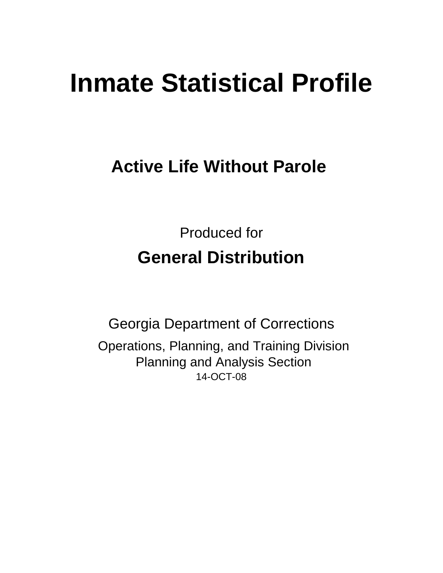# **Inmate Statistical Profile**

# **Active Life Without Parole**

Produced for **General Distribution**

14-OCT-08 Georgia Department of Corrections Operations, Planning, and Training Division Planning and Analysis Section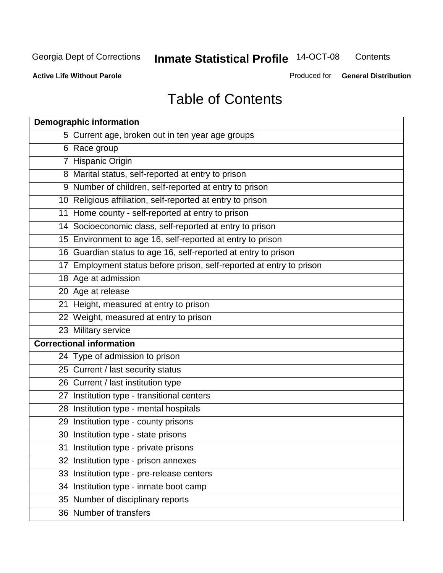**Contents** 

**Active Life Without Parole** 

Produced for **General Distribution**

# Table of Contents

| <b>Demographic information</b>                                       |
|----------------------------------------------------------------------|
| 5 Current age, broken out in ten year age groups                     |
| 6 Race group                                                         |
| 7 Hispanic Origin                                                    |
| 8 Marital status, self-reported at entry to prison                   |
| 9 Number of children, self-reported at entry to prison               |
| 10 Religious affiliation, self-reported at entry to prison           |
| 11 Home county - self-reported at entry to prison                    |
| 14 Socioeconomic class, self-reported at entry to prison             |
| 15 Environment to age 16, self-reported at entry to prison           |
| 16 Guardian status to age 16, self-reported at entry to prison       |
| 17 Employment status before prison, self-reported at entry to prison |
| 18 Age at admission                                                  |
| 20 Age at release                                                    |
| 21 Height, measured at entry to prison                               |
| 22 Weight, measured at entry to prison                               |
| 23 Military service                                                  |
| <b>Correctional information</b>                                      |
| 24 Type of admission to prison                                       |
| 25 Current / last security status                                    |
| 26 Current / last institution type                                   |
| 27 Institution type - transitional centers                           |
| 28 Institution type - mental hospitals                               |
| 29 Institution type - county prisons                                 |
| 30 Institution type - state prisons                                  |
| 31 Institution type - private prisons                                |
| 32 Institution type - prison annexes                                 |
| 33 Institution type - pre-release centers                            |
| 34 Institution type - inmate boot camp                               |
| 35 Number of disciplinary reports                                    |
| 36 Number of transfers                                               |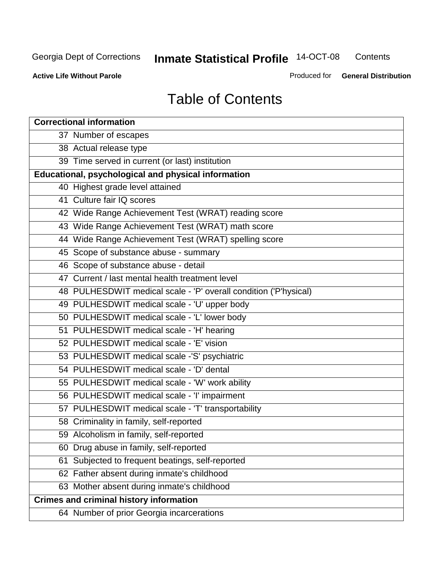**Contents** 

**Active Life Without Parole** 

Produced for **General Distribution**

# Table of Contents

| <b>Correctional information</b>                                  |
|------------------------------------------------------------------|
| 37 Number of escapes                                             |
| 38 Actual release type                                           |
| 39 Time served in current (or last) institution                  |
| Educational, psychological and physical information              |
| 40 Highest grade level attained                                  |
| 41 Culture fair IQ scores                                        |
| 42 Wide Range Achievement Test (WRAT) reading score              |
| 43 Wide Range Achievement Test (WRAT) math score                 |
| 44 Wide Range Achievement Test (WRAT) spelling score             |
| 45 Scope of substance abuse - summary                            |
| 46 Scope of substance abuse - detail                             |
| 47 Current / last mental health treatment level                  |
| 48 PULHESDWIT medical scale - 'P' overall condition ('P'hysical) |
| 49 PULHESDWIT medical scale - 'U' upper body                     |
| 50 PULHESDWIT medical scale - 'L' lower body                     |
| 51 PULHESDWIT medical scale - 'H' hearing                        |
| 52 PULHESDWIT medical scale - 'E' vision                         |
| 53 PULHESDWIT medical scale -'S' psychiatric                     |
| 54 PULHESDWIT medical scale - 'D' dental                         |
| 55 PULHESDWIT medical scale - 'W' work ability                   |
| 56 PULHESDWIT medical scale - 'I' impairment                     |
| 57 PULHESDWIT medical scale - 'T' transportability               |
| 58 Criminality in family, self-reported                          |
| 59 Alcoholism in family, self-reported                           |
| 60 Drug abuse in family, self-reported                           |
| Subjected to frequent beatings, self-reported<br>61              |
| 62 Father absent during inmate's childhood                       |
| 63 Mother absent during inmate's childhood                       |
| <b>Crimes and criminal history information</b>                   |
| 64 Number of prior Georgia incarcerations                        |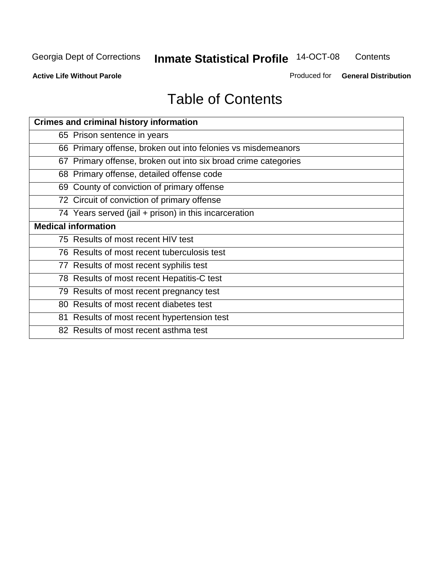**Contents** 

**Active Life Without Parole** 

Produced for **General Distribution**

# Table of Contents

| <b>Crimes and criminal history information</b>                 |
|----------------------------------------------------------------|
| 65 Prison sentence in years                                    |
| 66 Primary offense, broken out into felonies vs misdemeanors   |
| 67 Primary offense, broken out into six broad crime categories |
| 68 Primary offense, detailed offense code                      |
| 69 County of conviction of primary offense                     |
| 72 Circuit of conviction of primary offense                    |
| 74 Years served (jail + prison) in this incarceration          |
| <b>Medical information</b>                                     |
| 75 Results of most recent HIV test                             |
| 76 Results of most recent tuberculosis test                    |
| 77 Results of most recent syphilis test                        |
| 78 Results of most recent Hepatitis-C test                     |
| 79 Results of most recent pregnancy test                       |
| 80 Results of most recent diabetes test                        |
| 81 Results of most recent hypertension test                    |
| 82 Results of most recent asthma test                          |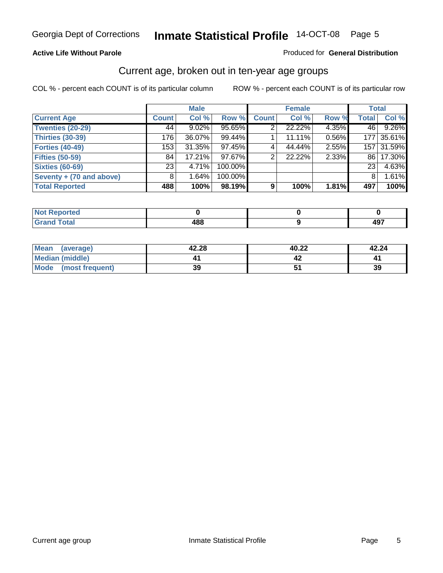#### **Active Life Without Parole**

#### Produced for **General Distribution**

#### Current age, broken out in ten-year age groups

|                          |                 | <b>Male</b> |         |              | <b>Female</b> |       | <b>Total</b> |            |
|--------------------------|-----------------|-------------|---------|--------------|---------------|-------|--------------|------------|
| <b>Current Age</b>       | <b>Count</b>    | Col %       | Row %   | <b>Count</b> | Col %         | Row % | <b>Total</b> | Col %      |
| <b>Twenties (20-29)</b>  | 44              | $9.02\%$    | 95.65%  |              | 22.22%        | 4.35% | 46           | 9.26%      |
| <b>Thirties (30-39)</b>  | 176             | 36.07%      | 99.44%  |              | 11.11%        | 0.56% | 177          | 35.61%     |
| <b>Forties (40-49)</b>   | 153             | $31.35\%$   | 97.45%  | 4            | 44.44%        | 2.55% |              | 157 31.59% |
| <b>Fifties (50-59)</b>   | 84              | $17.21\%$   | 97.67%  | 2            | 22.22%        | 2.33% | 86 I         | 17.30%     |
| <b>Sixties (60-69)</b>   | 23 <sub>1</sub> | 4.71%       | 100.00% |              |               |       | 23           | 4.63%      |
| Seventy + (70 and above) | 8               | 1.64%       | 100.00% |              |               |       | 8            | 1.61%      |
| <b>Total Reported</b>    | 488             | 100%        | 98.19%  | 9            | 100%          | 1.81% | 497          | 100%       |

| <b>NOT Reported</b>             |     |          |
|---------------------------------|-----|----------|
| <b>Utal</b><br>$\mathbf{v}$ and | 400 | "~<br>TW |

| Mean (average)       | 42.28 | 40.22 | 42.24 |
|----------------------|-------|-------|-------|
| Median (middle)      |       |       |       |
| Mode (most frequent) | 39    |       | 39    |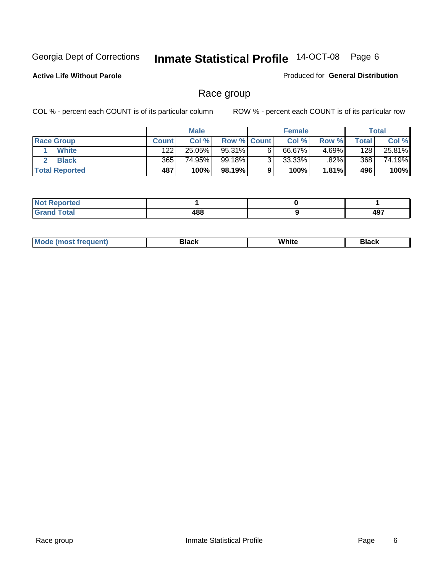**Active Life Without Parole** 

Produced for **General Distribution**

#### Race group

|                       |              | <b>Male</b> |             |   | <b>Female</b> |          |       | <b>Total</b> |
|-----------------------|--------------|-------------|-------------|---|---------------|----------|-------|--------------|
| <b>Race Group</b>     | <b>Count</b> | Col %       | Row % Count |   | Col %         | Row %    | Total | Col %        |
| <b>White</b>          | 122          | 25.05%      | 95.31%      | 6 | 66.67%        | $4.69\%$ | 128   | 25.81%       |
| <b>Black</b>          | 365          | 74.95%      | 99.18%      | ົ | 33.33%        | $.82\%$  | 368   | 74.19%       |
| <b>Total Reported</b> | 487          | 100%        | 98.19%      |   | 100%          | 1.81%    | 496   | 100%         |

| eported<br>.<br>$\cdots$ |     |             |
|--------------------------|-----|-------------|
| fota'<br>_____           | 488 | 497<br>7J I |

| $^1$ Mo. | Rlack | White | 3lack |
|----------|-------|-------|-------|
| .        |       |       |       |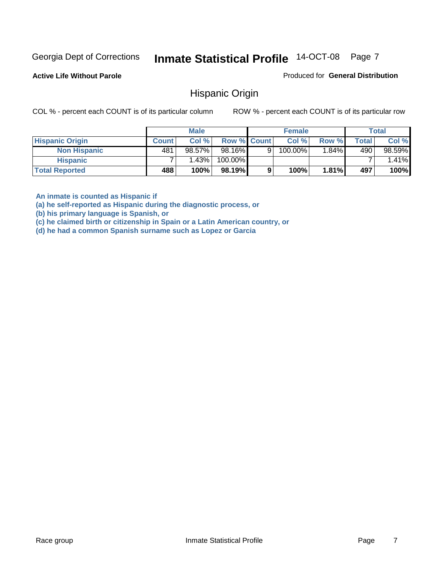**Active Life Without Parole** 

Produced for **General Distribution**

#### Hispanic Origin

COL % - percent each COUNT is of its particular column ROW % - percent each COUNT is of its particular row

|                        |              | <b>Male</b> |                    |   | <b>Female</b> |       |       | <b>Total</b> |
|------------------------|--------------|-------------|--------------------|---|---------------|-------|-------|--------------|
| <b>Hispanic Origin</b> | <b>Count</b> | Col %       | <b>Row % Count</b> |   | Col %         | Row % | Total | Col %        |
| <b>Non Hispanic</b>    | 481          | 98.57%      | 98.16%             | 9 | 100.00%       | 1.84% | 490   | 98.59%       |
| <b>Hispanic</b>        |              | 1.43%       | 100.00%            |   |               |       |       | 1.41%        |
| <b>Total Reported</b>  | 488          | 100%        | 98.19%             | 9 | 100%          | 1.81% | 497   | 100%         |

**An inmate is counted as Hispanic if** 

**(a) he self-reported as Hispanic during the diagnostic process, or** 

**(b) his primary language is Spanish, or** 

**(c) he claimed birth or citizenship in Spain or a Latin American country, or** 

**(d) he had a common Spanish surname such as Lopez or Garcia**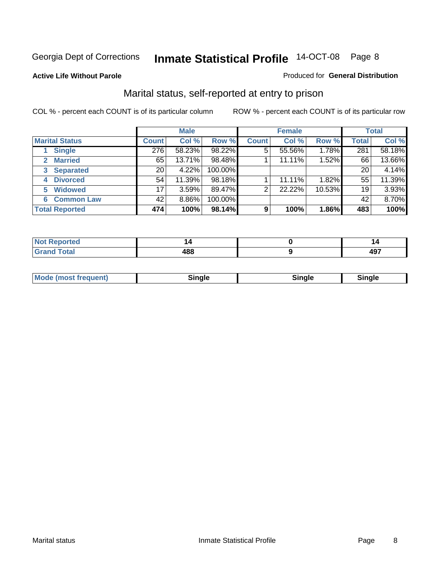#### **Active Life Without Parole**

#### Produced for **General Distribution**

#### Marital status, self-reported at entry to prison

|                        | <b>Male</b>  |        |         | <b>Female</b> |        |        | <b>Total</b> |        |
|------------------------|--------------|--------|---------|---------------|--------|--------|--------------|--------|
| <b>Marital Status</b>  | <b>Count</b> | Col %  | Row %   | <b>Count</b>  | Col %  | Row %  | <b>Total</b> | Col %  |
| <b>Single</b>          | 276          | 58.23% | 98.22%  | 5             | 55.56% | 1.78%  | 281          | 58.18% |
| <b>Married</b><br>2.   | 65           | 13.71% | 98.48%  |               | 11.11% | 1.52%  | 66           | 13.66% |
| <b>Separated</b><br>3  | 20           | 4.22%  | 100.00% |               |        |        | 20           | 4.14%  |
| <b>Divorced</b><br>4   | 54           | 11.39% | 98.18%  |               | 11.11% | 1.82%  | 55           | 11.39% |
| <b>Widowed</b><br>5    | 17           | 3.59%  | 89.47%  | 2             | 22.22% | 10.53% | 19           | 3.93%  |
| <b>Common Law</b><br>6 | 42           | 8.86%  | 100.00% |               |        |        | 42           | 8.70%  |
| <b>Total Reported</b>  | 474          | 100%   | 98.14%  | 9             | 100%   | 1.86%  | 483          | 100%   |

|        | . .               |
|--------|-------------------|
| <br>-- | - 10<br>$\cdot$ . |

| <b>Mode (most frequent)</b><br>Sinale<br>™ale |
|-----------------------------------------------|
|-----------------------------------------------|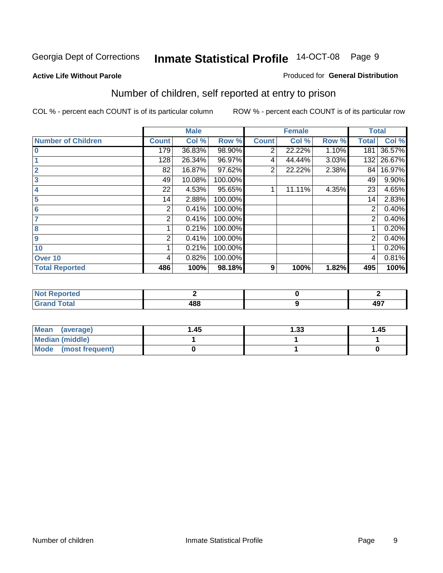#### **Active Life Without Parole**

#### Produced for **General Distribution**

### Number of children, self reported at entry to prison

|                           |              | <b>Male</b> |         |                | <b>Female</b> |       | <b>Total</b> |        |
|---------------------------|--------------|-------------|---------|----------------|---------------|-------|--------------|--------|
| <b>Number of Children</b> | <b>Count</b> | Col %       | Row %   | <b>Count</b>   | Col %         | Row % | <b>Total</b> | Col %  |
| $\bf{0}$                  | 179          | 36.83%      | 98.90%  | 2              | 22.22%        | 1.10% | 181          | 36.57% |
|                           | 128          | 26.34%      | 96.97%  | 4              | 44.44%        | 3.03% | 132          | 26.67% |
| $\overline{2}$            | 82           | 16.87%      | 97.62%  | $\overline{2}$ | 22.22%        | 2.38% | 84           | 16.97% |
| 3                         | 49           | 10.08%      | 100.00% |                |               |       | 49           | 9.90%  |
| 4                         | 22           | 4.53%       | 95.65%  |                | 11.11%        | 4.35% | 23           | 4.65%  |
| 5                         | 14           | 2.88%       | 100.00% |                |               |       | 14           | 2.83%  |
| $6\phantom{a}$            | 2            | 0.41%       | 100.00% |                |               |       | 2            | 0.40%  |
|                           | 2            | 0.41%       | 100.00% |                |               |       | 2            | 0.40%  |
| 8                         |              | 0.21%       | 100.00% |                |               |       |              | 0.20%  |
| 9                         | 2            | 0.41%       | 100.00% |                |               |       | 2            | 0.40%  |
| 10                        |              | 0.21%       | 100.00% |                |               |       |              | 0.20%  |
| Over 10                   | 4            | 0.82%       | 100.00% |                |               |       | 4            | 0.81%  |
| <b>Total Reported</b>     | 486          | 100%        | 98.18%  | 9              | 100%          | 1.82% | 495          | 100%   |

| prteu<br>.               |     |     |
|--------------------------|-----|-----|
| <b>otal</b>              | ההו | 107 |
| $\sim$ . $\sim$ . $\sim$ | юс  | 491 |

| <b>Mean</b><br>(average) | 45. ، | 33. ا | 1.45 |
|--------------------------|-------|-------|------|
| <b>Median (middle)</b>   |       |       |      |
| Mode (most frequent)     |       |       |      |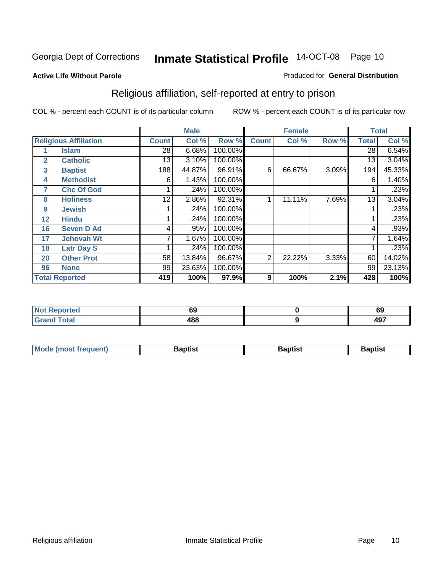#### **Active Life Without Parole**

#### Produced for **General Distribution**

### Religious affiliation, self-reported at entry to prison

|              |                              |              | <b>Male</b> |         |              | <b>Female</b> |       |              | <b>Total</b> |
|--------------|------------------------------|--------------|-------------|---------|--------------|---------------|-------|--------------|--------------|
|              | <b>Religious Affiliation</b> | <b>Count</b> | Col %       | Row %   | <b>Count</b> | Col %         | Row % | <b>Total</b> | Col %        |
|              | <b>Islam</b>                 | 28           | 6.68%       | 100.00% |              |               |       | 28           | 6.54%        |
| $\mathbf{2}$ | <b>Catholic</b>              | 13           | 3.10%       | 100.00% |              |               |       | 13           | 3.04%        |
| 3            | <b>Baptist</b>               | 188          | 44.87%      | 96.91%  | 6            | 66.67%        | 3.09% | 194          | 45.33%       |
| 4            | <b>Methodist</b>             | 6            | 1.43%       | 100.00% |              |               |       | 6            | 1.40%        |
| 7            | <b>Chc Of God</b>            |              | .24%        | 100.00% |              |               |       |              | .23%         |
| 8            | <b>Holiness</b>              | 12           | 2.86%       | 92.31%  |              | 11.11%        | 7.69% | 13           | 3.04%        |
| 9            | <b>Jewish</b>                |              | .24%        | 100.00% |              |               |       |              | .23%         |
| 12           | <b>Hindu</b>                 |              | .24%        | 100.00% |              |               |       |              | .23%         |
| 16           | <b>Seven D Ad</b>            | 4            | .95%        | 100.00% |              |               |       | 4            | .93%         |
| 17           | <b>Jehovah Wt</b>            |              | 1.67%       | 100.00% |              |               |       |              | 1.64%        |
| 18           | <b>Latr Day S</b>            |              | .24%        | 100.00% |              |               |       |              | .23%         |
| 20           | <b>Other Prot</b>            | 58           | 13.84%      | 96.67%  | 2            | 22.22%        | 3.33% | 60           | 14.02%       |
| 96           | <b>None</b>                  | 99           | 23.63%      | 100.00% |              |               |       | 99           | 23.13%       |
|              | <b>Total Reported</b>        | 419          | 100%        | 97.9%   | 9            | 100%          | 2.1%  | 428          | 100%         |

| Reported                        | cn  | cc  |
|---------------------------------|-----|-----|
| <b>NOT</b>                      | งง  | ໐ະ  |
| <b>ctal</b><br>$\mathbf{v}$ and | 488 | 497 |

| <b>Mode (most frequent)</b><br><b>Baptist</b><br>Baptist | Baptist |
|----------------------------------------------------------|---------|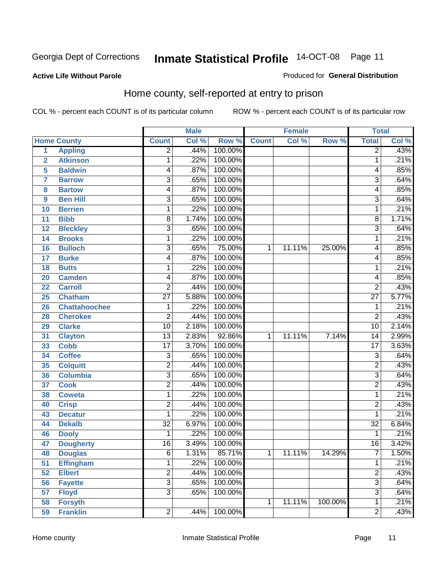#### **Active Life Without Parole**

#### Produced for **General Distribution**

#### Home county, self-reported at entry to prison

|                |                      |                 | <b>Male</b> |         |              | <b>Female</b> |         | <b>Total</b>              |       |
|----------------|----------------------|-----------------|-------------|---------|--------------|---------------|---------|---------------------------|-------|
|                | <b>Home County</b>   | <b>Count</b>    | Col %       | Row %   | <b>Count</b> | Col %         | Row %   | <b>Total</b>              | Col % |
| $\overline{1}$ | <b>Appling</b>       | $\overline{2}$  | .44%        | 100.00% |              |               |         | $\overline{2}$            | .43%  |
| $\overline{2}$ | <b>Atkinson</b>      | 1               | .22%        | 100.00% |              |               |         | 1                         | .21%  |
| 5              | <b>Baldwin</b>       | 4               | .87%        | 100.00% |              |               |         | 4                         | .85%  |
| 7              | <b>Barrow</b>        | 3               | .65%        | 100.00% |              |               |         | $\overline{3}$            | .64%  |
| 8              | <b>Bartow</b>        | 4               | .87%        | 100.00% |              |               |         | 4                         | .85%  |
| 9              | <b>Ben Hill</b>      | $\overline{3}$  | .65%        | 100.00% |              |               |         | $\overline{\overline{3}}$ | .64%  |
| 10             | <b>Berrien</b>       | 1               | .22%        | 100.00% |              |               |         | 1                         | .21%  |
| 11             | <b>Bibb</b>          | 8               | 1.74%       | 100.00% |              |               |         | 8                         | 1.71% |
| 12             | <b>Bleckley</b>      | 3               | .65%        | 100.00% |              |               |         | $\overline{3}$            | .64%  |
| 14             | <b>Brooks</b>        | 1               | .22%        | 100.00% |              |               |         | 1                         | .21%  |
| 16             | <b>Bulloch</b>       | $\overline{3}$  | .65%        | 75.00%  | 1            | 11.11%        | 25.00%  | 4                         | .85%  |
| 17             | <b>Burke</b>         | 4               | .87%        | 100.00% |              |               |         | 4                         | .85%  |
| 18             | <b>Butts</b>         | 1               | .22%        | 100.00% |              |               |         | 1                         | .21%  |
| 20             | <b>Camden</b>        | 4               | .87%        | 100.00% |              |               |         | 4                         | .85%  |
| 22             | <b>Carroll</b>       | $\overline{2}$  | .44%        | 100.00% |              |               |         | $\overline{2}$            | .43%  |
| 25             | <b>Chatham</b>       | $\overline{27}$ | 5.88%       | 100.00% |              |               |         | $\overline{27}$           | 5.77% |
| 26             | <b>Chattahoochee</b> | 1               | .22%        | 100.00% |              |               |         | 1                         | .21%  |
| 28             | <b>Cherokee</b>      | $\overline{2}$  | .44%        | 100.00% |              |               |         | $\overline{2}$            | .43%  |
| 29             | <b>Clarke</b>        | $\overline{10}$ | 2.18%       | 100.00% |              |               |         | $\overline{10}$           | 2.14% |
| 31             | <b>Clayton</b>       | $\overline{13}$ | 2.83%       | 92.86%  | 1            | 11.11%        | 7.14%   | 14                        | 2.99% |
| 33             | <b>Cobb</b>          | $\overline{17}$ | 3.70%       | 100.00% |              |               |         | $\overline{17}$           | 3.63% |
| 34             | <b>Coffee</b>        | 3               | .65%        | 100.00% |              |               |         | $\overline{3}$            | .64%  |
| 35             | <b>Colquitt</b>      | $\overline{2}$  | .44%        | 100.00% |              |               |         | $\overline{2}$            | .43%  |
| 36             | <b>Columbia</b>      | 3               | .65%        | 100.00% |              |               |         | $\overline{3}$            | .64%  |
| 37             | <b>Cook</b>          | $\overline{2}$  | .44%        | 100.00% |              |               |         | $\overline{2}$            | .43%  |
| 38             | <b>Coweta</b>        | 1               | .22%        | 100.00% |              |               |         | 1                         | .21%  |
| 40             | <b>Crisp</b>         | $\overline{2}$  | .44%        | 100.00% |              |               |         | $\overline{2}$            | .43%  |
| 43             | <b>Decatur</b>       | 1               | .22%        | 100.00% |              |               |         | 1                         | .21%  |
| 44             | <b>Dekalb</b>        | $\overline{32}$ | 6.97%       | 100.00% |              |               |         | $\overline{32}$           | 6.84% |
| 46             | <b>Dooly</b>         | 1               | .22%        | 100.00% |              |               |         | 1                         | .21%  |
| 47             | <b>Dougherty</b>     | $\overline{16}$ | 3.49%       | 100.00% |              |               |         | $\overline{16}$           | 3.42% |
| 48             | <b>Douglas</b>       | 6               | 1.31%       | 85.71%  | 1            | 11.11%        | 14.29%  | 7                         | 1.50% |
| 51             | <b>Effingham</b>     | 1               | .22%        | 100.00% |              |               |         | 1                         | .21%  |
| 52             | <b>Elbert</b>        | $\overline{2}$  | .44%        | 100.00% |              |               |         | $\overline{2}$            | .43%  |
| 56             | <b>Fayette</b>       | $\overline{3}$  | .65%        | 100.00% |              |               |         | $\overline{3}$            | .64%  |
| 57             | <b>Floyd</b>         | $\overline{3}$  | .65%        | 100.00% |              |               |         | $\overline{\overline{3}}$ | .64%  |
| 58             | <b>Forsyth</b>       |                 |             |         | 1            | 11.11%        | 100.00% | 1                         | .21%  |
| 59             | <b>Franklin</b>      | $\overline{2}$  | .44%        | 100.00% |              |               |         | $\overline{2}$            | .43%  |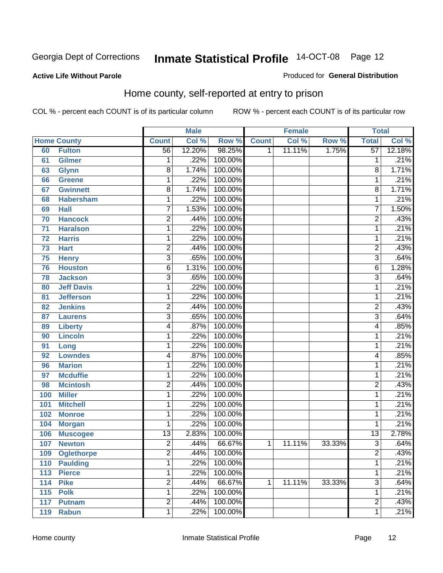#### **Active Life Without Parole**

#### Produced for **General Distribution**

#### Home county, self-reported at entry to prison

|                 |                    |                 | <b>Male</b> |         |              | <b>Female</b> |        | <b>Total</b>    |        |
|-----------------|--------------------|-----------------|-------------|---------|--------------|---------------|--------|-----------------|--------|
|                 | <b>Home County</b> | <b>Count</b>    | Col %       | Row %   | <b>Count</b> | Col %         | Row %  | <b>Total</b>    | Col %  |
| 60              | <b>Fulton</b>      | 56              | 12.20%      | 98.25%  | 1            | 11.11%        | 1.75%  | $\overline{57}$ | 12.18% |
| 61              | Gilmer             | 1               | .22%        | 100.00% |              |               |        | 1               | .21%   |
| 63              | <b>Glynn</b>       | $\overline{8}$  | 1.74%       | 100.00% |              |               |        | 8               | 1.71%  |
| 66              | <b>Greene</b>      | 1               | .22%        | 100.00% |              |               |        | 1               | .21%   |
| 67              | <b>Gwinnett</b>    | $\overline{8}$  | 1.74%       | 100.00% |              |               |        | 8               | 1.71%  |
| 68              | <b>Habersham</b>   | $\mathbf{1}$    | .22%        | 100.00% |              |               |        | 1               | .21%   |
| 69              | <b>Hall</b>        | 7               | 1.53%       | 100.00% |              |               |        | $\overline{7}$  | 1.50%  |
| 70              | <b>Hancock</b>     | $\overline{2}$  | .44%        | 100.00% |              |               |        | $\overline{2}$  | .43%   |
| $\overline{71}$ | <b>Haralson</b>    | 1               | .22%        | 100.00% |              |               |        | 1               | .21%   |
| $\overline{72}$ | <b>Harris</b>      | 1               | .22%        | 100.00% |              |               |        | 1               | .21%   |
| 73              | <b>Hart</b>        | 2               | .44%        | 100.00% |              |               |        | $\overline{2}$  | .43%   |
| 75              | <b>Henry</b>       | $\overline{3}$  | .65%        | 100.00% |              |               |        | $\overline{3}$  | .64%   |
| 76              | <b>Houston</b>     | 6               | 1.31%       | 100.00% |              |               |        | 6               | 1.28%  |
| 78              | <b>Jackson</b>     | $\overline{3}$  | .65%        | 100.00% |              |               |        | $\overline{3}$  | .64%   |
| 80              | <b>Jeff Davis</b>  | $\mathbf{1}$    | .22%        | 100.00% |              |               |        | 1               | .21%   |
| 81              | <b>Jefferson</b>   | 1               | .22%        | 100.00% |              |               |        | 1               | .21%   |
| 82              | <b>Jenkins</b>     | 2               | .44%        | 100.00% |              |               |        | $\overline{c}$  | .43%   |
| 87              | <b>Laurens</b>     | $\overline{3}$  | .65%        | 100.00% |              |               |        | $\overline{3}$  | .64%   |
| 89              | <b>Liberty</b>     | 4               | .87%        | 100.00% |              |               |        | 4               | .85%   |
| 90              | <b>Lincoln</b>     | 1               | .22%        | 100.00% |              |               |        | 1               | .21%   |
| 91              | Long               | $\mathbf{1}$    | .22%        | 100.00% |              |               |        | 1               | .21%   |
| 92              | <b>Lowndes</b>     | 4               | .87%        | 100.00% |              |               |        | 4               | .85%   |
| 96              | <b>Marion</b>      | 1               | .22%        | 100.00% |              |               |        | 1               | .21%   |
| 97              | <b>Mcduffie</b>    | 1               | .22%        | 100.00% |              |               |        | 1               | .21%   |
| 98              | <b>Mcintosh</b>    | 2               | .44%        | 100.00% |              |               |        | $\overline{2}$  | .43%   |
| 100             | <b>Miller</b>      | 1               | .22%        | 100.00% |              |               |        | 1               | .21%   |
| 101             | <b>Mitchell</b>    | 1               | .22%        | 100.00% |              |               |        | 1               | .21%   |
| 102             | <b>Monroe</b>      | 1               | .22%        | 100.00% |              |               |        | 1               | .21%   |
| 104             | <b>Morgan</b>      | 1               | .22%        | 100.00% |              |               |        | 1               | .21%   |
| 106             | <b>Muscogee</b>    | $\overline{13}$ | 2.83%       | 100.00% |              |               |        | $\overline{13}$ | 2.78%  |
| 107             | <b>Newton</b>      | $\overline{2}$  | .44%        | 66.67%  | 1            | 11.11%        | 33.33% | $\overline{3}$  | .64%   |
| 109             | <b>Oglethorpe</b>  | 2               | .44%        | 100.00% |              |               |        | 2               | .43%   |
| 110             | <b>Paulding</b>    | $\overline{1}$  | .22%        | 100.00% |              |               |        | 1               | .21%   |
| 113             | <b>Pierce</b>      | $\mathbf{1}$    | .22%        | 100.00% |              |               |        | 1               | .21%   |
| 114             | <b>Pike</b>        | $\overline{2}$  | .44%        | 66.67%  | 1            | 11.11%        | 33.33% | $\overline{3}$  | .64%   |
| 115             | <b>Polk</b>        | 1               | .22%        | 100.00% |              |               |        | 1               | .21%   |
| 117             | <b>Putnam</b>      | $\overline{2}$  | .44%        | 100.00% |              |               |        | $\overline{2}$  | .43%   |
| 119             | <b>Rabun</b>       | 1               | .22%        | 100.00% |              |               |        | 1               | .21%   |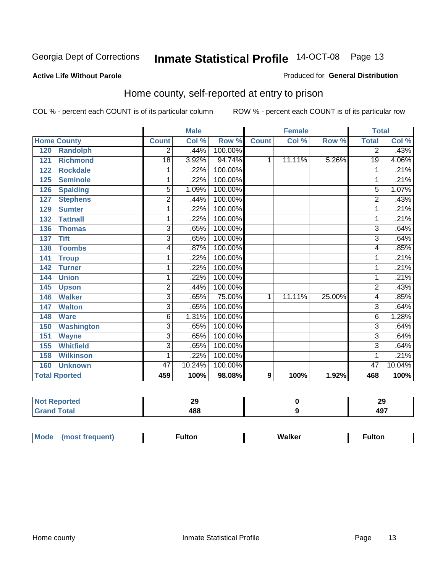#### **Active Life Without Parole**

#### Produced for **General Distribution**

#### Home county, self-reported at entry to prison

|                      |                   |                | <b>Male</b> |         |              | <b>Female</b> |        | <b>Total</b>   |        |
|----------------------|-------------------|----------------|-------------|---------|--------------|---------------|--------|----------------|--------|
| <b>Home County</b>   |                   | <b>Count</b>   | Col %       | Row %   | <b>Count</b> | Col %         | Row %  | <b>Total</b>   | Col %  |
| 120                  | <b>Randolph</b>   | 2              | .44%        | 100.00% |              |               |        | 2              | .43%   |
| 121                  | <b>Richmond</b>   | 18             | 3.92%       | 94.74%  | 1            | 11.11%        | 5.26%  | 19             | 4.06%  |
| 122                  | <b>Rockdale</b>   | 1              | .22%        | 100.00% |              |               |        | 1              | .21%   |
| 125                  | <b>Seminole</b>   | 1              | .22%        | 100.00% |              |               |        | 1              | .21%   |
| 126                  | <b>Spalding</b>   | 5              | 1.09%       | 100.00% |              |               |        | 5              | 1.07%  |
| 127                  | <b>Stephens</b>   | 2              | .44%        | 100.00% |              |               |        | $\overline{c}$ | .43%   |
| 129                  | <b>Sumter</b>     | 1              | .22%        | 100.00% |              |               |        |                | .21%   |
| 132                  | <b>Tattnall</b>   | 1              | .22%        | 100.00% |              |               |        |                | .21%   |
| 136                  | <b>Thomas</b>     | 3              | .65%        | 100.00% |              |               |        | 3              | .64%   |
| <b>Tift</b><br>137   |                   | $\overline{3}$ | .65%        | 100.00% |              |               |        | $\overline{3}$ | .64%   |
| 138                  | <b>Toombs</b>     | 4              | .87%        | 100.00% |              |               |        | 4              | .85%   |
| 141<br><b>Troup</b>  |                   | 1              | .22%        | 100.00% |              |               |        | 1              | .21%   |
| <b>Turner</b><br>142 |                   | 1              | .22%        | 100.00% |              |               |        | 1              | .21%   |
| <b>Union</b><br>144  |                   | 1              | .22%        | 100.00% |              |               |        |                | .21%   |
| 145<br><b>Upson</b>  |                   | $\overline{2}$ | .44%        | 100.00% |              |               |        | 2              | .43%   |
| <b>Walker</b><br>146 |                   | 3              | .65%        | 75.00%  | 1            | 11.11%        | 25.00% | 4              | .85%   |
| <b>Walton</b><br>147 |                   | 3              | .65%        | 100.00% |              |               |        | 3              | .64%   |
| 148<br><b>Ware</b>   |                   | 6              | 1.31%       | 100.00% |              |               |        | 6              | 1.28%  |
| 150                  | <b>Washington</b> | 3              | .65%        | 100.00% |              |               |        | 3              | .64%   |
| 151<br><b>Wayne</b>  |                   | 3              | .65%        | 100.00% |              |               |        | 3              | .64%   |
| 155                  | <b>Whitfield</b>  | $\overline{3}$ | .65%        | 100.00% |              |               |        | 3              | .64%   |
| 158                  | <b>Wilkinson</b>  | 1              | .22%        | 100.00% |              |               |        | 1              | .21%   |
| 160                  | <b>Unknown</b>    | 47             | 10.24%      | 100.00% |              |               |        | 47             | 10.04% |
| <b>Total Rported</b> |                   | 459            | 100%        | 98.08%  | 9            | 100%          | 1.92%  | 468            | 100%   |

| тео                     | $\sim$<br>LJ | 29        |
|-------------------------|--------------|-----------|
| <b>otal</b><br>$\sim$ . | 488          | ィヘフ<br>13 |

| Mode<br>(most frequent) | ·ulton | Walker | ∙ulton |
|-------------------------|--------|--------|--------|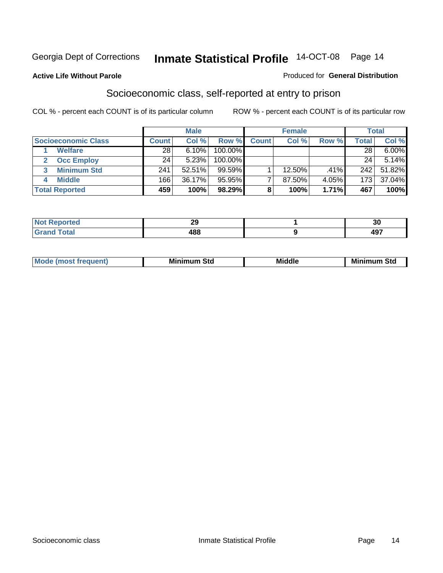**Active Life Without Parole** 

#### Produced for **General Distribution**

#### Socioeconomic class, self-reported at entry to prison

|                            |                | <b>Male</b> |            |              | <b>Female</b> |       |       | <b>Total</b> |
|----------------------------|----------------|-------------|------------|--------------|---------------|-------|-------|--------------|
| <b>Socioeconomic Class</b> | <b>Count</b> l | Col %       | Row %      | <b>Count</b> | Col %         | Row % | Total | Col %        |
| <b>Welfare</b>             | 28             | 6.10%       | 100.00%    |              |               |       | 28    | $6.00\%$     |
| <b>Occ Employ</b>          | 24             | 5.23%       | $100.00\%$ |              |               |       | 24    | 5.14%        |
| <b>Minimum Std</b>         | 241            | 52.51%      | $99.59\%$  |              | 12.50%        | .41%  | 242   | 51.82%       |
| <b>Middle</b>              | 166            | 36.17%      | 95.95%     |              | 87.50%        | 4.05% | 173   | 37.04%       |
| <b>Total Reported</b>      | 459            | 100%        | 98.29%     |              | 100%          | 1.71% | 467   | 100%         |

| u                | nr.<br>$\overline{a}$ | - -<br>ึงบ |
|------------------|-----------------------|------------|
| الاستقلاب<br>$-$ | ៱៰៰<br>юс             | 107        |

| .<br>___ |
|----------|
|----------|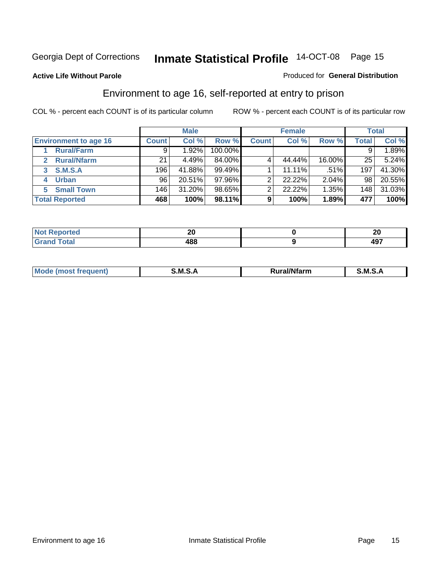**Active Life Without Parole** 

#### Produced for **General Distribution**

#### Environment to age 16, self-reported at entry to prison

|                              |              | <b>Male</b> |           |              | <b>Female</b> |        |              | <b>Total</b> |
|------------------------------|--------------|-------------|-----------|--------------|---------------|--------|--------------|--------------|
| <b>Environment to age 16</b> | <b>Count</b> | Col %       | Row %     | <b>Count</b> | Col %         | Row %  | <b>Total</b> | Col %        |
| <b>Rural/Farm</b>            | 9            | 1.92%       | 100.00%   |              |               |        |              | 1.89%        |
| <b>Rural/Nfarm</b><br>2      | 21           | 4.49%       | 84.00%    |              | 44.44%        | 16.00% | 25           | 5.24%        |
| S.M.S.A<br>3                 | 196          | 41.88%      | $99.49\%$ |              | 11.11%        | .51%   | 197          | 41.30%       |
| <b>Urban</b>                 | 96           | 20.51%      | $97.96\%$ |              | 22.22%        | 2.04%  | 98           | 20.55%       |
| <b>Small Town</b><br>5.      | 146          | 31.20%      | 98.65%    |              | 22.22%        | 1.35%  | 148          | 31.03%       |
| <b>Total Reported</b>        | 468          | 100%        | 98.11%    | 9            | 100%          | 1.89%  | 477          | 100%         |

| <b>rted</b>           | $\sim$<br>ΖU | ZU         |
|-----------------------|--------------|------------|
| <b>Total</b><br>Grand | 488          | 107<br>491 |

| <b>Moo</b><br>M S<br>м<br>al/Nfarm<br>muenti<br><br>_____ |  |  |
|-----------------------------------------------------------|--|--|
|                                                           |  |  |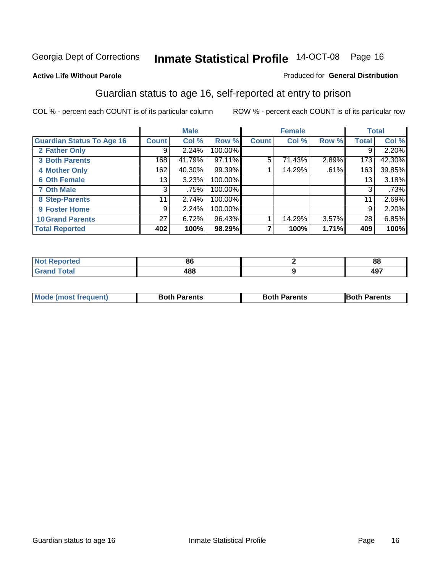#### **Active Life Without Parole**

#### Produced for **General Distribution**

#### Guardian status to age 16, self-reported at entry to prison

|                                  |                 | <b>Male</b> |         |              | <b>Female</b> |       |              | <b>Total</b> |
|----------------------------------|-----------------|-------------|---------|--------------|---------------|-------|--------------|--------------|
| <b>Guardian Status To Age 16</b> | <b>Count</b>    | Col %       | Row %   | <b>Count</b> | Col %         | Row % | <b>Total</b> | Col %        |
| 2 Father Only                    | 9               | 2.24%       | 100.00% |              |               |       | 9            | 2.20%        |
| <b>3 Both Parents</b>            | 168             | 41.79%      | 97.11%  | 5            | 71.43%        | 2.89% | 173          | 42.30%       |
| <b>4 Mother Only</b>             | 162             | 40.30%      | 99.39%  |              | 14.29%        | .61%  | 163          | 39.85%       |
| <b>6 Oth Female</b>              | 13              | 3.23%       | 100.00% |              |               |       | 13           | 3.18%        |
| <b>7 Oth Male</b>                | 3               | .75%        | 100.00% |              |               |       | 3            | .73%         |
| 8 Step-Parents                   | 11              | 2.74%       | 100.00% |              |               |       | 11           | 2.69%        |
| 9 Foster Home                    | 9               | 2.24%       | 100.00% |              |               |       | 9            | 2.20%        |
| <b>10 Grand Parents</b>          | 27 <sup>1</sup> | 6.72%       | 96.43%  |              | 14.29%        | 3.57% | 28           | 6.85%        |
| <b>Total Reported</b>            | 402             | 100%        | 98.29%  |              | 100%          | 1.71% | 409          | 100%         |

| or.<br>оι   | $\mathbf{O}$<br>oo |
|-------------|--------------------|
| ס ו<br>$ -$ | $\sim$<br>7J 1     |

| Mode (most frequent) | <b>Both Parents</b> | <b>Both Parents</b> | <b>IBoth Parents</b> |
|----------------------|---------------------|---------------------|----------------------|
|                      |                     |                     |                      |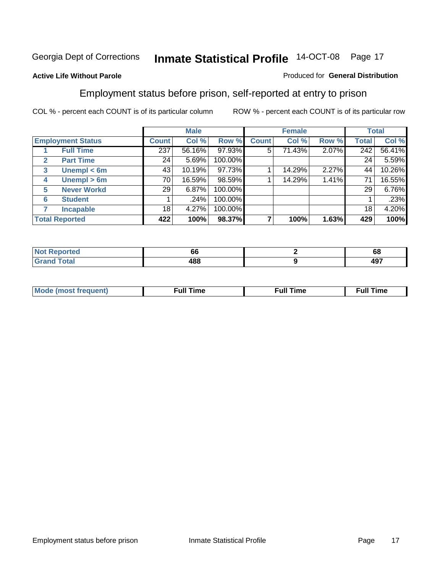#### **Active Life Without Parole**

#### Produced for **General Distribution**

#### Employment status before prison, self-reported at entry to prison

|              |                          |              | <b>Male</b> |         |              | <b>Female</b> |       |       | <b>Total</b> |
|--------------|--------------------------|--------------|-------------|---------|--------------|---------------|-------|-------|--------------|
|              | <b>Employment Status</b> | <b>Count</b> | Col %       | Row %   | <b>Count</b> | Col %         | Row % | Total | Col %        |
|              | <b>Full Time</b>         | 237          | 56.16%      | 97.93%  | 5            | 71.43%        | 2.07% | 242   | 56.41%       |
| $\mathbf{2}$ | <b>Part Time</b>         | 24           | 5.69%       | 100.00% |              |               |       | 24    | 5.59%        |
| 3            | Unempl $<$ 6m            | 43           | 10.19%      | 97.73%  |              | 14.29%        | 2.27% | 44    | 10.26%       |
| 4            | Unempl > 6m              | 70           | 16.59%      | 98.59%  |              | 14.29%        | 1.41% | 71    | 16.55%       |
| 5            | <b>Never Workd</b>       | 29           | 6.87%       | 100.00% |              |               |       | 29    | 6.76%        |
| 6            | <b>Student</b>           |              | .24%        | 100.00% |              |               |       |       | .23%         |
|              | <b>Incapable</b>         | 18           | 4.27%       | 100.00% |              |               |       | 18    | 4.20%        |
|              | <b>Total Reported</b>    | 422          | 100%        | 98.37%  |              | 100%          | 1.63% | 429   | 100%         |

| чес         | ~<br>pр | -<br>oo    |
|-------------|---------|------------|
| $- - - - -$ | 188     | 107<br>771 |

| Mo | 'me<br>uн<br>the contract of the contract of the contract of the contract of the contract of the contract of the contract of | ïme<br>uı.<br>the contract of the contract of the contract of the contract of the contract of the contract of the contract of |
|----|------------------------------------------------------------------------------------------------------------------------------|-------------------------------------------------------------------------------------------------------------------------------|
|    |                                                                                                                              |                                                                                                                               |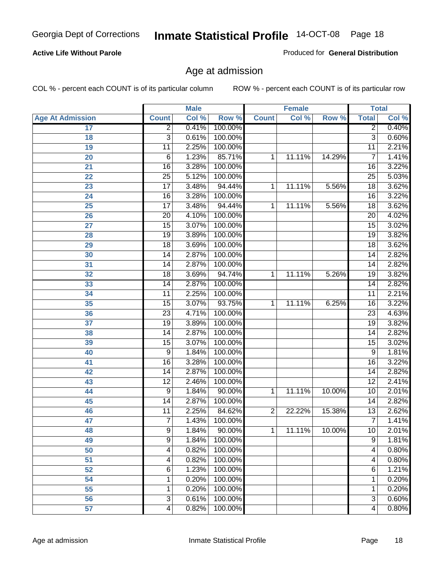#### **Active Life Without Parole**

Produced for **General Distribution**

#### Age at admission

|                         |                 | <b>Male</b> |         | <b>Female</b>  |        | <b>Total</b> |                 |       |
|-------------------------|-----------------|-------------|---------|----------------|--------|--------------|-----------------|-------|
| <b>Age At Admission</b> | <b>Count</b>    | Col %       | Row %   | <b>Count</b>   | Col %  | Row %        | <b>Total</b>    | Col % |
| 17                      | $\overline{2}$  | 0.41%       | 100.00% |                |        |              | $\overline{2}$  | 0.40% |
| 18                      | $\overline{3}$  | 0.61%       | 100.00% |                |        |              | $\overline{3}$  | 0.60% |
| 19                      | 11              | 2.25%       | 100.00% |                |        |              | 11              | 2.21% |
| 20                      | $\,6$           | 1.23%       | 85.71%  | 1              | 11.11% | 14.29%       | 7               | 1.41% |
| 21                      | $\overline{16}$ | 3.28%       | 100.00% |                |        |              | 16              | 3.22% |
| 22                      | $\overline{25}$ | 5.12%       | 100.00% |                |        |              | $\overline{25}$ | 5.03% |
| 23                      | $\overline{17}$ | 3.48%       | 94.44%  | 1              | 11.11% | 5.56%        | $\overline{18}$ | 3.62% |
| 24                      | 16              | 3.28%       | 100.00% |                |        |              | 16              | 3.22% |
| $\overline{25}$         | $\overline{17}$ | 3.48%       | 94.44%  | 1              | 11.11% | 5.56%        | 18              | 3.62% |
| 26                      | 20              | 4.10%       | 100.00% |                |        |              | 20              | 4.02% |
| 27                      | 15              | 3.07%       | 100.00% |                |        |              | $\overline{15}$ | 3.02% |
| 28                      | 19              | 3.89%       | 100.00% |                |        |              | 19              | 3.82% |
| 29                      | $\overline{18}$ | 3.69%       | 100.00% |                |        |              | 18              | 3.62% |
| 30                      | 14              | 2.87%       | 100.00% |                |        |              | 14              | 2.82% |
| 31                      | $\overline{14}$ | 2.87%       | 100.00% |                |        |              | 14              | 2.82% |
| 32                      | 18              | 3.69%       | 94.74%  | 1              | 11.11% | 5.26%        | 19              | 3.82% |
| 33                      | 14              | 2.87%       | 100.00% |                |        |              | 14              | 2.82% |
| 34                      | 11              | 2.25%       | 100.00% |                |        |              | 11              | 2.21% |
| 35                      | 15              | 3.07%       | 93.75%  | 1              | 11.11% | 6.25%        | 16              | 3.22% |
| 36                      | $\overline{23}$ | 4.71%       | 100.00% |                |        |              | 23              | 4.63% |
| 37                      | $\overline{19}$ | 3.89%       | 100.00% |                |        |              | $\overline{19}$ | 3.82% |
| 38                      | $\overline{14}$ | 2.87%       | 100.00% |                |        |              | 14              | 2.82% |
| 39                      | $\overline{15}$ | 3.07%       | 100.00% |                |        |              | 15              | 3.02% |
| 40                      | 9               | 1.84%       | 100.00% |                |        |              | 9               | 1.81% |
| 41                      | 16              | 3.28%       | 100.00% |                |        |              | 16              | 3.22% |
| 42                      | 14              | 2.87%       | 100.00% |                |        |              | 14              | 2.82% |
| 43                      | $\overline{12}$ | 2.46%       | 100.00% |                |        |              | $\overline{12}$ | 2.41% |
| 44                      | 9               | 1.84%       | 90.00%  | 1              | 11.11% | 10.00%       | 10              | 2.01% |
| 45                      | 14              | 2.87%       | 100.00% |                |        |              | 14              | 2.82% |
| 46                      | $\overline{11}$ | 2.25%       | 84.62%  | $\overline{2}$ | 22.22% | 15.38%       | $\overline{13}$ | 2.62% |
| 47                      | $\overline{7}$  | 1.43%       | 100.00% |                |        |              | $\overline{7}$  | 1.41% |
| 48                      | 9               | 1.84%       | 90.00%  | 1              | 11.11% | 10.00%       | 10              | 2.01% |
| 49                      | $\overline{9}$  | 1.84%       | 100.00% |                |        |              | $\overline{9}$  | 1.81% |
| 50                      | 4               | 0.82%       | 100.00% |                |        |              | 4               | 0.80% |
| 51                      | 4               | 0.82%       | 100.00% |                |        |              | $\overline{4}$  | 0.80% |
| 52                      | 6               | 1.23%       | 100.00% |                |        |              | 6               | 1.21% |
| 54                      | 1               | 0.20%       | 100.00% |                |        |              | 1               | 0.20% |
| $\overline{55}$         | 1               | 0.20%       | 100.00% |                |        |              | 1               | 0.20% |
| 56                      | 3               | 0.61%       | 100.00% |                |        |              | $\overline{3}$  | 0.60% |
| $\overline{57}$         | 4               | 0.82%       | 100.00% |                |        |              | 4               | 0.80% |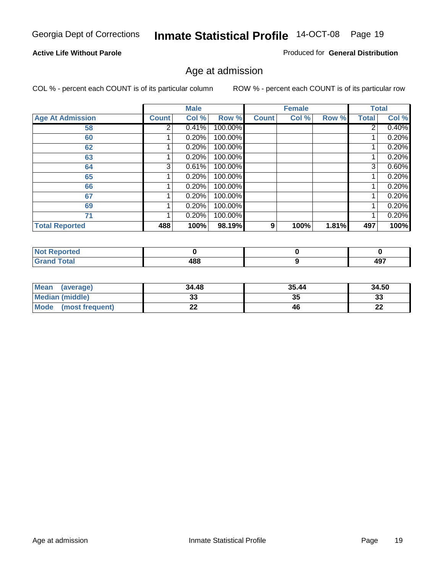#### **Active Life Without Parole**

Produced for **General Distribution**

#### Age at admission

|                         |              | <b>Male</b> |         |              | <b>Female</b> |       |       | <b>Total</b> |
|-------------------------|--------------|-------------|---------|--------------|---------------|-------|-------|--------------|
| <b>Age At Admission</b> | <b>Count</b> | Col %       | Row %   | <b>Count</b> | Col %         | Row % | Total | Col %        |
| 58                      | 2            | 0.41%       | 100.00% |              |               |       | 2     | 0.40%        |
| 60                      |              | 0.20%       | 100.00% |              |               |       |       | 0.20%        |
| 62                      |              | 0.20%       | 100.00% |              |               |       |       | 0.20%        |
| 63                      |              | 0.20%       | 100.00% |              |               |       |       | 0.20%        |
| 64                      | 3            | 0.61%       | 100.00% |              |               |       | 3     | 0.60%        |
| 65                      |              | 0.20%       | 100.00% |              |               |       |       | 0.20%        |
| 66                      |              | 0.20%       | 100.00% |              |               |       |       | 0.20%        |
| 67                      |              | 0.20%       | 100.00% |              |               |       |       | 0.20%        |
| 69                      |              | 0.20%       | 100.00% |              |               |       |       | 0.20%        |
| 71                      |              | 0.20%       | 100.00% |              |               |       |       | 0.20%        |
| <b>Total Reported</b>   | 488          | 100%        | 98.19%  | 9            | 100%          | 1.81% | 497   | 100%         |

| المناسب<br><b>Reported</b><br><b>NOT</b><br>$\cdots$ |                  |            |
|------------------------------------------------------|------------------|------------|
| Enter                                                | ס הו<br>łО<br>__ | 107<br>491 |

| <b>Mean</b><br>(average) | 34.48 | 35.44 | 34.50   |
|--------------------------|-------|-------|---------|
| Median (middle)          |       | 35    | 33      |
| Mode<br>(most frequent)  | --    | 46    | …<br>LL |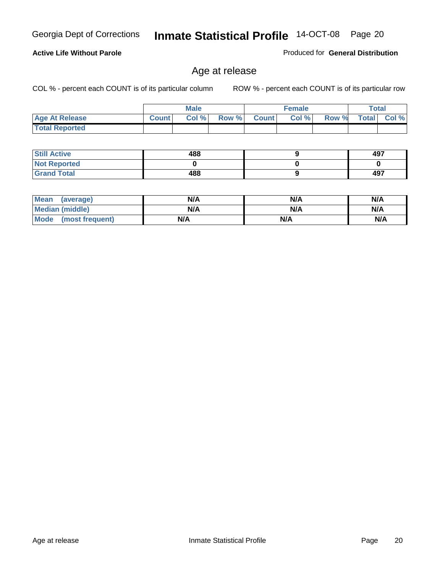#### **Active Life Without Parole**

Produced for **General Distribution**

#### Age at release

|                       |              | <b>Male</b> |       |              | <b>Female</b> |       | <b>Total</b> |          |
|-----------------------|--------------|-------------|-------|--------------|---------------|-------|--------------|----------|
| <b>Age At Release</b> | <b>Count</b> | Col%        | Row % | <b>Count</b> | Col %         | Row % | <b>Total</b> | $CoI \%$ |
| <b>Total Reported</b> |              |             |       |              |               |       |              |          |

| <b>Still Active</b> | 488 | 497 |
|---------------------|-----|-----|
| <b>Not Reported</b> |     |     |
| <b>Grand Total</b>  | 488 | 497 |

| Mean<br>(average)    | N/A | N/A | N/A |
|----------------------|-----|-----|-----|
| Median (middle)      | N/A | N/A | N/A |
| Mode (most frequent) | N/A | N/A | N/A |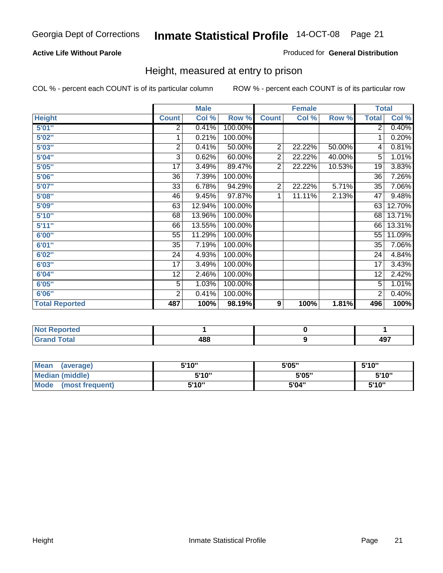#### **Active Life Without Parole**

#### Produced for **General Distribution**

#### Height, measured at entry to prison

|                       |                         | <b>Male</b> |         |                | <b>Female</b> |        | <b>Total</b>    |        |
|-----------------------|-------------------------|-------------|---------|----------------|---------------|--------|-----------------|--------|
| <b>Height</b>         | <b>Count</b>            | Col %       | Row %   | <b>Count</b>   | Col %         | Row %  | <b>Total</b>    | Col %  |
| 5'01''                | 2                       | 0.41%       | 100.00% |                |               |        | $\overline{2}$  | 0.40%  |
| 5'02"                 | 1                       | 0.21%       | 100.00% |                |               |        | 1               | 0.20%  |
| 5'03"                 | $\overline{\mathbf{c}}$ | 0.41%       | 50.00%  | $\overline{c}$ | 22.22%        | 50.00% | 4               | 0.81%  |
| 5'04"                 | 3                       | 0.62%       | 60.00%  | $\overline{2}$ | 22.22%        | 40.00% | 5               | 1.01%  |
| 5'05"                 | 17                      | 3.49%       | 89.47%  | $\overline{2}$ | 22.22%        | 10.53% | 19              | 3.83%  |
| 5'06''                | 36                      | 7.39%       | 100.00% |                |               |        | $\overline{36}$ | 7.26%  |
| 5'07''                | 33                      | 6.78%       | 94.29%  | $\overline{2}$ | 22.22%        | 5.71%  | 35              | 7.06%  |
| 5'08"                 | 46                      | 9.45%       | 97.87%  | 1              | 11.11%        | 2.13%  | $\overline{47}$ | 9.48%  |
| <b>5'09"</b>          | 63                      | 12.94%      | 100.00% |                |               |        | 63              | 12.70% |
| 5'10''                | 68                      | 13.96%      | 100.00% |                |               |        | 68              | 13.71% |
| 5'11''                | 66                      | 13.55%      | 100.00% |                |               |        | 66              | 13.31% |
| 6'00"                 | 55                      | 11.29%      | 100.00% |                |               |        | 55              | 11.09% |
| 6'01''                | 35                      | 7.19%       | 100.00% |                |               |        | 35              | 7.06%  |
| 6'02"                 | 24                      | 4.93%       | 100.00% |                |               |        | 24              | 4.84%  |
| 6'03"                 | 17                      | 3.49%       | 100.00% |                |               |        | 17              | 3.43%  |
| 6'04''                | 12                      | 2.46%       | 100.00% |                |               |        | $\overline{12}$ | 2.42%  |
| 6'05"                 | 5                       | 1.03%       | 100.00% |                |               |        | 5               | 1.01%  |
| 6'06"                 | $\overline{2}$          | 0.41%       | 100.00% |                |               |        | $\overline{c}$  | 0.40%  |
| <b>Total Reported</b> | 487                     | 100%        | 98.19%  | 9              | 100%          | 1.81%  | 496             | 100%   |

| oorted<br>N6<br>.                  |     |                   |
|------------------------------------|-----|-------------------|
| $int^{\bullet}$<br>$\sim$<br>_____ | 488 | <b>497</b><br>−•• |

| <b>Mean</b><br>(average)       | 5'10" | 5'05" | 5'10" |
|--------------------------------|-------|-------|-------|
| Median (middle)                | 5'10" | 5'05" | 5'10" |
| <b>Mode</b><br>(most frequent) | 5'10" | 5'04" | 5'10" |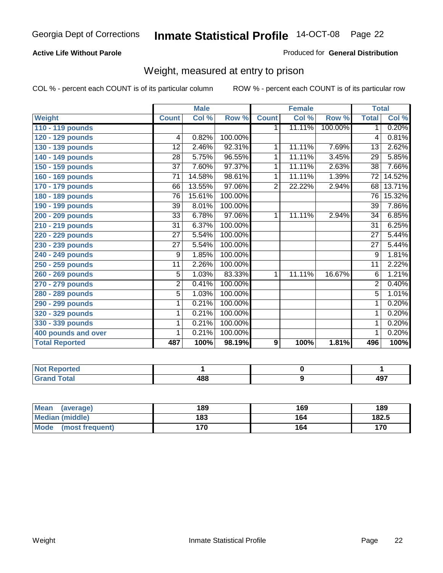#### **Active Life Without Parole**

#### Produced for **General Distribution**

#### Weight, measured at entry to prison

|                       |                 | <b>Male</b> |         |                | <b>Female</b> |         | <b>Total</b>    |        |
|-----------------------|-----------------|-------------|---------|----------------|---------------|---------|-----------------|--------|
| <b>Weight</b>         | <b>Count</b>    | Col %       | Row %   | <b>Count</b>   | Col %         | Row %   | <b>Total</b>    | Col %  |
| 110 - 119 pounds      |                 |             |         | 1.             | 11.11%        | 100.00% | 1               | 0.20%  |
| 120 - 129 pounds      | 4               | 0.82%       | 100.00% |                |               |         | 4               | 0.81%  |
| 130 - 139 pounds      | 12              | 2.46%       | 92.31%  | 1              | 11.11%        | 7.69%   | 13              | 2.62%  |
| 140 - 149 pounds      | 28              | 5.75%       | 96.55%  | 1              | 11.11%        | 3.45%   | $\overline{29}$ | 5.85%  |
| 150 - 159 pounds      | 37              | 7.60%       | 97.37%  | 1              | 11.11%        | 2.63%   | 38              | 7.66%  |
| 160 - 169 pounds      | $\overline{71}$ | 14.58%      | 98.61%  | 1              | 11.11%        | 1.39%   | $\overline{72}$ | 14.52% |
| 170 - 179 pounds      | 66              | 13.55%      | 97.06%  | $\overline{2}$ | 22.22%        | 2.94%   | 68              | 13.71% |
| 180 - 189 pounds      | 76              | 15.61%      | 100.00% |                |               |         | 76              | 15.32% |
| 190 - 199 pounds      | 39              | 8.01%       | 100.00% |                |               |         | 39              | 7.86%  |
| 200 - 209 pounds      | 33              | 6.78%       | 97.06%  | 1              | 11.11%        | 2.94%   | $\overline{34}$ | 6.85%  |
| 210 - 219 pounds      | 31              | 6.37%       | 100.00% |                |               |         | 31              | 6.25%  |
| 220 - 229 pounds      | $\overline{27}$ | 5.54%       | 100.00% |                |               |         | $\overline{27}$ | 5.44%  |
| 230 - 239 pounds      | $\overline{27}$ | 5.54%       | 100.00% |                |               |         | 27              | 5.44%  |
| 240 - 249 pounds      | 9               | 1.85%       | 100.00% |                |               |         | 9               | 1.81%  |
| 250 - 259 pounds      | 11              | 2.26%       | 100.00% |                |               |         | 11              | 2.22%  |
| 260 - 269 pounds      | 5               | 1.03%       | 83.33%  | 1              | 11.11%        | 16.67%  | 6               | 1.21%  |
| 270 - 279 pounds      | $\overline{2}$  | 0.41%       | 100.00% |                |               |         | $\overline{2}$  | 0.40%  |
| 280 - 289 pounds      | $\overline{5}$  | 1.03%       | 100.00% |                |               |         | 5               | 1.01%  |
| 290 - 299 pounds      | 1               | 0.21%       | 100.00% |                |               |         | 1               | 0.20%  |
| 320 - 329 pounds      | 1               | 0.21%       | 100.00% |                |               |         | 1               | 0.20%  |
| 330 - 339 pounds      | 1               | 0.21%       | 100.00% |                |               |         | 1               | 0.20%  |
| 400 pounds and over   | 1               | 0.21%       | 100.00% |                |               |         | 1               | 0.20%  |
| <b>Total Reported</b> | 487             | 100%        | 98.19%  | 9              | 100%          | 1.81%   | 496             | 100%   |

| <b>NOT Reported</b>                     |     |             |
|-----------------------------------------|-----|-------------|
| <b>otal</b><br>$\sim$ . $\sim$ . $\sim$ | 488 | 107<br>- J. |

| <b>Mean</b><br>(average)       | 189 | 169 | 189   |
|--------------------------------|-----|-----|-------|
| Median (middle)                | 183 | 164 | 182.5 |
| <b>Mode</b><br>(most frequent) | 170 | 164 | 170   |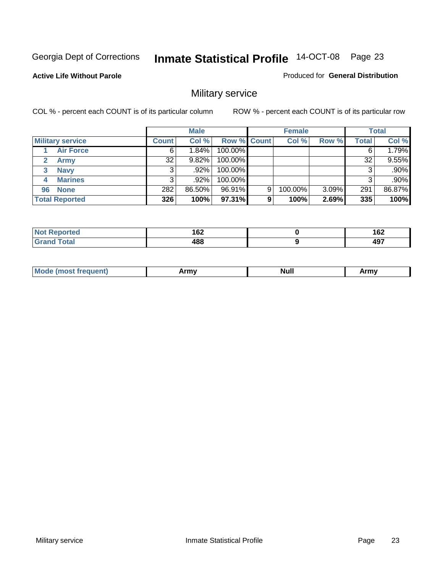**Active Life Without Parole** 

Produced for **General Distribution**

### Military service

|                             |              | <b>Male</b> |             |   | <b>Female</b> |       |       | <b>Total</b> |
|-----------------------------|--------------|-------------|-------------|---|---------------|-------|-------|--------------|
| <b>Military service</b>     | <b>Count</b> | Col %       | Row % Count |   | Col %         | Row % | Total | Col %        |
| <b>Air Force</b>            | 6'           | $1.84\%$    | 100.00%     |   |               |       | 6     | 1.79%        |
| <b>Army</b><br>$\mathbf{2}$ | 32           | $9.82\%$    | 100.00%     |   |               |       | 32    | 9.55%        |
| <b>Navy</b><br>3            |              | .92%        | 100.00%     |   |               |       | 3     | .90%         |
| <b>Marines</b><br>4         | 3            | $.92\%$     | 100.00%     |   |               |       | 3     | .90%         |
| 96 None                     | 282          | 86.50%      | 96.91%      | 9 | 100.00%       | 3.09% | 291   | 86.87%       |
| <b>Total Reported</b>       | 326          | 100%        | 97.31%      | 9 | 100%          | 2.69% | 335   | 100%         |

| <b><i>Contractor</i></b> | ^^^        | ィピク               |
|--------------------------|------------|-------------------|
| тес                      | 162        | 1 OZ              |
|                          | 100.<br>юо | <b>AQ7</b><br>-91 |

| M<br><b>INUIL</b><br>.<br>. |
|-----------------------------|
|-----------------------------|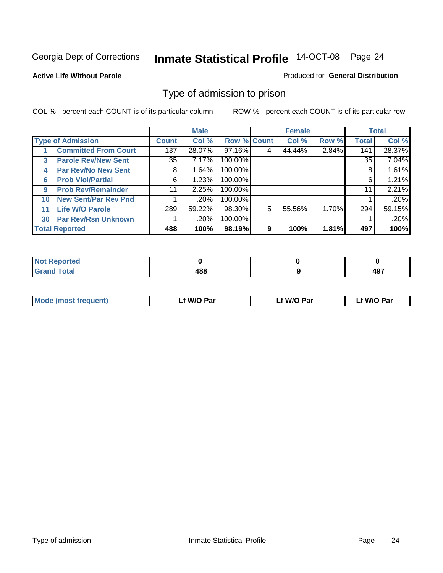#### **Active Life Without Parole**

#### Produced for **General Distribution**

#### Type of admission to prison

|    |                             |              | <b>Male</b> |                    |   | <b>Female</b> |       |              | <b>Total</b> |
|----|-----------------------------|--------------|-------------|--------------------|---|---------------|-------|--------------|--------------|
|    | <b>Type of Admission</b>    | <b>Count</b> | Col %       | <b>Row % Count</b> |   | Col %         | Row % | <b>Total</b> | Col %        |
|    | <b>Committed From Court</b> | 137          | 28.07%      | 97.16%             | 4 | 44.44%        | 2.84% | 141          | 28.37%       |
| 3  | <b>Parole Rev/New Sent</b>  | 35 l         | 7.17%       | 100.00%            |   |               |       | 35           | 7.04%        |
| 4  | <b>Par Rev/No New Sent</b>  | 8            | 1.64%       | 100.00%            |   |               |       | 8            | 1.61%        |
| 6  | <b>Prob Viol/Partial</b>    | 6            | 1.23%       | 100.00%            |   |               |       | 6            | 1.21%        |
| 9  | <b>Prob Rev/Remainder</b>   | 11           | 2.25%       | 100.00%            |   |               |       | 11           | 2.21%        |
| 10 | <b>New Sent/Par Rev Pnd</b> |              | .20%        | 100.00%            |   |               |       |              | .20%         |
| 11 | <b>Life W/O Parole</b>      | 289          | 59.22%      | 98.30%             | 5 | 55.56%        | 1.70% | 294          | 59.15%       |
| 30 | <b>Par Rev/Rsn Unknown</b>  |              | .20%        | 100.00%            |   |               |       |              | .20%         |
|    | <b>Total Reported</b>       | 488          | 100%        | 98.19%             | 9 | 100%          | 1.81% | 497          | 100%         |

| eported<br>NOT                                          |     |            |
|---------------------------------------------------------|-----|------------|
| <b>Total</b><br><b>Care</b><br>$\sim$ . $\sim$ . $\sim$ | រកក | 107<br>491 |

| <b>Mode (most frequent)</b> | <b>W/O Par</b> | <b>W/O Par</b> | W/O Par |
|-----------------------------|----------------|----------------|---------|
|                             |                |                |         |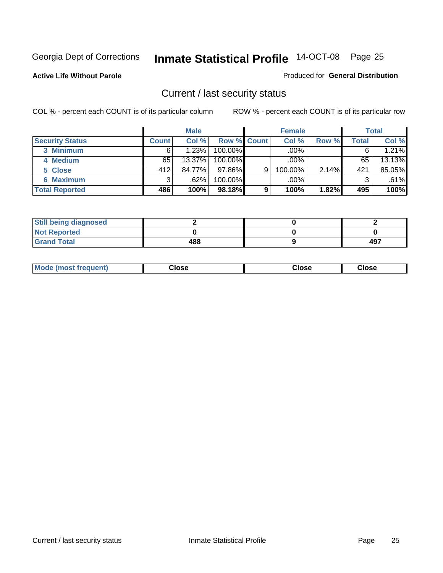**Active Life Without Parole** 

Produced for **General Distribution**

#### Current / last security status

|                        |              | <b>Male</b> |                    |   | <b>Female</b> |       |       | <b>Total</b> |
|------------------------|--------------|-------------|--------------------|---|---------------|-------|-------|--------------|
| <b>Security Status</b> | <b>Count</b> | Col %       | <b>Row % Count</b> |   | Col %         | Row % | Total | Col %        |
| 3 Minimum              |              | 1.23%       | $100.00\%$         |   | .00%          |       |       | 1.21%        |
| 4 Medium               | 65           | 13.37%      | $100.00\%$         |   | $.00\%$       |       | 65    | 13.13%       |
| 5 Close                | 412          | 84.77%      | $97.86\%$          | 9 | 100.00%       | 2.14% | 421   | 85.05%       |
| 6 Maximum              | 3            | .62%        | 100.00%            |   | .00%          |       | 3     | .61%         |
| <b>Total Reported</b>  | 486          | 100%        | 98.18%             | 9 | 100%          | 1.82% | 495   | 100%         |

| <b>Still being diagnosed</b> |     |     |
|------------------------------|-----|-----|
| <b>Not Reported</b>          |     |     |
| <b>Grand Total</b>           | 488 | 497 |

| <b>Mode</b><br><b>OSE</b><br>∵lose<br>(most frequent)<br>oseث<br>- - - -<br>- - - -<br>- - - - |  |
|------------------------------------------------------------------------------------------------|--|
|------------------------------------------------------------------------------------------------|--|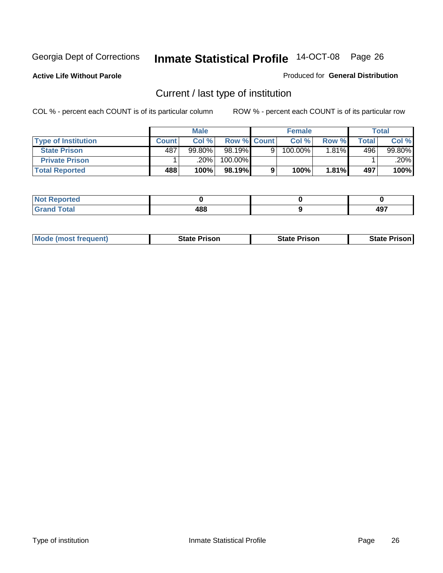**Active Life Without Parole** 

Produced for **General Distribution**

### Current / last type of institution

|                            |              | <b>Male</b> |                    |   | <b>Female</b> |          |              | <b>Total</b> |
|----------------------------|--------------|-------------|--------------------|---|---------------|----------|--------------|--------------|
| <b>Type of Institution</b> | <b>Count</b> | Col%        | <b>Row % Count</b> |   | Col %         | Row %    | <b>Total</b> | Col %        |
| <b>State Prison</b>        | 487          | $99.80\%$   | 98.19%             | Q | 100.00%       | $1.81\%$ | 496          | 99.80%       |
| <b>Private Prison</b>      |              | 20%         | 100.00%            |   |               |          |              | .20%         |
| <b>Total Reported</b>      | 488          | 100%        | 98.19%             |   | 100%          | 1.81%    | 497          | 100%         |

| τeα         |     |     |
|-------------|-----|-----|
| <b>otal</b> | 400 | 107 |
| -           | 400 | - 3 |

| <b>Mode (most frequent)</b> | <b>State Prison</b> | <b>State Prison</b> | <b>State Prison</b> |
|-----------------------------|---------------------|---------------------|---------------------|
|                             |                     |                     |                     |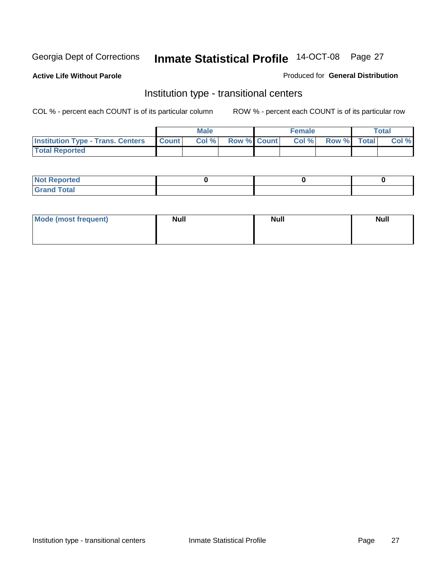**Active Life Without Parole** 

Produced for **General Distribution**

#### Institution type - transitional centers

|                                                  | <b>Male</b> |                    | <b>Female</b> |             | <b>Total</b> |
|--------------------------------------------------|-------------|--------------------|---------------|-------------|--------------|
| <b>Institution Type - Trans. Centers Count  </b> | Col %       | <b>Row % Count</b> | Col%          | Row % Total | Col %        |
| <b>Total Reported</b>                            |             |                    |               |             |              |

| rtea<br>20 NGL 2<br>  |  |  |
|-----------------------|--|--|
| into!<br>---<br>_____ |  |  |

| Mode (most frequent) | <b>Null</b> | <b>Null</b> | <b>Null</b> |
|----------------------|-------------|-------------|-------------|
|                      |             |             |             |
|                      |             |             |             |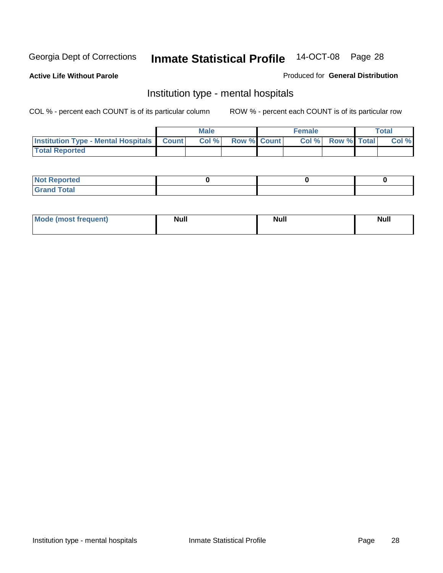**Active Life Without Parole** 

Produced for **General Distribution**

#### Institution type - mental hospitals

|                                                  | <b>Male</b> |                    | <b>Female</b> |                   | <b>Total</b> |
|--------------------------------------------------|-------------|--------------------|---------------|-------------------|--------------|
| <b>Institution Type - Mental Hospitals Count</b> | Col%        | <b>Row % Count</b> |               | Col % Row % Total | Col %        |
| <b>Total Reported</b>                            |             |                    |               |                   |              |

| <b>Not Reported</b> |  |  |
|---------------------|--|--|
| <b>Total</b><br>Cro |  |  |

| Mode (most frequent) | <b>Null</b> | <b>Null</b> | <b>Null</b> |
|----------------------|-------------|-------------|-------------|
|                      |             |             |             |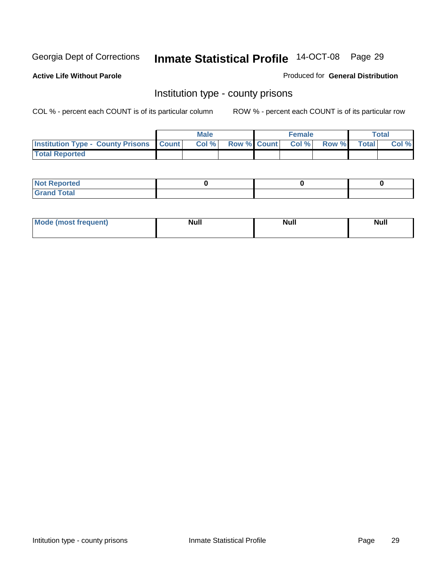**Active Life Without Parole** 

Produced for **General Distribution**

#### Institution type - county prisons

|                                                    | <b>Male</b> |                          | <b>Female</b> |       |              | Total |
|----------------------------------------------------|-------------|--------------------------|---------------|-------|--------------|-------|
| <b>Institution Type - County Prisons   Count  </b> | Col %       | <b>Row % Count Col %</b> |               | Row % | <b>Total</b> | Col % |
| <b>Total Reported</b>                              |             |                          |               |       |              |       |

| <b>Not</b><br><b>Reported</b> |  |  |
|-------------------------------|--|--|
| <b>Grand Total</b>            |  |  |

| <b>Mo</b><br>frequent) | NI. . II<br>1u 11 | <b>Moll</b> | <b>Null</b> |
|------------------------|-------------------|-------------|-------------|
|                        |                   |             |             |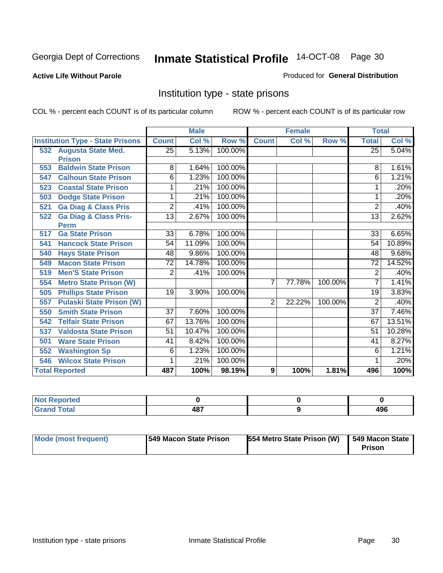#### **Active Life Without Parole**

#### Produced for **General Distribution**

#### Institution type - state prisons

|     |                                         |                 | <b>Male</b> |         | <b>Female</b>  |        | <b>Total</b> |                 |        |
|-----|-----------------------------------------|-----------------|-------------|---------|----------------|--------|--------------|-----------------|--------|
|     | <b>Institution Type - State Prisons</b> | <b>Count</b>    | Col %       | Row %   | <b>Count</b>   | Col %  | Row %        | <b>Total</b>    | Col %  |
|     | 532 Augusta State Med.                  | 25              | 5.13%       | 100.00% |                |        |              | $\overline{25}$ | 5.04%  |
|     | <b>Prison</b>                           |                 |             |         |                |        |              |                 |        |
| 553 | <b>Baldwin State Prison</b>             | 8               | 1.64%       | 100.00% |                |        |              | 8               | 1.61%  |
| 547 | <b>Calhoun State Prison</b>             | 6               | 1.23%       | 100.00% |                |        |              | 6               | 1.21%  |
| 523 | <b>Coastal State Prison</b>             | 1               | .21%        | 100.00% |                |        |              | 1               | .20%   |
| 503 | <b>Dodge State Prison</b>               | 1               | .21%        | 100.00% |                |        |              | 1               | .20%   |
| 521 | <b>Ga Diag &amp; Class Pris</b>         | $\overline{2}$  | .41%        | 100.00% |                |        |              | $\overline{2}$  | .40%   |
| 522 | <b>Ga Diag &amp; Class Pris-</b>        | $\overline{13}$ | 2.67%       | 100.00% |                |        |              | $\overline{13}$ | 2.62%  |
|     | <b>Perm</b>                             |                 |             |         |                |        |              |                 |        |
| 517 | <b>Ga State Prison</b>                  | $\overline{33}$ | 6.78%       | 100.00% |                |        |              | 33              | 6.65%  |
| 541 | <b>Hancock State Prison</b>             | 54              | 11.09%      | 100.00% |                |        |              | 54              | 10.89% |
| 540 | <b>Hays State Prison</b>                | 48              | 9.86%       | 100.00% |                |        |              | 48              | 9.68%  |
| 549 | <b>Macon State Prison</b>               | $\overline{72}$ | 14.78%      | 100.00% |                |        |              | $\overline{72}$ | 14.52% |
| 519 | <b>Men'S State Prison</b>               | $\overline{2}$  | .41%        | 100.00% |                |        |              | 2               | .40%   |
| 554 | <b>Metro State Prison (W)</b>           |                 |             |         | $\overline{7}$ | 77.78% | 100.00%      | 7               | 1.41%  |
| 505 | <b>Phillips State Prison</b>            | 19              | 3.90%       | 100.00% |                |        |              | 19              | 3.83%  |
| 557 | <b>Pulaski State Prison (W)</b>         |                 |             |         | $\overline{2}$ | 22.22% | 100.00%      | $\overline{2}$  | .40%   |
| 550 | <b>Smith State Prison</b>               | $\overline{37}$ | 7.60%       | 100.00% |                |        |              | $\overline{37}$ | 7.46%  |
| 542 | <b>Telfair State Prison</b>             | 67              | 13.76%      | 100.00% |                |        |              | 67              | 13.51% |
| 537 | <b>Valdosta State Prison</b>            | 51              | 10.47%      | 100.00% |                |        |              | 51              | 10.28% |
| 501 | <b>Ware State Prison</b>                | 41              | 8.42%       | 100.00% |                |        |              | 41              | 8.27%  |
| 552 | <b>Washington Sp</b>                    | 6               | 1.23%       | 100.00% |                |        |              | 6               | 1.21%  |
| 546 | <b>Wilcox State Prison</b>              | 1               | .21%        | 100.00% |                |        |              |                 | .20%   |
|     | <b>Total Reported</b>                   | 487             | 100%        | 98.19%  | 9              | 100%   | 1.81%        | 496             | 100%   |

| <b>Not Reported</b> |     |            |
|---------------------|-----|------------|
| <b>Total</b>        | 487 | 10C<br>490 |

| Mode (most frequent) | <b>1549 Macon State Prison</b> | <b>554 Metro State Prison (W)</b> | 549 Macon State<br><b>Prison</b> |
|----------------------|--------------------------------|-----------------------------------|----------------------------------|
|----------------------|--------------------------------|-----------------------------------|----------------------------------|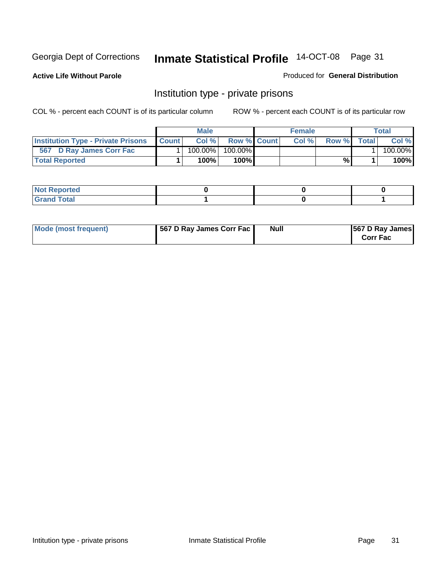**Active Life Without Parole** 

Produced for **General Distribution**

#### Institution type - private prisons

|                                           |              | <b>Male</b> |               | <b>Female</b> |       |       | Total   |
|-------------------------------------------|--------------|-------------|---------------|---------------|-------|-------|---------|
| <b>Institution Type - Private Prisons</b> | <b>Count</b> | Col %       | Row % Count   | Col %         | Row % | Total | Col %   |
| 567 D Ray James Corr Fac                  |              | $100.00\%$  | 100.00%       |               |       |       | 100.00% |
| <b>Total Reported</b>                     |              | 100%        | 100% <b>I</b> |               | %     |       | 100%    |

| <b>Not Reported</b>             |  |  |
|---------------------------------|--|--|
| <b>Total</b><br>Gr2<br>$\sim$ . |  |  |

| Mode (most frequent) | 567 D Ray James Corr Fac | <b>Null</b> | <b>567 D Ray James</b><br><b>Corr Fac</b> |
|----------------------|--------------------------|-------------|-------------------------------------------|
|----------------------|--------------------------|-------------|-------------------------------------------|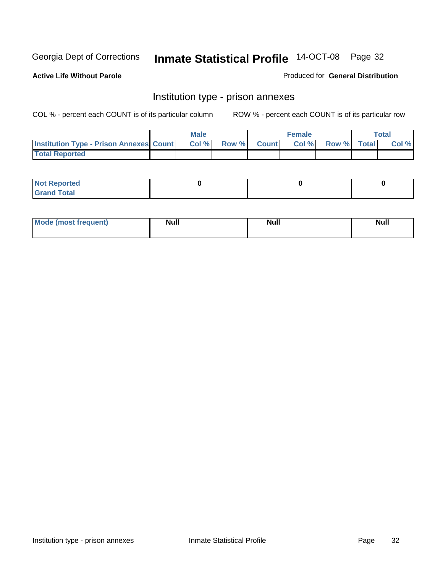**Active Life Without Parole** 

Produced for **General Distribution**

#### Institution type - prison annexes

|                                                | <b>Male</b> |              |                | <b>Female</b> |             | <b>Total</b> |
|------------------------------------------------|-------------|--------------|----------------|---------------|-------------|--------------|
| <b>Institution Type - Prison Annexes Count</b> | Col %       | <b>Row %</b> | <b>Count</b> Ⅰ | Col%          | Row % Total | Col %        |
| <b>Total Reported</b>                          |             |              |                |               |             |              |

| <b>Not</b><br><b>Reported</b>    |  |  |
|----------------------------------|--|--|
| <b>Total</b><br>Gran<br>$\sim$ . |  |  |

| Mode (most frequent) | <b>Null</b> | <b>Null</b> | <b>Null</b> |
|----------------------|-------------|-------------|-------------|
|                      |             |             |             |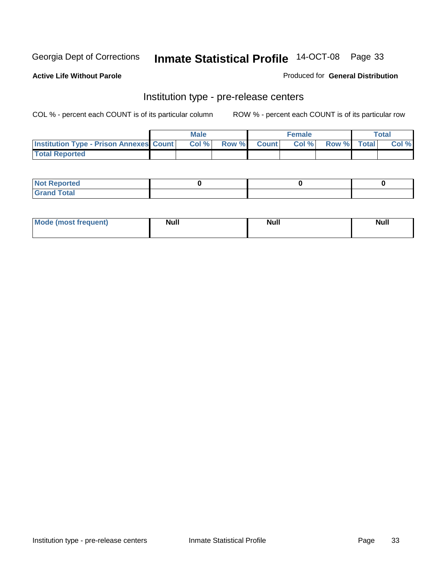**Active Life Without Parole** 

Produced for **General Distribution**

#### Institution type - pre-release centers

|                                                | <b>Male</b> |                    | <b>Female</b> |             | <b>Total</b> |
|------------------------------------------------|-------------|--------------------|---------------|-------------|--------------|
| <b>Institution Type - Prison Annexes Count</b> | Col %       | <b>Row % Count</b> | Col %         | Row % Total | Col %        |
| <b>Total Reported</b>                          |             |                    |               |             |              |

| <b>Not</b><br><b>Reported</b>    |  |  |
|----------------------------------|--|--|
| <b>Total</b><br>Gran<br>$\sim$ . |  |  |

| Mode (most frequent) | <b>Null</b> | <b>Null</b> | <b>Null</b> |
|----------------------|-------------|-------------|-------------|
|                      |             |             |             |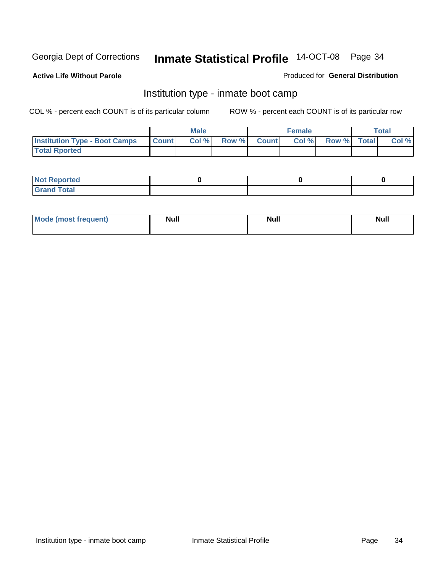**Active Life Without Parole** 

Produced for **General Distribution**

#### Institution type - inmate boot camp

|                                      |              | Male  |             | <b>Female</b> |             | <b>Total</b> |
|--------------------------------------|--------------|-------|-------------|---------------|-------------|--------------|
| <b>Institution Type - Boot Camps</b> | <b>Count</b> | Col % | Row % Count | Col %         | Row % Total | Col %        |
| <b>Total Rported</b>                 |              |       |             |               |             |              |

| <b>Not Reported</b>  |  |  |
|----------------------|--|--|
| <b>Total</b><br>Croy |  |  |

| Mode (most frequent) | <b>Null</b> | <b>Null</b> | <b>Null</b> |
|----------------------|-------------|-------------|-------------|
|                      |             |             |             |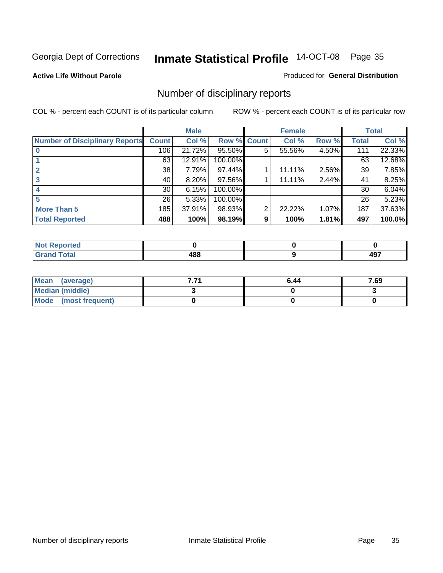**Active Life Without Parole** 

Produced for **General Distribution**

### Number of disciplinary reports

|                                       |                 | <b>Male</b> |                    |   | <b>Female</b> |       |              | <b>Total</b> |
|---------------------------------------|-----------------|-------------|--------------------|---|---------------|-------|--------------|--------------|
| <b>Number of Disciplinary Reports</b> | <b>Count</b>    | Col %       | <b>Row % Count</b> |   | Col %         | Row % | <b>Total</b> | Col %        |
|                                       | 106             | 21.72%      | 95.50%             | 5 | 55.56%        | 4.50% | 111          | 22.33%       |
|                                       | 63              | 12.91%      | 100.00%            |   |               |       | 63           | 12.68%       |
| $\mathbf{2}$                          | 38              | 7.79%       | 97.44%             |   | 11.11%        | 2.56% | 39           | 7.85%        |
| 3                                     | 40              | 8.20%       | 97.56%             |   | 11.11%        | 2.44% | 41           | 8.25%        |
|                                       | 30 <sup>°</sup> | 6.15%       | 100.00%            |   |               |       | 30           | 6.04%        |
| 5                                     | 26              | 5.33%       | 100.00%            |   |               |       | 26           | 5.23%        |
| <b>More Than 5</b>                    | 185             | 37.91%      | 98.93%             | 2 | 22.22%        | 1.07% | 187          | 37.63%       |
| <b>Total Reported</b>                 | 488             | 100%        | 98.19%             | 9 | 100%          | 1.81% | 497          | 100.0%       |

| .<br>N<br>Ter. |                  |            |
|----------------|------------------|------------|
| Total          | 488<br>TV.<br>__ | ---<br>−•• |

| Mean (average)       | . | 6.44 | 7.69 |
|----------------------|---|------|------|
| Median (middle)      |   |      |      |
| Mode (most frequent) |   |      |      |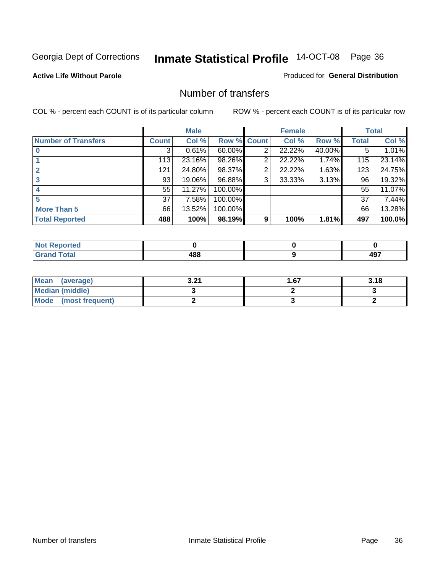#### **Active Life Without Parole**

#### Produced for **General Distribution**

#### Number of transfers

|                            |              | <b>Male</b> |         |              | <b>Female</b> |        |              | <b>Total</b> |
|----------------------------|--------------|-------------|---------|--------------|---------------|--------|--------------|--------------|
| <b>Number of Transfers</b> | <b>Count</b> | Col %       | Row %   | <b>Count</b> | Col %         | Row %  | <b>Total</b> | Col %        |
|                            | 3            | 0.61%       | 60.00%  | 2            | 22.22%        | 40.00% | 5            | 1.01%        |
|                            | 113          | 23.16%      | 98.26%  | 2            | 22.22%        | 1.74%  | 115          | 23.14%       |
|                            | 121          | 24.80%      | 98.37%  | 2            | 22.22%        | 1.63%  | 123          | 24.75%       |
|                            | 93           | 19.06%      | 96.88%  | 3            | 33.33%        | 3.13%  | 96           | 19.32%       |
|                            | 55           | 11.27%      | 100.00% |              |               |        | 55           | 11.07%       |
|                            | 37           | 7.58%       | 100.00% |              |               |        | 37           | 7.44%        |
| <b>More Than 5</b>         | 66           | 13.52%      | 100.00% |              |               |        | 66           | 13.28%       |
| <b>Total Reported</b>      | 488          | 100%        | 98.19%  | 9            | 100%          | 1.81%  | 497          | 100.0%       |

| .<br>w<br>тес.   |             |                 |
|------------------|-------------|-----------------|
| $T \sim$ for $T$ | 488<br>$ -$ | רחו<br>.<br>$-$ |

| Mean (average)       | 0 מ<br>.J.Z. | l .67 | 3.18 |
|----------------------|--------------|-------|------|
| Median (middle)      |              |       |      |
| Mode (most frequent) |              |       |      |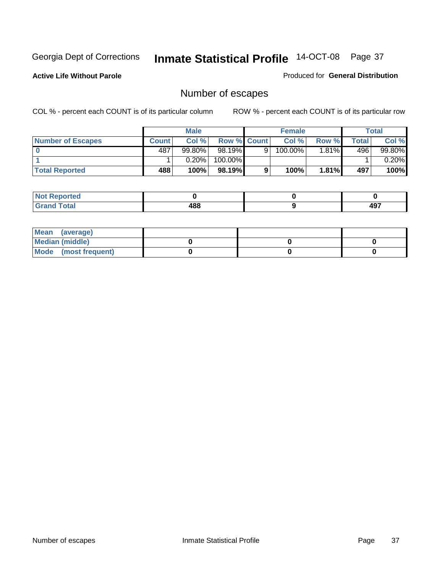**Active Life Without Parole** 

Produced for **General Distribution**

# Number of escapes

|                       |         | <b>Male</b> |                    |   | <b>Female</b> |          |        | <b>Total</b> |
|-----------------------|---------|-------------|--------------------|---|---------------|----------|--------|--------------|
| Number of Escapes     | Count l | Col %       | <b>Row % Count</b> |   | Col %         | Row %    | Total⊥ | Col %        |
|                       | 487     | $99.80\%$   | $98.19\%$          | 9 | 100.00%       | $1.81\%$ | 496    | 99.80%       |
|                       |         | 0.20%       | 100.00%            |   |               |          |        | 0.20%        |
| <b>Total Reported</b> | 488     | 100%        | 98.19%I            |   | 100%          | 1.81%    | 497    | 100%         |

| neo                           |     |                   |
|-------------------------------|-----|-------------------|
| <b>otal</b><br><b>Ul dilu</b> | 488 | 107<br><b>TJ.</b> |

| Mean (average)       |  |  |
|----------------------|--|--|
| Median (middle)      |  |  |
| Mode (most frequent) |  |  |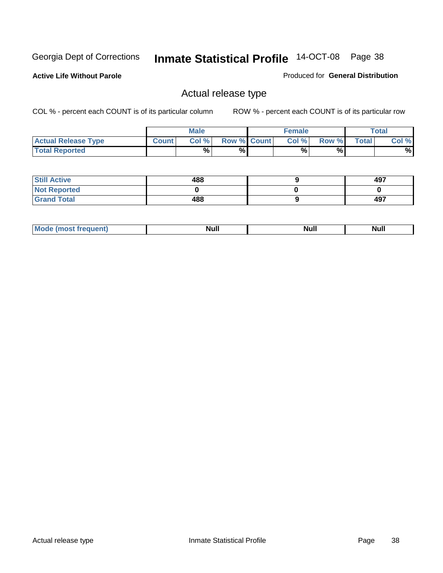**Active Life Without Parole** 

Produced for **General Distribution**

## Actual release type

|                            |              | <b>Male</b> |                    | <b>Female</b> |       |              | Total |
|----------------------------|--------------|-------------|--------------------|---------------|-------|--------------|-------|
| <b>Actual Release Type</b> | <b>Count</b> | Col %       | <b>Row % Count</b> | Col %         | Row % | <b>Total</b> | Col % |
| <b>Total Reported</b>      |              | $\%$        | %                  | %             | %     |              | %     |

| <b>Still Active</b> | 488 | 497 |
|---------------------|-----|-----|
| <b>Not Reported</b> |     |     |
| <b>Grand Total</b>  | 488 | 497 |

| M | Nı.<br><u></u> | ali e<br><u></u> | $\cdots$ |
|---|----------------|------------------|----------|
|   |                |                  |          |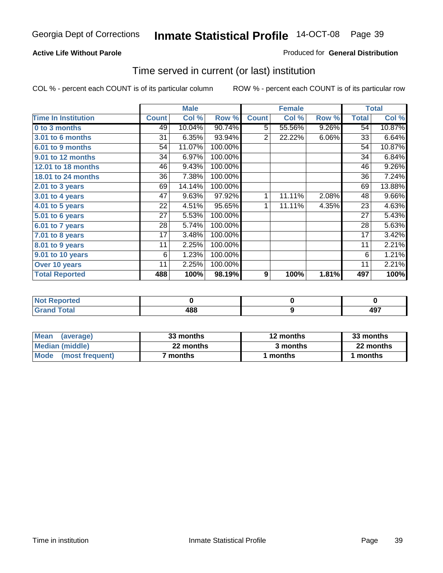### **Active Life Without Parole**

### Produced for **General Distribution**

## Time served in current (or last) institution

|                            |              | <b>Male</b> |         |                  | <b>Female</b> |       |              | <b>Total</b> |
|----------------------------|--------------|-------------|---------|------------------|---------------|-------|--------------|--------------|
| <b>Time In Institution</b> | <b>Count</b> | Col %       | Row %   | <b>Count</b>     | Col %         | Row % | <b>Total</b> | Col %        |
| 0 to 3 months              | 49           | 10.04%      | 90.74%  | 5                | 55.56%        | 9.26% | 54           | 10.87%       |
| 3.01 to 6 months           | 31           | 6.35%       | 93.94%  | 2                | 22.22%        | 6.06% | 33           | 6.64%        |
| 6.01 to 9 months           | 54           | 11.07%      | 100.00% |                  |               |       | 54           | 10.87%       |
| 9.01 to 12 months          | 34           | 6.97%       | 100.00% |                  |               |       | 34           | 6.84%        |
| 12.01 to 18 months         | 46           | 9.43%       | 100.00% |                  |               |       | 46           | 9.26%        |
| 18.01 to 24 months         | 36           | 7.38%       | 100.00% |                  |               |       | 36           | 7.24%        |
| 2.01 to 3 years            | 69           | 14.14%      | 100.00% |                  |               |       | 69           | 13.88%       |
| 3.01 to 4 years            | 47           | 9.63%       | 97.92%  | 1                | 11.11%        | 2.08% | 48           | 9.66%        |
| 4.01 to 5 years            | 22           | 4.51%       | 95.65%  | 1                | 11.11%        | 4.35% | 23           | 4.63%        |
| $5.01$ to 6 years          | 27           | 5.53%       | 100.00% |                  |               |       | 27           | 5.43%        |
| 6.01 to 7 years            | 28           | 5.74%       | 100.00% |                  |               |       | 28           | 5.63%        |
| $7.01$ to 8 years          | 17           | 3.48%       | 100.00% |                  |               |       | 17           | 3.42%        |
| 8.01 to 9 years            | 11           | 2.25%       | 100.00% |                  |               |       | 11           | 2.21%        |
| 9.01 to 10 years           | 6            | 1.23%       | 100.00% |                  |               |       | 6            | 1.21%        |
| Over 10 years              | 11           | 2.25%       | 100.00% |                  |               |       | 11           | 2.21%        |
| <b>Total Reported</b>      | 488          | 100%        | 98.19%  | $\boldsymbol{9}$ | 100%          | 1.81% | 497          | 100%         |

| eported<br><b>NOT</b> |     |          |
|-----------------------|-----|----------|
| <b>otal</b>           | 488 | 407<br>™ |

| <b>Mean</b><br>(average)       | 33 months | 12 months | 33 months |
|--------------------------------|-----------|-----------|-----------|
| Median (middle)                | 22 months | 3 months  | 22 months |
| <b>Mode</b><br>(most frequent) | months    | months    | months    |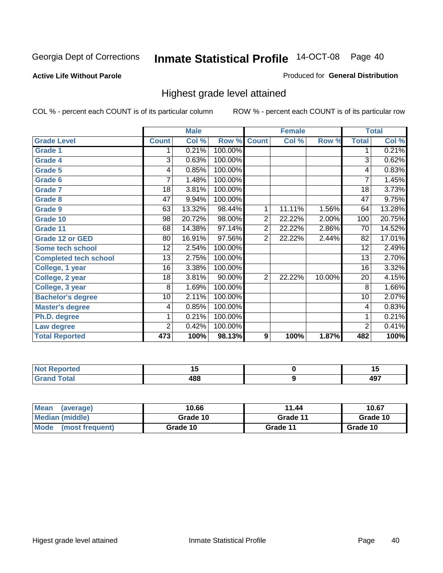## **Active Life Without Parole**

## Produced for **General Distribution**

## Highest grade level attained

|                              |                | <b>Male</b> |         |                | <b>Female</b> |        |                 | <b>Total</b> |
|------------------------------|----------------|-------------|---------|----------------|---------------|--------|-----------------|--------------|
| <b>Grade Level</b>           | <b>Count</b>   | Col %       | Row %   | <b>Count</b>   | Col %         | Row %  | <b>Total</b>    | Col %        |
| <b>Grade 1</b>               | 1              | 0.21%       | 100.00% |                |               |        | 1               | 0.21%        |
| <b>Grade 4</b>               | 3              | 0.63%       | 100.00% |                |               |        | 3               | 0.62%        |
| <b>Grade 5</b>               | 4              | 0.85%       | 100.00% |                |               |        | 4               | 0.83%        |
| Grade 6                      | 7              | 1.48%       | 100.00% |                |               |        | $\overline{7}$  | 1.45%        |
| <b>Grade 7</b>               | 18             | 3.81%       | 100.00% |                |               |        | $\overline{18}$ | 3.73%        |
| <b>Grade 8</b>               | 47             | 9.94%       | 100.00% |                |               |        | 47              | 9.75%        |
| <b>Grade 9</b>               | 63             | 13.32%      | 98.44%  | 1              | 11.11%        | 1.56%  | 64              | 13.28%       |
| Grade 10                     | 98             | 20.72%      | 98.00%  | $\overline{2}$ | 22.22%        | 2.00%  | 100             | 20.75%       |
| Grade 11                     | 68             | 14.38%      | 97.14%  | $\overline{2}$ | 22.22%        | 2.86%  | 70              | 14.52%       |
| <b>Grade 12 or GED</b>       | 80             | 16.91%      | 97.56%  | $\overline{2}$ | 22.22%        | 2.44%  | 82              | 17.01%       |
| <b>Some tech school</b>      | 12             | 2.54%       | 100.00% |                |               |        | $\overline{12}$ | 2.49%        |
| <b>Completed tech school</b> | 13             | 2.75%       | 100.00% |                |               |        | 13              | 2.70%        |
| College, 1 year              | 16             | 3.38%       | 100.00% |                |               |        | 16              | 3.32%        |
| College, 2 year              | 18             | 3.81%       | 90.00%  | $\overline{2}$ | 22.22%        | 10.00% | 20              | 4.15%        |
| College, 3 year              | 8              | 1.69%       | 100.00% |                |               |        | 8               | 1.66%        |
| <b>Bachelor's degree</b>     | 10             | 2.11%       | 100.00% |                |               |        | 10              | 2.07%        |
| <b>Master's degree</b>       | 4              | 0.85%       | 100.00% |                |               |        | 4               | 0.83%        |
| Ph.D. degree                 | 1              | 0.21%       | 100.00% |                |               |        | 1               | 0.21%        |
| Law degree                   | $\overline{2}$ | 0.42%       | 100.00% |                |               |        | $\overline{2}$  | 0.41%        |
| <b>Total Reported</b>        | 473            | 100%        | 98.13%  | 9              | 100%          | 1.87%  | 482             | 100%         |

| тео    |     | יי           |
|--------|-----|--------------|
| $\sim$ | 400 | $\sim$<br>᠇ᢦ |

| <b>Mean</b><br>(average)       | 10.66    | 11.44    | 10.67    |
|--------------------------------|----------|----------|----------|
| Median (middle)                | Grade 10 | Grade 11 | Grade 10 |
| <b>Mode</b><br>(most frequent) | Grade 10 | Grade 11 | Grade 10 |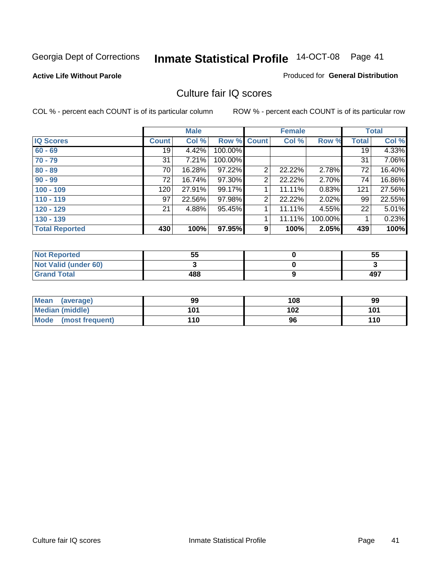### **Active Life Without Parole**

### Produced for **General Distribution**

## Culture fair IQ scores

|                       |              | <b>Male</b> |             |                | <b>Female</b> |         |              | <b>Total</b> |
|-----------------------|--------------|-------------|-------------|----------------|---------------|---------|--------------|--------------|
| <b>IQ Scores</b>      | <b>Count</b> | Col %       | Row % Count |                | Col %         | Row %   | <b>Total</b> | Col %        |
| $60 - 69$             | 19           | 4.42%       | 100.00%     |                |               |         | 19           | 4.33%        |
| $70 - 79$             | 31           | 7.21%       | 100.00%     |                |               |         | 31           | 7.06%        |
| $80 - 89$             | 70           | 16.28%      | 97.22%      | $\overline{2}$ | 22.22%        | 2.78%   | 72           | 16.40%       |
| $90 - 99$             | 72           | 16.74%      | 97.30%      | 2              | 22.22%        | 2.70%   | 74           | 16.86%       |
| $100 - 109$           | 120          | 27.91%      | 99.17%      |                | 11.11%        | 0.83%   | 121          | 27.56%       |
| $110 - 119$           | 97           | 22.56%      | 97.98%      | 2              | 22.22%        | 2.02%   | 99           | 22.55%       |
| $120 - 129$           | 21           | 4.88%       | 95.45%      | 1              | 11.11%        | 4.55%   | 22           | 5.01%        |
| $130 - 139$           |              |             |             |                | 11.11%        | 100.00% |              | 0.23%        |
| <b>Total Reported</b> | 430          | 100%        | 97.95%      | 9              | 100%          | 2.05%   | 439          | 100%         |

| <b>Not Reported</b>  | 55  | 55  |
|----------------------|-----|-----|
| Not Valid (under 60) |     |     |
| <b>Grand Total</b>   | 488 | 497 |

| <b>Mean</b><br>(average) | 99  | 108 | 99  |
|--------------------------|-----|-----|-----|
| <b>Median (middle)</b>   | 101 | 102 | 101 |
| Mode (most frequent)     | 110 | 96  | 110 |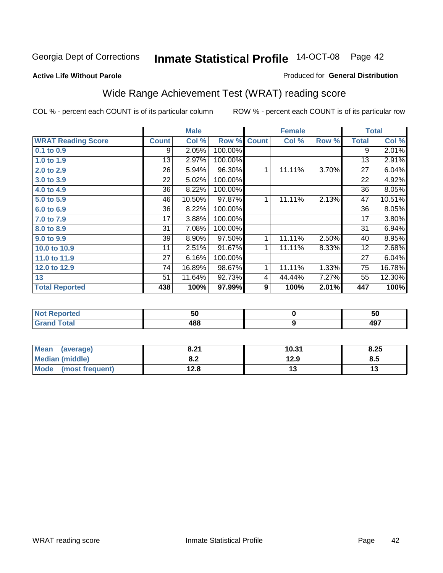### **Active Life Without Parole**

## Produced for **General Distribution**

# Wide Range Achievement Test (WRAT) reading score

|                           |                 | <b>Male</b> |         |              | <b>Female</b>    |       |                 | <b>Total</b> |
|---------------------------|-----------------|-------------|---------|--------------|------------------|-------|-----------------|--------------|
| <b>WRAT Reading Score</b> | <b>Count</b>    | Col %       | Row %   | <b>Count</b> | Col %            | Row % | <b>Total</b>    | Col %        |
| 0.1 to 0.9                | 9               | 2.05%       | 100.00% |              |                  |       | $\overline{9}$  | 2.01%        |
| 1.0 to 1.9                | 13              | 2.97%       | 100.00% |              |                  |       | 13              | 2.91%        |
| 2.0 to 2.9                | $\overline{26}$ | 5.94%       | 96.30%  | 1            | 11.11%           | 3.70% | $\overline{27}$ | 6.04%        |
| 3.0 to 3.9                | 22              | 5.02%       | 100.00% |              |                  |       | 22              | 4.92%        |
| 4.0 to 4.9                | 36              | 8.22%       | 100.00% |              |                  |       | 36              | 8.05%        |
| 5.0 to 5.9                | 46              | 10.50%      | 97.87%  | $\mathbf{1}$ | 11.11%           | 2.13% | 47              | 10.51%       |
| 6.0 to 6.9                | 36              | 8.22%       | 100.00% |              |                  |       | 36              | 8.05%        |
| 7.0 to 7.9                | 17              | 3.88%       | 100.00% |              |                  |       | 17              | 3.80%        |
| 8.0 to 8.9                | 31              | 7.08%       | 100.00% |              |                  |       | 31              | 6.94%        |
| 9.0 to 9.9                | 39              | 8.90%       | 97.50%  | 1            | 11.11%           | 2.50% | 40              | 8.95%        |
| 10.0 to 10.9              | 11              | 2.51%       | 91.67%  | 1            | 11.11%           | 8.33% | 12              | 2.68%        |
| 11.0 to 11.9              | 27              | 6.16%       | 100.00% |              |                  |       | 27              | 6.04%        |
| 12.0 to 12.9              | 74              | 16.89%      | 98.67%  | 1            | 11.11%           | 1.33% | 75              | 16.78%       |
| 13                        | 51              | 11.64%      | 92.73%  | 4            | 44.44%           | 7.27% | 55              | 12.30%       |
| <b>Total Reported</b>     | 438             | 100%        | 97.99%  | 9            | 100%             | 2.01% | 447             | 100%         |
|                           |                 |             |         |              |                  |       |                 |              |
| <b>Not Reported</b>       |                 | 50          |         |              | $\pmb{0}$        |       |                 | 50           |
| <b>Grand Total</b>        |                 | 488         |         |              | $\boldsymbol{9}$ |       |                 | 497          |

| <b>Mean</b><br>(average) | 8.21       | 10.31 | 8.25 |
|--------------------------|------------|-------|------|
| Median (middle)          | י ס<br>0.Z | 12.9  | 8.5  |
| Mode (most frequent)     | 12.8       | ט ו   |      |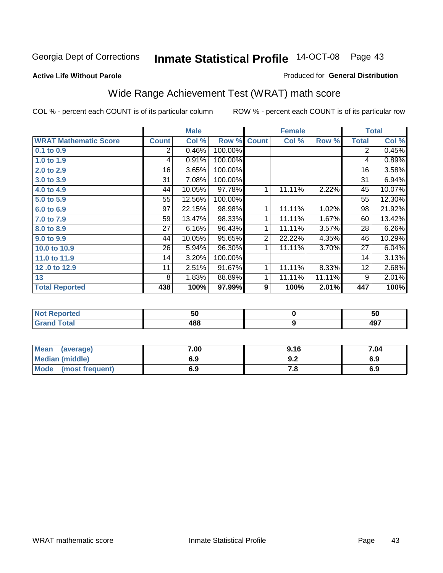**Active Life Without Parole** 

### Produced for **General Distribution**

# Wide Range Achievement Test (WRAT) math score

|                              |              | <b>Male</b> |         |                | <b>Female</b> |        |              | <b>Total</b> |
|------------------------------|--------------|-------------|---------|----------------|---------------|--------|--------------|--------------|
| <b>WRAT Mathematic Score</b> | <b>Count</b> | Col %       | Row %   | <b>Count</b>   | Col %         | Row %  | <b>Total</b> | Col %        |
| 0.1 to 0.9                   | 2            | 0.46%       | 100.00% |                |               |        | 2            | 0.45%        |
| 1.0 to 1.9                   | 4            | 0.91%       | 100.00% |                |               |        | 4            | 0.89%        |
| 2.0 to 2.9                   | 16           | 3.65%       | 100.00% |                |               |        | 16           | 3.58%        |
| 3.0 to 3.9                   | 31           | 7.08%       | 100.00% |                |               |        | 31           | 6.94%        |
| 4.0 to 4.9                   | 44           | 10.05%      | 97.78%  | 1              | 11.11%        | 2.22%  | 45           | 10.07%       |
| 5.0 to 5.9                   | 55           | 12.56%      | 100.00% |                |               |        | 55           | 12.30%       |
| 6.0 to 6.9                   | 97           | 22.15%      | 98.98%  | 1              | 11.11%        | 1.02%  | 98           | 21.92%       |
| 7.0 to 7.9                   | 59           | 13.47%      | 98.33%  | 1              | 11.11%        | 1.67%  | 60           | 13.42%       |
| 8.0 to 8.9                   | 27           | 6.16%       | 96.43%  | 1              | 11.11%        | 3.57%  | 28           | 6.26%        |
| 9.0 to 9.9                   | 44           | 10.05%      | 95.65%  | $\overline{2}$ | 22.22%        | 4.35%  | 46           | 10.29%       |
| 10.0 to 10.9                 | 26           | 5.94%       | 96.30%  | 1              | 11.11%        | 3.70%  | 27           | 6.04%        |
| 11.0 to 11.9                 | 14           | 3.20%       | 100.00% |                |               |        | 14           | 3.13%        |
| 12.0 to 12.9                 | 11           | 2.51%       | 91.67%  | 1              | 11.11%        | 8.33%  | 12           | 2.68%        |
| 13                           | 8            | 1.83%       | 88.89%  | 1              | 11.11%        | 11.11% | 9            | 2.01%        |
| <b>Total Reported</b>        | 438          | 100%        | 97.99%  | 9              | 100%          | 2.01%  | 447          | 100%         |
|                              |              |             |         |                |               |        |              |              |

| <b>Not Reported</b> | - -<br>วบ | 50                |
|---------------------|-----------|-------------------|
| <b>Grand Total</b>  | 488       | AQ7<br><b>. .</b> |

| Mean (average)         | 7.00 | 9.16 | 7.04 |
|------------------------|------|------|------|
| <b>Median (middle)</b> | 6.9  | J.Z  | 6.9  |
| Mode (most frequent)   | 6.9  | 7.a  | 6.9  |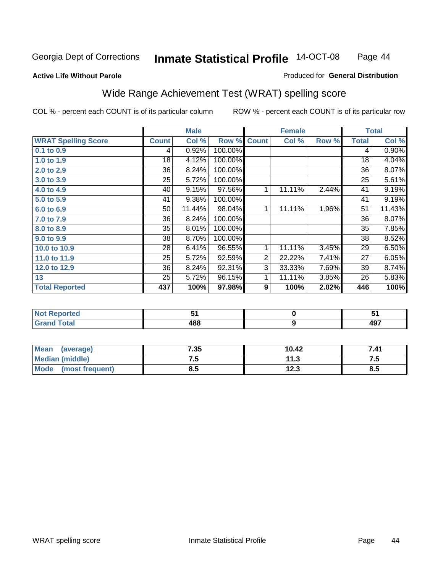### **Active Life Without Parole**

## Produced for **General Distribution**

# Wide Range Achievement Test (WRAT) spelling score

|                            |              | <b>Male</b> |         |                | <b>Female</b>    |       |              | <b>Total</b> |
|----------------------------|--------------|-------------|---------|----------------|------------------|-------|--------------|--------------|
| <b>WRAT Spelling Score</b> | <b>Count</b> | Col %       | Row %   | <b>Count</b>   | Col %            | Row % | <b>Total</b> | Col %        |
| $0.1$ to $0.9$             | 4            | 0.92%       | 100.00% |                |                  |       | 4            | 0.90%        |
| 1.0 to 1.9                 | 18           | 4.12%       | 100.00% |                |                  |       | 18           | 4.04%        |
| 2.0 to 2.9                 | 36           | 8.24%       | 100.00% |                |                  |       | 36           | 8.07%        |
| 3.0 to 3.9                 | 25           | 5.72%       | 100.00% |                |                  |       | 25           | 5.61%        |
| 4.0 to 4.9                 | 40           | 9.15%       | 97.56%  | 1              | 11.11%           | 2.44% | 41           | 9.19%        |
| 5.0 to 5.9                 | 41           | 9.38%       | 100.00% |                |                  |       | 41           | 9.19%        |
| 6.0 to 6.9                 | 50           | 11.44%      | 98.04%  | 1              | 11.11%           | 1.96% | 51           | 11.43%       |
| 7.0 to 7.9                 | 36           | 8.24%       | 100.00% |                |                  |       | 36           | 8.07%        |
| 8.0 to 8.9                 | 35           | 8.01%       | 100.00% |                |                  |       | 35           | 7.85%        |
| 9.0 to 9.9                 | 38           | 8.70%       | 100.00% |                |                  |       | 38           | 8.52%        |
| 10.0 to 10.9               | 28           | 6.41%       | 96.55%  | 1              | 11.11%           | 3.45% | 29           | 6.50%        |
| 11.0 to 11.9               | 25           | 5.72%       | 92.59%  | $\overline{2}$ | 22.22%           | 7.41% | 27           | 6.05%        |
| 12.0 to 12.9               | 36           | 8.24%       | 92.31%  | $\overline{3}$ | 33.33%           | 7.69% | 39           | 8.74%        |
| 13                         | 25           | 5.72%       | 96.15%  | 1              | 11.11%           | 3.85% | 26           | 5.83%        |
| <b>Total Reported</b>      | 437          | 100%        | 97.98%  | 9              | 100%             | 2.02% | 446          | 100%         |
|                            |              |             |         |                |                  |       |              |              |
| <b>Not Reported</b>        |              | 51          |         |                | $\pmb{0}$        |       |              | 51           |
| <b>Grand Total</b>         |              | 488         |         |                | $\boldsymbol{9}$ |       |              | 497          |

| <b>Mean</b><br>(average)       | 7.35 | 10.42         | .41 |
|--------------------------------|------|---------------|-----|
| <b>Median (middle)</b>         | ⊶י   | 11.3          |     |
| <b>Mode</b><br>(most frequent) | 0.J  | 1つ ?<br>1 Z.J | 8.5 |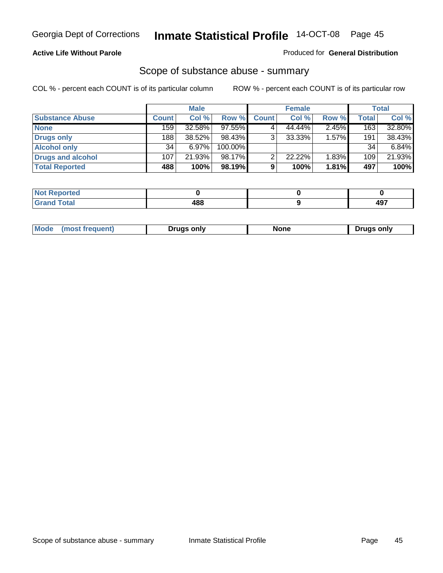### **Active Life Without Parole**

### Produced for **General Distribution**

## Scope of substance abuse - summary

|                        |       | <b>Male</b> |         |              | <b>Female</b> |       |              | <b>Total</b> |
|------------------------|-------|-------------|---------|--------------|---------------|-------|--------------|--------------|
| <b>Substance Abuse</b> | Count | Col %       | Row %   | <b>Count</b> | Col %         | Row % | <b>Total</b> | Col %        |
| <b>None</b>            | 159   | 32.58%      | 97.55%  |              | 44.44%        | 2.45% | 163          | 32.80%       |
| Drugs only             | 188   | 38.52%      | 98.43%  |              | $33.33\%$     | 1.57% | 191          | 38.43%       |
| <b>Alcohol only</b>    | 34    | 6.97%       | 100.00% |              |               |       | 34           | 6.84%        |
| Drugs and alcohol      | 107   | 21.93%      | 98.17%  |              | 22.22%        | 1.83% | 109          | 21.93%       |
| <b>Total Reported</b>  | 488   | 100%        | 98.19%  | 9            | 100%          | 1.81% | 497          | 100%         |

| <b>Not</b><br><b>Reported</b> |     |     |
|-------------------------------|-----|-----|
| <b>Total</b><br><b>Grand</b>  | 488 | 407 |

|  | Mode<br>ונוצוווי | Druas onlv | None | only<br>Pruas . |
|--|------------------|------------|------|-----------------|
|--|------------------|------------|------|-----------------|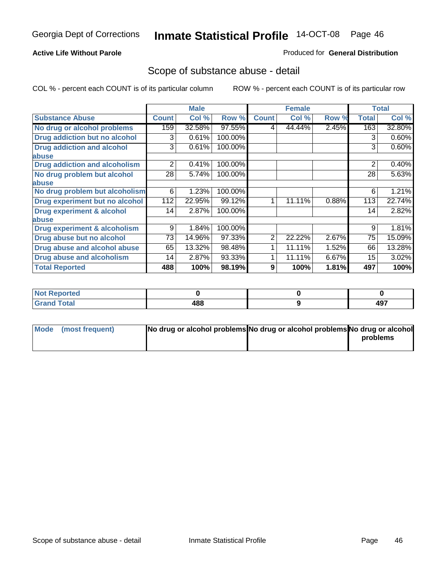### **Active Life Without Parole**

### Produced for **General Distribution**

## Scope of substance abuse - detail

|                                         |              | <b>Male</b> |         |                | <b>Female</b> |       |              | <b>Total</b> |
|-----------------------------------------|--------------|-------------|---------|----------------|---------------|-------|--------------|--------------|
| <b>Substance Abuse</b>                  | <b>Count</b> | Col %       | Row %   | <b>Count</b>   | Col %         | Row % | <b>Total</b> | Col %        |
| No drug or alcohol problems             | 159          | 32.58%      | 97.55%  | 4              | 44.44%        | 2.45% | 163          | 32.80%       |
| Drug addiction but no alcohol           | 3            | 0.61%       | 100.00% |                |               |       | 3            | 0.60%        |
| <b>Drug addiction and alcohol</b>       | 3            | 0.61%       | 100.00% |                |               |       | 3            | 0.60%        |
| abuse                                   |              |             |         |                |               |       |              |              |
| <b>Drug addiction and alcoholism</b>    | 2            | 0.41%       | 100.00% |                |               |       | 2            | 0.40%        |
| No drug problem but alcohol             | 28           | 5.74%       | 100.00% |                |               |       | 28           | 5.63%        |
| abuse                                   |              |             |         |                |               |       |              |              |
| No drug problem but alcoholism          | 6            | 1.23%       | 100.00% |                |               |       | 6            | 1.21%        |
| Drug experiment but no alcohol          | 112          | 22.95%      | 99.12%  | 1              | 11.11%        | 0.88% | 113          | 22.74%       |
| <b>Drug experiment &amp; alcohol</b>    | 14           | 2.87%       | 100.00% |                |               |       | 14           | 2.82%        |
| abuse                                   |              |             |         |                |               |       |              |              |
| <b>Drug experiment &amp; alcoholism</b> | 9            | 1.84%       | 100.00% |                |               |       | 9            | 1.81%        |
| Drug abuse but no alcohol               | 73           | 14.96%      | 97.33%  | $\overline{2}$ | 22.22%        | 2.67% | 75           | 15.09%       |
| Drug abuse and alcohol abuse            | 65           | 13.32%      | 98.48%  |                | 11.11%        | 1.52% | 66           | 13.28%       |
| Drug abuse and alcoholism               | 14           | 2.87%       | 93.33%  |                | 11.11%        | 6.67% | 15           | 3.02%        |
| <b>Total Reported</b>                   | 488          | 100%        | 98.19%  | 9              | 100%          | 1.81% | 497          | 100%         |

| <b>Not Reported</b>    |     |            |
|------------------------|-----|------------|
| <b>Total</b><br>$\sim$ | 488 | 107<br>┱┛╹ |

| Mode (most frequent) | No drug or alcohol problems No drug or alcohol problems No drug or alcohol |          |
|----------------------|----------------------------------------------------------------------------|----------|
|                      |                                                                            | problems |
|                      |                                                                            |          |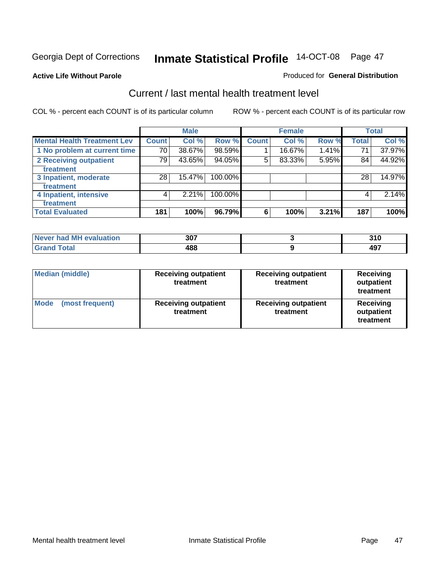**Active Life Without Parole** 

## Produced for **General Distribution**

## Current / last mental health treatment level

|                                    |              | <b>Male</b> |         |              | <b>Female</b> |       |              | <b>Total</b> |
|------------------------------------|--------------|-------------|---------|--------------|---------------|-------|--------------|--------------|
| <b>Mental Health Treatment Lev</b> | <b>Count</b> | Col %       | Row %   | <b>Count</b> | Col %         | Row % | <b>Total</b> | Col %        |
| 1 No problem at current time       | 70           | 38.67%      | 98.59%  |              | 16.67%        | 1.41% | 71           | 37.97%       |
| 2 Receiving outpatient             | 79           | 43.65%      | 94.05%  | 5            | 83.33%        | 5.95% | 84           | 44.92%       |
| treatment                          |              |             |         |              |               |       |              |              |
| 3 Inpatient, moderate              | 28           | 15.47%      | 100.00% |              |               |       | 28           | 14.97%       |
| treatment                          |              |             |         |              |               |       |              |              |
| 4 Inpatient, intensive             | 4            | 2.21%       | 100.00% |              |               |       | 4            | 2.14%        |
| treatment                          |              |             |         |              |               |       |              |              |
| <b>Total Evaluated</b>             | 181          | 100%        | 96.79%  | 6            | 100%          | 3.21% | 187          | 100%         |

| Never had MH evaluation | 307 | 946<br>J I U |
|-------------------------|-----|--------------|
| $T0$ tol                | 488 | 107<br>1J    |

| <b>Median (middle)</b>         | <b>Receiving outpatient</b><br>treatment | <b>Receiving outpatient</b><br>treatment | <b>Receiving</b><br>outpatient<br>treatment |
|--------------------------------|------------------------------------------|------------------------------------------|---------------------------------------------|
| <b>Mode</b><br>(most frequent) | <b>Receiving outpatient</b><br>treatment | <b>Receiving outpatient</b><br>treatment | Receiving<br>outpatient<br>treatment        |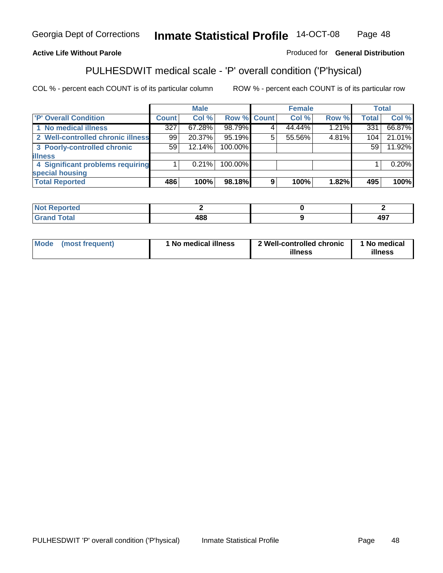## **Active Life Without Parole**

## Produced for **General Distribution**

# PULHESDWIT medical scale - 'P' overall condition ('P'hysical)

|                                   |              | <b>Male</b> |             |    | <b>Female</b> |          |              | <b>Total</b> |
|-----------------------------------|--------------|-------------|-------------|----|---------------|----------|--------------|--------------|
| <b>P' Overall Condition</b>       | <b>Count</b> | Col %       | Row % Count |    | Col %         | Row %    | <b>Total</b> | Col %        |
| 1 No medical illness              | 327          | 67.28%      | 98.79%      |    | 44.44%        | $1.21\%$ | 331          | 66.87%       |
| 2 Well-controlled chronic illness | 99           | 20.37%      | 95.19%      | 5. | 55.56%        | 4.81%    | 104          | 21.01%       |
| 3 Poorly-controlled chronic       | 59           | $12.14\%$   | 100.00%     |    |               |          | 59           | 11.92%       |
| <b>illness</b>                    |              |             |             |    |               |          |              |              |
| 4 Significant problems requiring  |              | $0.21\%$    | 100.00%     |    |               |          |              | 0.20%        |
| special housing                   |              |             |             |    |               |          |              |              |
| <b>Total Reported</b>             | 486          | 100%        | 98.18%      | 9  | 100%          | 1.82%    | 495          | 100%         |

| Not Reported |            |            |
|--------------|------------|------------|
| <b>otal</b>  | 400<br>.00 | 107<br>491 |

| <b>Mode</b>     | ' No medical illness | 2 Well-controlled chronic | 1 No medical |
|-----------------|----------------------|---------------------------|--------------|
| (most frequent) |                      | illness                   | illness      |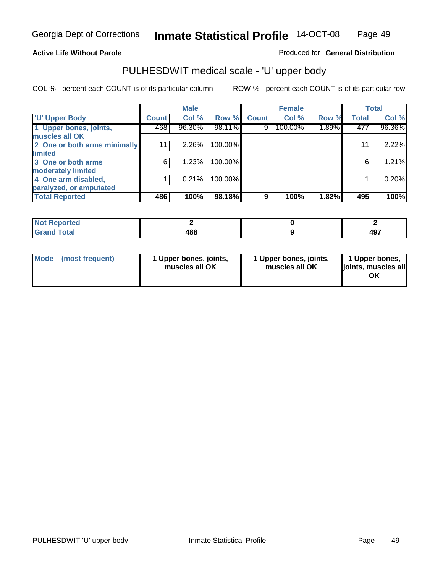## **Active Life Without Parole**

Produced for **General Distribution**

# PULHESDWIT medical scale - 'U' upper body

|                              |                    | <b>Male</b> |         |              | <b>Female</b> |       |              | <b>Total</b> |
|------------------------------|--------------------|-------------|---------|--------------|---------------|-------|--------------|--------------|
| <b>TU' Upper Body</b>        | Count <sup>1</sup> | Col %       | Row %   | <b>Count</b> | Col %         | Row % | <b>Total</b> | Col %        |
| 1 Upper bones, joints,       | 468                | 96.30%      | 98.11%  | 9            | 100.00%       | 1.89% | 477          | 96.36%       |
| muscles all OK               |                    |             |         |              |               |       |              |              |
| 2 One or both arms minimally | 11                 | 2.26%       | 100.00% |              |               |       | 11           | 2.22%        |
| limited                      |                    |             |         |              |               |       |              |              |
| 3 One or both arms           | 6                  | 1.23%       | 100.00% |              |               |       | 6            | 1.21%        |
| moderately limited           |                    |             |         |              |               |       |              |              |
| 4 One arm disabled,          |                    | 0.21%       | 100.00% |              |               |       |              | 0.20%        |
| paralyzed, or amputated      |                    |             |         |              |               |       |              |              |
| <b>Total Reported</b>        | 486                | 100%        | 98.18%  | 9            | 100%          | 1.82% | 495          | 100%         |

| and a series<br>τeα<br>'N I<br>. |     |                   |
|----------------------------------|-----|-------------------|
| <b>Cotol</b><br>υιαι<br>-        | 488 | 107<br><b>TV.</b> |

| <b>Mode</b> | (most frequent) | 1 Upper bones, joints,<br>muscles all OK | 1 Upper bones, joints,<br>muscles all OK | 1 Upper bones,<br>joints, muscles all<br>OK |
|-------------|-----------------|------------------------------------------|------------------------------------------|---------------------------------------------|
|-------------|-----------------|------------------------------------------|------------------------------------------|---------------------------------------------|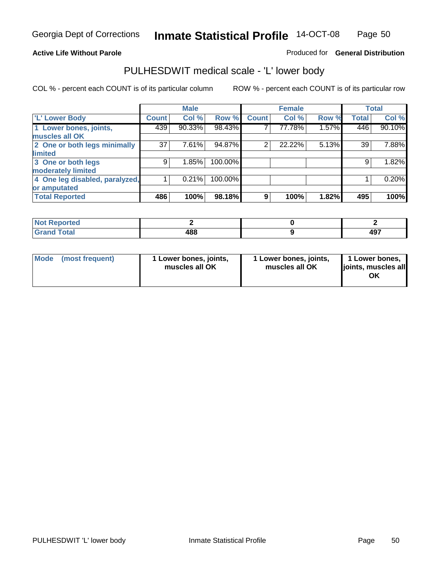### **Active Life Without Parole**

### Produced for **General Distribution**

## PULHESDWIT medical scale - 'L' lower body

|                                |              | <b>Male</b> |         |              | <b>Female</b> |       |              | <b>Total</b> |
|--------------------------------|--------------|-------------|---------|--------------|---------------|-------|--------------|--------------|
| 'L' Lower Body                 | <b>Count</b> | Col %       | Row %   | <b>Count</b> | Col %         | Row % | <b>Total</b> | Col %        |
| 1 Lower bones, joints,         | 439          | 90.33%      | 98.43%  |              | 77.78%        | 1.57% | 446          | 90.10%       |
| muscles all OK                 |              |             |         |              |               |       |              |              |
| 2 One or both legs minimally   | 37           | 7.61%       | 94.87%  | 2            | 22.22%        | 5.13% | 39           | 7.88%        |
| limited                        |              |             |         |              |               |       |              |              |
| 3 One or both legs             | 9            | 1.85%       | 100.00% |              |               |       | 9            | 1.82%        |
| moderately limited             |              |             |         |              |               |       |              |              |
| 4 One leg disabled, paralyzed, |              | 0.21%       | 100.00% |              |               |       |              | 0.20%        |
| or amputated                   |              |             |         |              |               |       |              |              |
| <b>Total Reported</b>          | 486          | 100%        | 98.18%  | 9            | 100%          | 1.82% | 495          | 100%         |

| <b>rted</b><br>N                      |     |                                      |
|---------------------------------------|-----|--------------------------------------|
| $f \wedge f \wedge f'$<br>ι υιαι<br>. | 488 | $\Lambda$ <sup>-</sup><br><b>. .</b> |

|  | Mode (most frequent) | 1 Lower bones, joints,<br>muscles all OK | 1 Lower bones, joints,<br>muscles all OK | 1 Lower bones,<br>joints, muscles all<br>OK |
|--|----------------------|------------------------------------------|------------------------------------------|---------------------------------------------|
|--|----------------------|------------------------------------------|------------------------------------------|---------------------------------------------|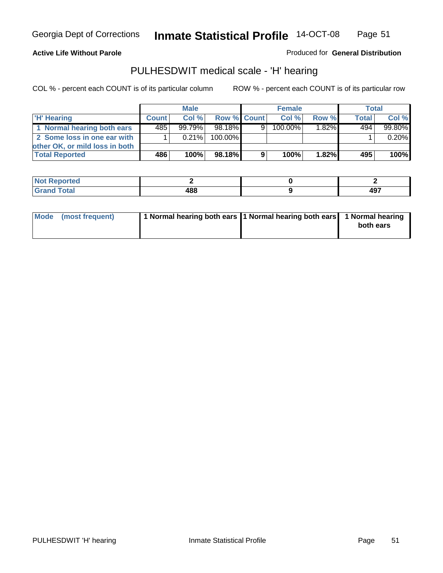**Active Life Without Parole** 

Produced for **General Distribution**

## PULHESDWIT medical scale - 'H' hearing

|                                |              | <b>Male</b> |                       |   | <b>Female</b> |                     | Total        |         |
|--------------------------------|--------------|-------------|-----------------------|---|---------------|---------------------|--------------|---------|
| 'H' Hearing                    | <b>Count</b> | Col%        | Row % Count           |   | Col%          | Row %               | <b>Total</b> | Col %   |
| 1 Normal hearing both ears     | 485          | $99.79\%$   | 98.18 $\overline{\%}$ | 9 | $100.00\%$    | $1.\overline{82\%}$ | 494          | 99.80%  |
| 2 Some loss in one ear with    |              | 0.21%       | 100.00%               |   |               |                     |              | 0.20%   |
| other OK, or mild loss in both |              |             |                       |   |               |                     |              |         |
| <b>Total Reported</b>          | 486          | 100%        | 98.18%                | 9 | 100%          | 1.82%               | 495          | $100\%$ |

| --- | 100 | "~  |
|-----|-----|-----|
|     | __  | 471 |

| Mode (most frequent) | 1 Normal hearing both ears 1 Normal hearing both ears 1 Normal hearing | both ears |
|----------------------|------------------------------------------------------------------------|-----------|
|                      |                                                                        |           |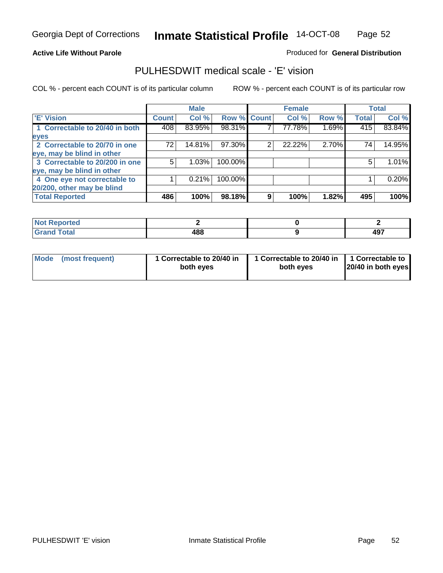### **Active Life Without Parole**

### Produced for **General Distribution**

## PULHESDWIT medical scale - 'E' vision

|                                |       | <b>Male</b> |             |   | <b>Female</b> |       |              | <b>Total</b> |
|--------------------------------|-------|-------------|-------------|---|---------------|-------|--------------|--------------|
| <b>E' Vision</b>               | Count | Col %       | Row % Count |   | Col %         | Row % | <b>Total</b> | Col %        |
| 1 Correctable to 20/40 in both | 408   | 83.95%      | 98.31%      |   | 77.78%        | 1.69% | 415          | 83.84%       |
| eyes                           |       |             |             |   |               |       |              |              |
| 2 Correctable to 20/70 in one  | 72    | 14.81%      | 97.30%      | 2 | 22.22%        | 2.70% | 74           | 14.95%       |
| eye, may be blind in other     |       |             |             |   |               |       |              |              |
| 3 Correctable to 20/200 in one | 5.    | 1.03%       | 100.00%     |   |               |       | 5            | 1.01%        |
| eye, may be blind in other     |       |             |             |   |               |       |              |              |
| 4 One eye not correctable to   |       | 0.21%       | 100.00%     |   |               |       |              | 0.20%        |
| 20/200, other may be blind     |       |             |             |   |               |       |              |              |
| <b>Total Reported</b>          | 486   | 100%        | 98.18%      | 9 | 100%          | 1.82% | 495          | 100%         |

| <b>Not Reported</b> |     |      |
|---------------------|-----|------|
| <b>Total</b>        | 400 | 107  |
| r                   | 400 | TV 1 |

| Mode (most frequent) | 1 Correctable to 20/40 in<br>both eves | 1 Correctable to 20/40 in   1 Correctable to  <br>both eves | 20/40 in both eyes |
|----------------------|----------------------------------------|-------------------------------------------------------------|--------------------|
|----------------------|----------------------------------------|-------------------------------------------------------------|--------------------|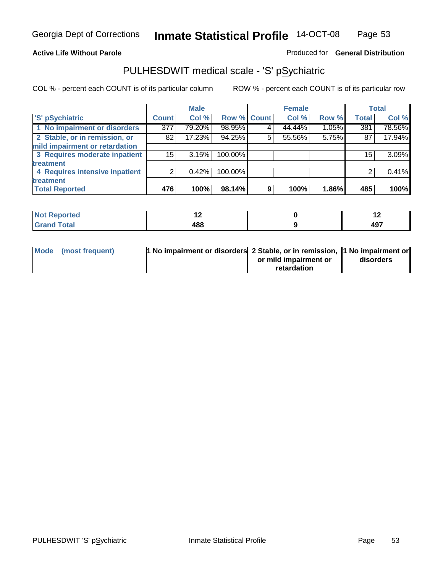## **Active Life Without Parole**

## Produced for **General Distribution**

## PULHESDWIT medical scale - 'S' pSychiatric

|                                |              | <b>Male</b> |             |   | <b>Female</b> |       |              | <b>Total</b> |
|--------------------------------|--------------|-------------|-------------|---|---------------|-------|--------------|--------------|
| 'S' pSychiatric                | <b>Count</b> | Col %       | Row % Count |   | Col %         | Row % | <b>Total</b> | Col %        |
| 1 No impairment or disorders   | 377          | 79.20%      | 98.95%      |   | 44.44%        | 1.05% | 381          | 78.56%       |
| 2 Stable, or in remission, or  | 82           | 17.23%      | 94.25%      | 5 | 55.56%        | 5.75% | 87           | 17.94%       |
| mild impairment or retardation |              |             |             |   |               |       |              |              |
| 3 Requires moderate inpatient  | 15           | 3.15%       | 100.00%     |   |               |       | 15           | 3.09%        |
| treatment                      |              |             |             |   |               |       |              |              |
| 4 Requires intensive inpatient |              | $0.42\%$    | 100.00%     |   |               |       |              | 0.41%        |
| treatment                      |              |             |             |   |               |       |              |              |
| <b>Total Reported</b>          | 476          | 100%        | 98.14%      | 9 | 100%          | 1.86% | 485          | 100%         |

| prieo       |            | . .       |
|-------------|------------|-----------|
| <b>otal</b> | 400<br>400 | AQ7<br>−. |

| Mode (most frequent) | 1 No impairment or disorders 2 Stable, or in remission, 11 No impairment or |                       |           |
|----------------------|-----------------------------------------------------------------------------|-----------------------|-----------|
|                      |                                                                             | or mild impairment or | disorders |
|                      |                                                                             | retardation           |           |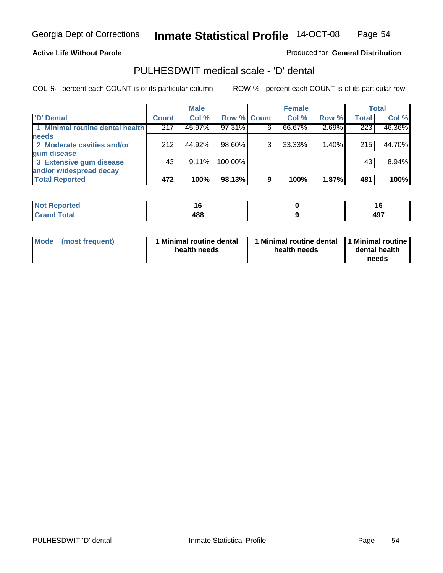### **Active Life Without Parole**

### Produced for **General Distribution**

## PULHESDWIT medical scale - 'D' dental

|                                 |              | <b>Male</b> |             |    | <b>Female</b> |       |              | <b>Total</b> |
|---------------------------------|--------------|-------------|-------------|----|---------------|-------|--------------|--------------|
| <b>D' Dental</b>                | <b>Count</b> | Col %       | Row % Count |    | Col %         | Row % | <b>Total</b> | Col %        |
| 1 Minimal routine dental health | 217          | 45.97%      | 97.31%      | 6. | 66.67%        | 2.69% | 223          | 46.36%       |
| <b>needs</b>                    |              |             |             |    |               |       |              |              |
| 2 Moderate cavities and/or      | 212          | 44.92%      | 98.60%      | 3  | 33.33%        | 1.40% | 215          | 44.70%       |
| gum disease                     |              |             |             |    |               |       |              |              |
| 3 Extensive gum disease         | 43           | $9.11\%$    | 100.00%     |    |               |       | 43           | 8.94%        |
| and/or widespread decay         |              |             |             |    |               |       |              |              |
| <b>Total Reported</b>           | 472          | 100%        | 98.13%      | 9  | 100%          | 1.87% | 481          | 100%         |

| المراجع بالناسب<br>N<br>тео | ı.<br>$\sim$ | . .        |
|-----------------------------|--------------|------------|
| . <u>.</u>                  | 488<br>$ -$  | 107<br>771 |

| Mode (most frequent) | <b>Minimal routine dental</b><br>health needs | 1 Minimal routine dental<br>health needs | 1 Minimal routine<br>dental health<br>needs |
|----------------------|-----------------------------------------------|------------------------------------------|---------------------------------------------|
|----------------------|-----------------------------------------------|------------------------------------------|---------------------------------------------|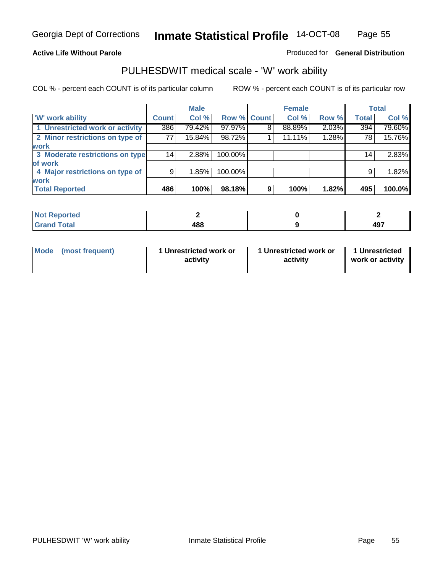### **Active Life Without Parole**

### Produced for **General Distribution**

## PULHESDWIT medical scale - 'W' work ability

|                                 |              | <b>Male</b> |             |   | <b>Female</b> |       |                 | <b>Total</b> |
|---------------------------------|--------------|-------------|-------------|---|---------------|-------|-----------------|--------------|
| <b>W' work ability</b>          | <b>Count</b> | Col %       | Row % Count |   | Col %         | Row % | <b>Total</b>    | Col %        |
| 1 Unrestricted work or activity | 386          | 79.42%      | 97.97%      | 8 | 88.89%        | 2.03% | 394             | 79.60%       |
| 2 Minor restrictions on type of | 77           | 15.84%      | 98.72%      |   | 11.11%        | 1.28% | 78              | 15.76%       |
| <b>work</b>                     |              |             |             |   |               |       |                 |              |
| 3 Moderate restrictions on type | 14           | 2.88%       | 100.00%     |   |               |       | 14 <sub>1</sub> | 2.83%        |
| of work                         |              |             |             |   |               |       |                 |              |
| 4 Major restrictions on type of | 9            | 1.85%       | 100.00%     |   |               |       | 9               | 1.82%        |
| <b>work</b>                     |              |             |             |   |               |       |                 |              |
| <b>Total Reported</b>           | 486          | 100%        | 98.18%      | 9 | 100%          | 1.82% | 495             | 100.0%       |

| <b>orted</b><br>NO:                 |            |     |
|-------------------------------------|------------|-----|
| $F \sim f \sim f$<br>υιαι<br>------ | 400<br>400 | 497 |

| Mode | (most frequent) | 1 Unrestricted work or<br>activity | 1 Unrestricted work or<br>activity | 1 Unrestricted<br>work or activity |
|------|-----------------|------------------------------------|------------------------------------|------------------------------------|
|      |                 |                                    |                                    |                                    |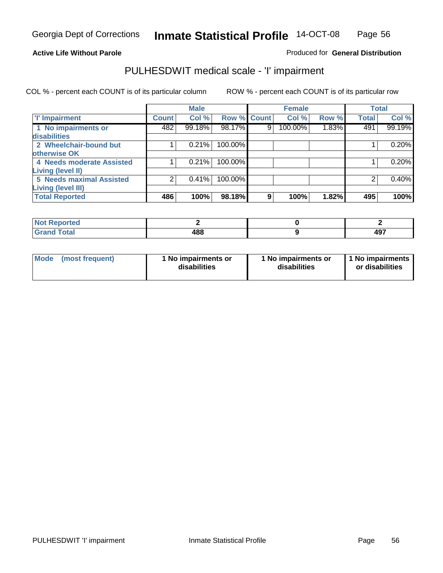### **Active Life Without Parole**

## Produced for **General Distribution**

## PULHESDWIT medical scale - 'I' impairment

|                                                    |              | <b>Male</b> |             |   | <b>Female</b> |       |              | <b>Total</b> |
|----------------------------------------------------|--------------|-------------|-------------|---|---------------|-------|--------------|--------------|
| <b>T' Impairment</b>                               | <b>Count</b> | Col %       | Row % Count |   | Col %         | Row % | <b>Total</b> | Col %        |
| 1 No impairments or<br>disabilities                | 482          | 99.18%      | 98.17%      | 9 | 100.00%       | 1.83% | 491          | 99.19%       |
| 2 Wheelchair-bound but<br>otherwise OK             |              | 0.21%       | 100.00%     |   |               |       |              | 0.20%        |
| 4 Needs moderate Assisted                          |              | 0.21%       | 100.00%     |   |               |       |              | 0.20%        |
| Living (level II)<br>5 Needs maximal Assisted      |              | 0.41%       | 100.00%     |   |               |       |              | 0.40%        |
| <b>Living (level III)</b><br><b>Total Reported</b> | 486          | 100%        | 98.18%      | 9 | 100%          | 1.82% | 495          | 100%         |

| Reported            |     |           |
|---------------------|-----|-----------|
| <b>Total</b><br>Gra | 488 | 107<br>᠇᠊ |

| Mode | (most frequent) | 1 No impairments or<br>disabilities | 1 No impairments or<br>disabilities | 1 No impairments  <br>or disabilities |
|------|-----------------|-------------------------------------|-------------------------------------|---------------------------------------|
|------|-----------------|-------------------------------------|-------------------------------------|---------------------------------------|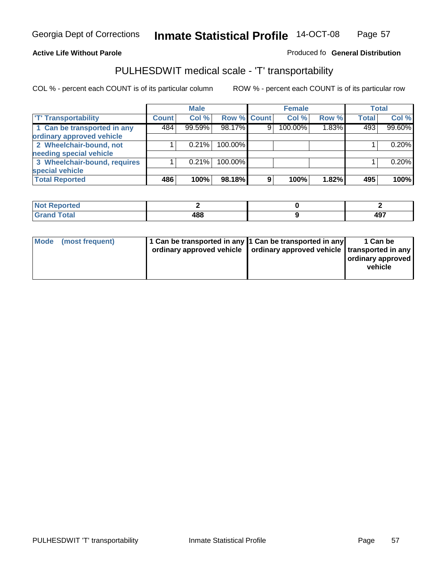### **Inmate Statistical Profile** 14-OCT-08 Page Page 57

## **Active Life Without Parole Produced fo Seneral Distribution**

## PULHESDWIT medical scale - 'T' transportability

|                              |              | <b>Male</b> |             |                | <b>Female</b> |       |              | <b>Total</b> |
|------------------------------|--------------|-------------|-------------|----------------|---------------|-------|--------------|--------------|
| <b>T' Transportability</b>   | <b>Count</b> | Col %       | Row % Count |                | Col %         | Row % | <b>Total</b> | Col %        |
| 1 Can be transported in any  | 484          | 99.59%      | 98.17%      | 9 <sub>1</sub> | 100.00%       | 1.83% | 493          | 99.60%       |
| ordinary approved vehicle    |              |             |             |                |               |       |              |              |
| 2 Wheelchair-bound, not      |              | 0.21%       | 100.00%     |                |               |       |              | 0.20%        |
| needing special vehicle      |              |             |             |                |               |       |              |              |
| 3 Wheelchair-bound, requires |              | 0.21%       | 100.00%     |                |               |       |              | 0.20%        |
| special vehicle              |              |             |             |                |               |       |              |              |
| <b>Total Reported</b>        | 486          | 100%        | 98.18%      | 9              | 100%          | 1.82% | 495          | 100%         |

| Reported<br><b>NOT</b><br> |           |             |
|----------------------------|-----------|-------------|
| <b>Cotal</b>               | 488<br>__ | 407<br>TJ 1 |

| Mode (most frequent) | 1 Can be transported in any 1 Can be transported in any<br>ordinary approved vehicle   ordinary approved vehicle   transported in any | 1 Can be<br>  ordinary approved  <br>vehicle |
|----------------------|---------------------------------------------------------------------------------------------------------------------------------------|----------------------------------------------|
|----------------------|---------------------------------------------------------------------------------------------------------------------------------------|----------------------------------------------|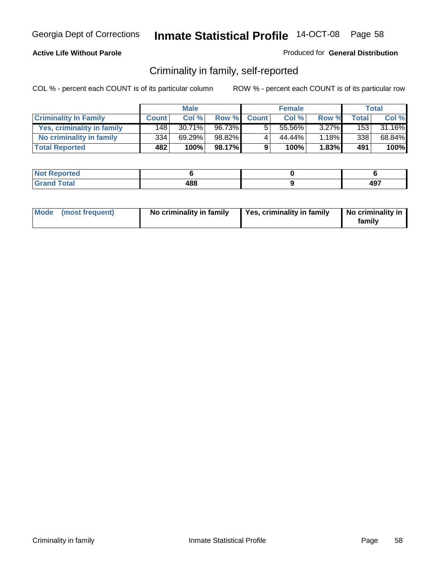## **Active Life Without Parole**

### Produced for **General Distribution**

## Criminality in family, self-reported

|                              |              | <b>Male</b> |        |              | <b>Female</b> |       |       | Total  |
|------------------------------|--------------|-------------|--------|--------------|---------------|-------|-------|--------|
| <b>Criminality In Family</b> | <b>Count</b> | Col %       | Row %  | <b>Count</b> | Col %         | Row % | Total | Col %  |
| Yes, criminality in family   | 148          | 30.71%      | 96.73% | 5            | 55.56%        | 3.27% | 153   | 31.16% |
| No criminality in family     | 334          | 69.29%      | 98.82% | 4            | 44.44%        | 1.18% | 338   | 68.84% |
| <b>Total Reported</b>        | 482          | 100%        | 98.17% | 9            | 100%          | 1.83% | 491   | 100%   |

| ported<br><b>NOT</b><br><b>IJCI</b> |     |                               |
|-------------------------------------|-----|-------------------------------|
| $\sim$<br>Gran<br>$\sim$            | 488 | $\Lambda$ <sup>-</sup><br>771 |

| Mode (most frequent) |  | No criminality in family | Yes, criminality in family | No criminality in<br>family |
|----------------------|--|--------------------------|----------------------------|-----------------------------|
|----------------------|--|--------------------------|----------------------------|-----------------------------|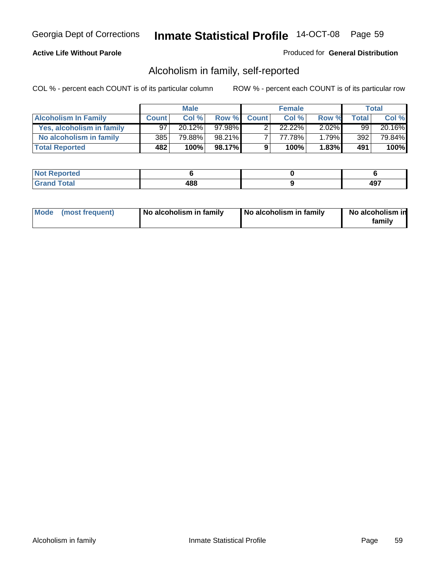## **Active Life Without Parole**

### Produced for **General Distribution**

## Alcoholism in family, self-reported

|                             |              | <b>Male</b> |        |              | <b>Female</b> |          |                  | Total  |
|-----------------------------|--------------|-------------|--------|--------------|---------------|----------|------------------|--------|
| <b>Alcoholism In Family</b> | <b>Count</b> | Col %       | Row %  | <b>Count</b> | Col %         | Row %    | Total            | Col %  |
| Yes, alcoholism in family   | 97           | 20.12%      | 97.98% |              | 22.22%        | $2.02\%$ | 99               | 20.16% |
| No alcoholism in family     | 385          | 79.88%      | 98.21% |              | 77.78%        | $1.79\%$ | 392 <sub>1</sub> | 79.84% |
| <b>Total Reported</b>       | 482          | 100%        | 98.17% | 9            | 100%          | 1.83%    | 491              | 100%   |

| <b>Not</b><br>oorted<br><b>IJCI</b> |     |            |
|-------------------------------------|-----|------------|
| $\sim$<br>Gran<br>--                | 488 | 107<br>−., |

|  | Mode (most frequent) | No alcoholism in family | No alcoholism in family | No alcoholism in<br>familv |
|--|----------------------|-------------------------|-------------------------|----------------------------|
|--|----------------------|-------------------------|-------------------------|----------------------------|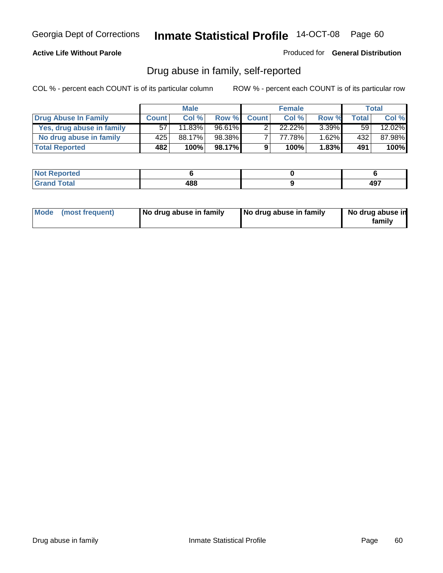### **Active Life Without Parole**

Produced for **General Distribution**

## Drug abuse in family, self-reported

|                           |              | <b>Male</b> |           |              | <b>Female</b> |          |                 | Total  |
|---------------------------|--------------|-------------|-----------|--------------|---------------|----------|-----------------|--------|
| Drug Abuse In Family      | <b>Count</b> | Col%        | Row %     | <b>Count</b> | Col %         | Row %    | <b>Total</b>    | Col %  |
| Yes, drug abuse in family | 57           | $11.83\%$   | $96.61\%$ |              | $22.22\%$     | $3.39\%$ | 59 <sub>1</sub> | 12.02% |
| No drug abuse in family   | 425          | 88.17%      | 98.38%    |              | 77.78%        | $1.62\%$ | 432             | 87.98% |
| <b>Total Reported</b>     | 482          | 100%        | 98.17%    | 9            | 100%          | $1.83\%$ | 491             | 100%   |

| ported<br><b>NOT</b><br><b>IJCI</b> |     |                               |
|-------------------------------------|-----|-------------------------------|
| $\sim$<br>Gran<br>$\sim$            | 488 | $\Lambda$ <sup>-</sup><br>771 |

|  | Mode (most frequent) | No drug abuse in family | No drug abuse in family | No drug abuse in<br>family |
|--|----------------------|-------------------------|-------------------------|----------------------------|
|--|----------------------|-------------------------|-------------------------|----------------------------|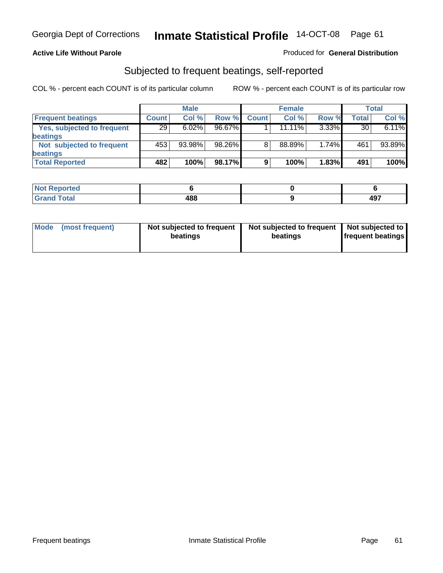### **Active Life Without Parole**

### Produced for **General Distribution**

## Subjected to frequent beatings, self-reported

|                            |              | <b>Male</b> |        |              | <b>Female</b> |          |       | <b>Total</b> |
|----------------------------|--------------|-------------|--------|--------------|---------------|----------|-------|--------------|
| <b>Frequent beatings</b>   | <b>Count</b> | Col%        | Row %  | <b>Count</b> | Col%          | Row %    | Total | Col %        |
| Yes, subjected to frequent | 29           | 6.02%       | 96.67% |              | $11.11\%$     | $3.33\%$ | 30    | 6.11%        |
| beatings                   |              |             |        |              |               |          |       |              |
| Not subjected to frequent  | 453          | 93.98%      | 98.26% | 8            | 88.89%        | 1.74%    | 461   | 93.89%       |
| beatings                   |              |             |        |              |               |          |       |              |
| <b>Total Reported</b>      | 482          | 100%        | 98.17% | 9            | 100%          | 1.83%    | 491   | 100%         |

| Not Reported         |     |              |
|----------------------|-----|--------------|
| <b>Total</b><br>Cron | 488 | 107<br>− ∪ ⊧ |

| Mode (most frequent) | Not subjected to frequent<br>beatings | Not subjected to frequent<br>beatings | Not subjected to<br><b>frequent beatings</b> |  |
|----------------------|---------------------------------------|---------------------------------------|----------------------------------------------|--|
|                      |                                       |                                       |                                              |  |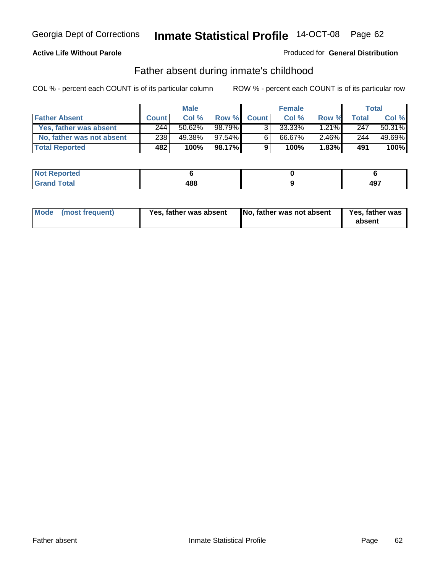## **Active Life Without Parole**

### Produced for **General Distribution**

## Father absent during inmate's childhood

|                           |              | <b>Male</b> |           |              | <b>Female</b> |          |       | Total  |
|---------------------------|--------------|-------------|-----------|--------------|---------------|----------|-------|--------|
| <b>Father Absent</b>      | <b>Count</b> | Col %       | Row %     | <b>Count</b> | Col %         | Row %    | Total | Col %  |
| Yes, father was absent    | 244          | 50.62%      | 98.79%    | $\mathbf{R}$ | $33.33\%$     | $1.21\%$ | 247   | 50.31% |
| No, father was not absent | 238          | 49.38%      | $97.54\%$ | 6            | 66.67%        | $2.46\%$ | 244   | 49.69% |
| <b>Total Reported</b>     | 482          | 100%        | 98.17%    | 9            | 100%          | $1.83\%$ | 491   | 100%   |

| <b>Not Reported</b>   |     |                         |
|-----------------------|-----|-------------------------|
| Total<br><b>Grano</b> | 488 | A <sub>07</sub><br>- J. |

|  | Mode (most frequent) | Yes, father was absent | No, father was not absent | <b>Yes, father was</b><br>absent |
|--|----------------------|------------------------|---------------------------|----------------------------------|
|--|----------------------|------------------------|---------------------------|----------------------------------|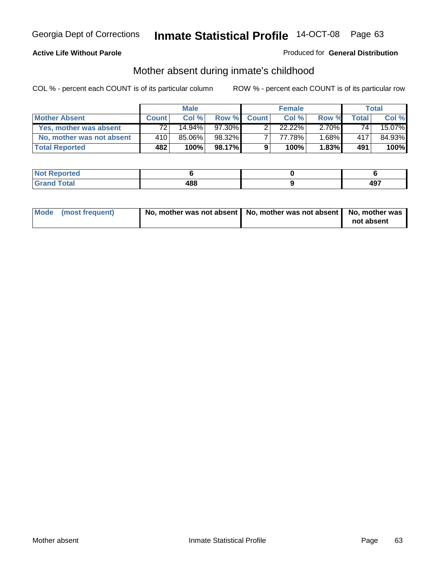## **Active Life Without Parole**

### Produced for **General Distribution**

# Mother absent during inmate's childhood

|                           |              | <b>Male</b> |         |              | <b>Female</b> |          |                 | Total  |
|---------------------------|--------------|-------------|---------|--------------|---------------|----------|-----------------|--------|
| <b>Mother Absent</b>      | <b>Count</b> | Col%        | Row %   | <b>Count</b> | Col %         | Row %    | Total           | Col %  |
| Yes, mother was absent    | 72           | $14.94\%$   | 97.30%  |              | $22.22\%$     | $2.70\%$ | 74 <sub>1</sub> | 15.07% |
| No, mother was not absent | 410          | 85.06%      | 98.32%  |              | 77.78%        | $1.68\%$ | 417             | 84.93% |
| <b>Total Reported</b>     | 482          | 100%        | 98.17%I | 9            | 100%          | $1.83\%$ | 491             | 100%   |

| <b>Reported</b><br><b>NOT</b> |     |            |
|-------------------------------|-----|------------|
| <b>Total</b>                  | 488 | 107<br>49. |

| Mode (most frequent) | No, mother was not absent   No, mother was not absent   No, mother was | not absent |
|----------------------|------------------------------------------------------------------------|------------|
|----------------------|------------------------------------------------------------------------|------------|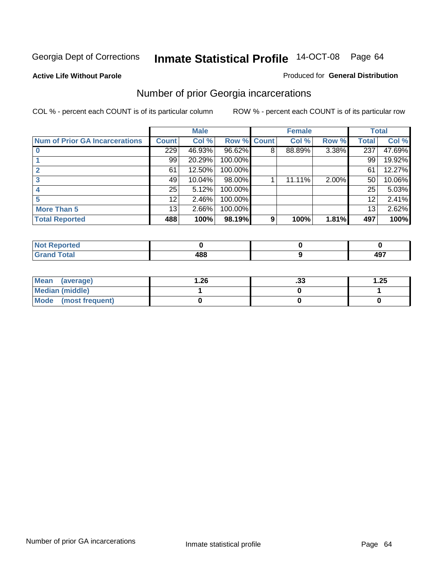### **Active Life Without Parole**

### Produced for **General Distribution**

## Number of prior Georgia incarcerations

|                                |                 | <b>Male</b> |                    |                | <b>Female</b> |          |       | <b>Total</b> |
|--------------------------------|-----------------|-------------|--------------------|----------------|---------------|----------|-------|--------------|
| Num of Prior GA Incarcerations | <b>Count</b>    | Col %       | <b>Row % Count</b> |                | Col %         | Row %    | Total | Col %        |
|                                | 229             | 46.93%      | 96.62%             | 8              | 88.89%        | 3.38%    | 237   | 47.69%       |
|                                | 99              | 20.29%      | 100.00%            |                |               |          | 99    | 19.92%       |
|                                | 61              | 12.50%      | 100.00%            |                |               |          | 61    | 12.27%       |
|                                | 49              | 10.04%      | 98.00%             |                | 11.11%        | $2.00\%$ | 50    | 10.06%       |
|                                | 25              | 5.12%       | 100.00%            |                |               |          | 25    | 5.03%        |
|                                | 12 <sup>2</sup> | 2.46%       | 100.00%            |                |               |          | 12    | 2.41%        |
| <b>More Than 5</b>             | 13 <sub>1</sub> | 2.66%       | 100.00%            |                |               |          | 13    | 2.62%        |
| <b>Total Reported</b>          | 488             | 100%        | 98.19%             | 9 <sub>1</sub> | 100%          | 1.81%    | 497   | 100%         |

| المصاف<br><u>seportea</u><br>N |            |     |
|--------------------------------|------------|-----|
| <b>otal</b>                    | 100        | 107 |
| $\sim$ .                       | <b>TUL</b> | 491 |

| Mean (average)       | 26.ا | . JJ | 1.25 |
|----------------------|------|------|------|
| Median (middle)      |      |      |      |
| Mode (most frequent) |      |      |      |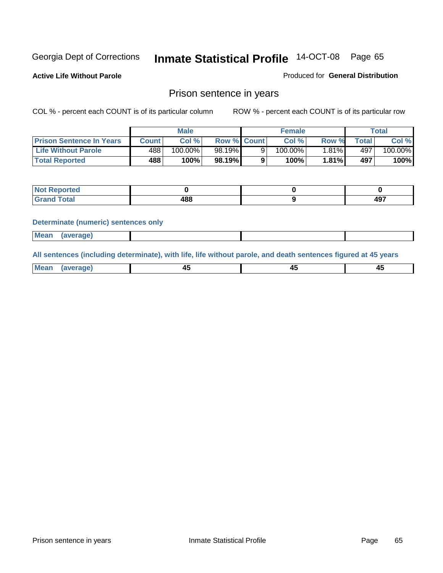**Active Life Without Parole** 

Produced for **General Distribution**

## Prison sentence in years

COL % - percent each COUNT is of its particular column ROW % - percent each COUNT is of its particular row

|                                 |        | Male    |                    | <b>Female</b> |        |             | Total   |
|---------------------------------|--------|---------|--------------------|---------------|--------|-------------|---------|
| <b>Prison Sentence In Years</b> | Count⊺ | Col %   | <b>Row % Count</b> | Col %         | Row %  | $\tau$ otal | Col %   |
| <b>Life Without Parole</b>      | 488    | 100.00% | 98.19%             | 100.00%       | ا1.81% | 497         | 100.00% |
| <b>Total Reported</b>           | 488    | 100%    | 98.19%             | 100%          | 1.81%  | 497         | 100%    |

| Reported                                |     |           |
|-----------------------------------------|-----|-----------|
| <b>Total</b><br>Gra<br>$\mathbf{v}$ and | 488 | 107<br>᠇ᢦ |

### **Determinate (numeric) sentences only**

| <b>Mean</b> | (average) |  |  |
|-------------|-----------|--|--|

**All sentences (including determinate), with life, life without parole, and death sentences figured at 45 years**

| Me:<br>апет<br>.<br>᠇<br>$\sim$ | -- | т.<br>$\sim$ |
|---------------------------------|----|--------------|
|---------------------------------|----|--------------|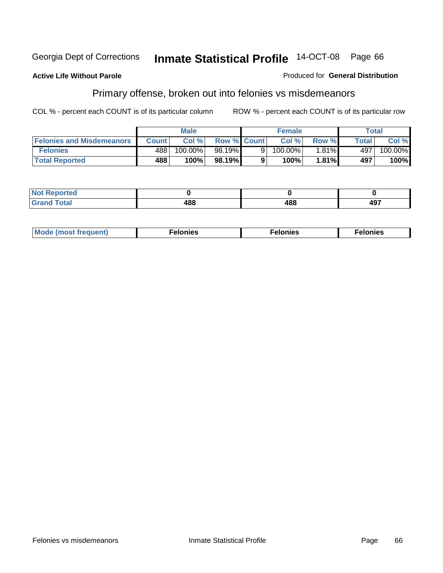### **Active Life Without Parole**

### Produced for **General Distribution**

# Primary offense, broken out into felonies vs misdemeanors

|                                  | <b>Male</b>  |            | <b>Female</b>      |          |            | Total    |       |                       |
|----------------------------------|--------------|------------|--------------------|----------|------------|----------|-------|-----------------------|
| <b>Felonies and Misdemeanors</b> | <b>Count</b> | Col%       | <b>Row % Count</b> |          | Col%       | Row %    | Total | Col %                 |
| <b>Felonies</b>                  | 488          | $100.00\%$ | 98.19%             | $\Omega$ | $100.00\%$ | $1.81\%$ | 497   | $100.\overline{00\%}$ |
| <b>Total Reported</b>            | 488          | 100%       | 98.19%             |          | 100%       | 1.81%    | 497   | 100%                  |

| <b>Not</b><br>$\gamma$ rted<br>⋯    |             |            |     |
|-------------------------------------|-------------|------------|-----|
| $int^{\bullet}$<br>Grat<br>$\sim$ . | "^^<br>,,,, | 100<br>+00 | 497 |

| M<br>$\cdots$<br>пю.<br>. | nies<br>. | . |
|---------------------------|-----------|---|
|---------------------------|-----------|---|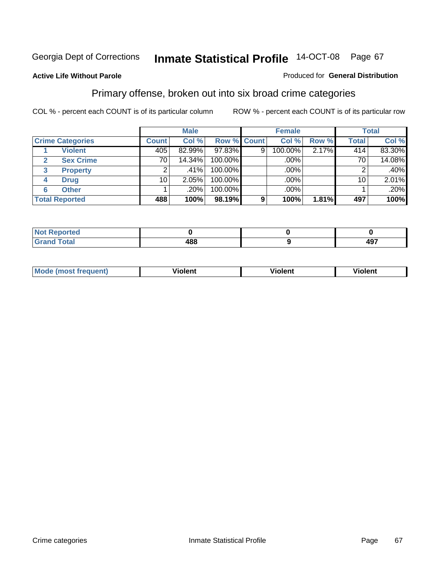### **Active Life Without Parole**

### Produced for **General Distribution**

## Primary offense, broken out into six broad crime categories

|                         | <b>Male</b>  |        |                    | <b>Female</b> |         |       | <b>Total</b> |         |
|-------------------------|--------------|--------|--------------------|---------------|---------|-------|--------------|---------|
| <b>Crime Categories</b> | <b>Count</b> | Col %  | <b>Row % Count</b> |               | Col %   | Row % | <b>Total</b> | Col %   |
| <b>Violent</b>          | 405          | 82.99% | 97.83%             | 9             | 100.00% | 2.17% | 414          | 83.30%  |
| <b>Sex Crime</b>        | 70           | 14.34% | 100.00%            |               | .00%    |       | 70           | 14.08%  |
| 3<br><b>Property</b>    | 2            | .41%   | 100.00%            |               | .00%    |       |              | $.40\%$ |
| <b>Drug</b><br>4        | 10           | 2.05%  | 100.00%            |               | .00%    |       | 10           | 2.01%   |
| <b>Other</b><br>6       |              | .20%   | 100.00%            |               | .00%    |       |              | .20%    |
| <b>Total Reported</b>   | 488          | 100%   | 98.19%             | 9             | 100%    | 1.81% | 497          | 100%    |

| <b>Reported</b><br>NOT<br>. |     |     |
|-----------------------------|-----|-----|
| <b>Total</b><br>CHOH        | 488 | 497 |

| Mo | n n | winlor" | len' |
|----|-----|---------|------|
|    |     |         |      |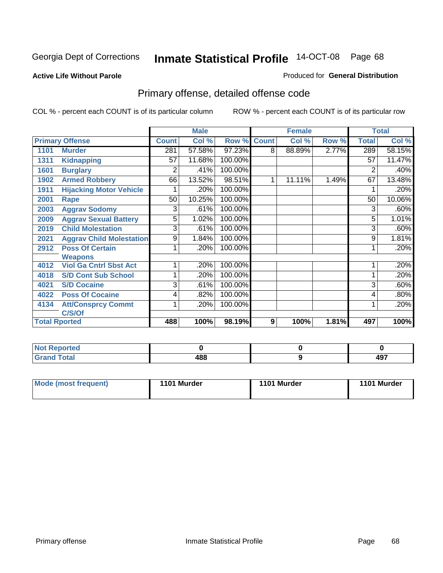### **Active Life Without Parole**

### Produced for **General Distribution**

# Primary offense, detailed offense code

|      |                                 |              | <b>Male</b> |         |              | <b>Female</b> |       |              | <b>Total</b> |
|------|---------------------------------|--------------|-------------|---------|--------------|---------------|-------|--------------|--------------|
|      | <b>Primary Offense</b>          | <b>Count</b> | Col %       | Row %   | <b>Count</b> | Col %         | Row % | <b>Total</b> | Col %        |
| 1101 | <b>Murder</b>                   | 281          | 57.58%      | 97.23%  | 8            | 88.89%        | 2.77% | 289          | 58.15%       |
| 1311 | <b>Kidnapping</b>               | 57           | 11.68%      | 100.00% |              |               |       | 57           | 11.47%       |
| 1601 | <b>Burglary</b>                 | 2            | .41%        | 100.00% |              |               |       | 2            | .40%         |
| 1902 | <b>Armed Robbery</b>            | 66           | 13.52%      | 98.51%  | 1            | 11.11%        | 1.49% | 67           | 13.48%       |
| 1911 | <b>Hijacking Motor Vehicle</b>  |              | .20%        | 100.00% |              |               |       |              | .20%         |
| 2001 | Rape                            | 50           | 10.25%      | 100.00% |              |               |       | 50           | 10.06%       |
| 2003 | <b>Aggrav Sodomy</b>            | 3            | .61%        | 100.00% |              |               |       | 3            | .60%         |
| 2009 | <b>Aggrav Sexual Battery</b>    | 5            | 1.02%       | 100.00% |              |               |       | 5            | 1.01%        |
| 2019 | <b>Child Molestation</b>        | 3            | .61%        | 100.00% |              |               |       | 3            | .60%         |
| 2021 | <b>Aggrav Child Molestation</b> | 9            | 1.84%       | 100.00% |              |               |       | 9            | 1.81%        |
| 2912 | <b>Poss Of Certain</b>          |              | .20%        | 100.00% |              |               |       |              | .20%         |
|      | <b>Weapons</b>                  |              |             |         |              |               |       |              |              |
| 4012 | <b>Viol Ga Cntrl Sbst Act</b>   |              | .20%        | 100.00% |              |               |       |              | .20%         |
| 4018 | <b>S/D Cont Sub School</b>      |              | .20%        | 100.00% |              |               |       |              | .20%         |
| 4021 | <b>S/D Cocaine</b>              | 3            | .61%        | 100.00% |              |               |       | 3            | .60%         |
| 4022 | <b>Poss Of Cocaine</b>          | 4            | .82%        | 100.00% |              |               |       | 4            | .80%         |
| 4134 | <b>Att/Consprcy Commt</b>       | 1            | .20%        | 100.00% |              |               |       |              | .20%         |
|      | C/S/Of                          |              |             |         |              |               |       |              |              |
|      | <b>Total Rported</b>            | 488          | 100%        | 98.19%  | 9            | 100%          | 1.81% | 497          | 100%         |

| Reported<br>NOT                          |     |                   |
|------------------------------------------|-----|-------------------|
| <b>Total</b><br>$\sim$ . $\sim$ . $\sim$ | 488 | 107<br><b>TJ.</b> |

| Mode (most frequent) | 1101 Murder | 1101 Murder | 1101 Murder |
|----------------------|-------------|-------------|-------------|
|----------------------|-------------|-------------|-------------|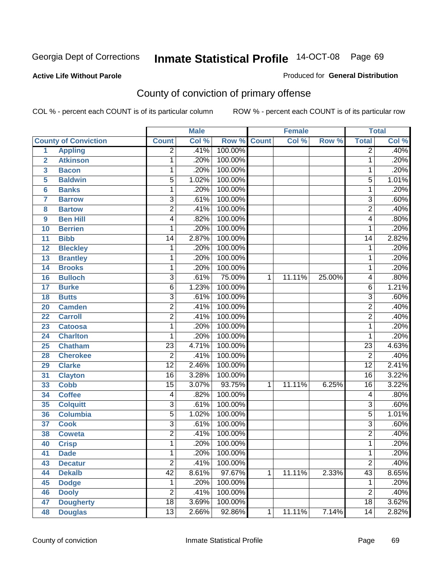**Active Life Without Parole** 

Produced for **General Distribution**

# County of conviction of primary offense

|                         |                             |                 | <b>Male</b> |             |              | <b>Female</b> |        |                 | <b>Total</b> |
|-------------------------|-----------------------------|-----------------|-------------|-------------|--------------|---------------|--------|-----------------|--------------|
|                         | <b>County of Conviction</b> | <b>Count</b>    | Col %       | Row % Count |              | Col %         | Row %  | <b>Total</b>    | Col %        |
| 1                       | <b>Appling</b>              | $\overline{2}$  | .41%        | 100.00%     |              |               |        | $\overline{2}$  | .40%         |
| $\overline{2}$          | <b>Atkinson</b>             | 1               | .20%        | 100.00%     |              |               |        | 1               | .20%         |
| $\overline{\mathbf{3}}$ | <b>Bacon</b>                | $\mathbf{1}$    | .20%        | 100.00%     |              |               |        | 1               | .20%         |
| 5                       | <b>Baldwin</b>              | 5               | 1.02%       | 100.00%     |              |               |        | 5               | 1.01%        |
| 6                       | <b>Banks</b>                | 1               | .20%        | 100.00%     |              |               |        | $\mathbf{1}$    | .20%         |
| $\overline{7}$          | <b>Barrow</b>               | $\overline{3}$  | .61%        | 100.00%     |              |               |        | $\overline{3}$  | .60%         |
| 8                       | <b>Bartow</b>               | $\overline{2}$  | .41%        | 100.00%     |              |               |        | $\overline{2}$  | .40%         |
| 9                       | <b>Ben Hill</b>             | 4               | .82%        | 100.00%     |              |               |        | 4               | .80%         |
| 10                      | <b>Berrien</b>              | 1               | .20%        | 100.00%     |              |               |        | 1               | .20%         |
| 11                      | <b>Bibb</b>                 | $\overline{14}$ | 2.87%       | 100.00%     |              |               |        | $\overline{14}$ | 2.82%        |
| 12                      | <b>Bleckley</b>             | 1               | .20%        | 100.00%     |              |               |        | $\mathbf 1$     | .20%         |
| 13                      | <b>Brantley</b>             | 1               | .20%        | 100.00%     |              |               |        | 1               | .20%         |
| $\overline{14}$         | <b>Brooks</b>               | $\mathbf{1}$    | .20%        | 100.00%     |              |               |        | 1               | .20%         |
| 16                      | <b>Bulloch</b>              | $\overline{3}$  | .61%        | 75.00%      | 1            | 11.11%        | 25.00% | 4               | .80%         |
| 17                      | <b>Burke</b>                | $\overline{6}$  | 1.23%       | 100.00%     |              |               |        | 6               | 1.21%        |
| 18                      | <b>Butts</b>                | $\overline{3}$  | .61%        | 100.00%     |              |               |        | $\overline{3}$  | .60%         |
| 20                      | <b>Camden</b>               | $\overline{2}$  | .41%        | 100.00%     |              |               |        | $\overline{2}$  | .40%         |
| 22                      | <b>Carroll</b>              | $\overline{2}$  | .41%        | 100.00%     |              |               |        | $\overline{2}$  | .40%         |
| 23                      | <b>Catoosa</b>              | 1               | .20%        | 100.00%     |              |               |        | $\mathbf{1}$    | .20%         |
| 24                      | <b>Charlton</b>             | 1               | .20%        | 100.00%     |              |               |        | 1               | .20%         |
| 25                      | <b>Chatham</b>              | $\overline{23}$ | 4.71%       | 100.00%     |              |               |        | $\overline{23}$ | 4.63%        |
| 28                      | <b>Cherokee</b>             | $\overline{2}$  | .41%        | 100.00%     |              |               |        | $\overline{2}$  | .40%         |
| 29                      | <b>Clarke</b>               | $\overline{12}$ | 2.46%       | 100.00%     |              |               |        | $\overline{12}$ | 2.41%        |
| 31                      | <b>Clayton</b>              | $\overline{16}$ | 3.28%       | 100.00%     |              |               |        | $\overline{16}$ | 3.22%        |
| 33                      | <b>Cobb</b>                 | $\overline{15}$ | 3.07%       | 93.75%      | $\mathbf{1}$ | 11.11%        | 6.25%  | $\overline{16}$ | 3.22%        |
| 34                      | <b>Coffee</b>               | 4               | .82%        | 100.00%     |              |               |        | 4               | .80%         |
| 35                      | <b>Colquitt</b>             | $\overline{3}$  | .61%        | 100.00%     |              |               |        | $\overline{3}$  | .60%         |
| 36                      | <b>Columbia</b>             | $\overline{5}$  | 1.02%       | 100.00%     |              |               |        | $\overline{5}$  | 1.01%        |
| 37                      | <b>Cook</b>                 | $\overline{3}$  | .61%        | 100.00%     |              |               |        | $\overline{3}$  | .60%         |
| 38                      | <b>Coweta</b>               | $\overline{2}$  | .41%        | 100.00%     |              |               |        | $\overline{2}$  | .40%         |
| 40                      | <b>Crisp</b>                | 1               | .20%        | 100.00%     |              |               |        | 1               | .20%         |
| 41                      | <b>Dade</b>                 | 1               | .20%        | 100.00%     |              |               |        | 1               | .20%         |
| 43                      | <b>Decatur</b>              | $\overline{2}$  | .41%        | 100.00%     |              |               |        | $\overline{2}$  | .40%         |
| 44                      | <b>Dekalb</b>               | $\overline{42}$ | 8.61%       | 97.67%      | $\mathbf{1}$ | 11.11%        | 2.33%  | 43              | 8.65%        |
| 45                      | <b>Dodge</b>                | $\mathbf 1$     | .20%        | 100.00%     |              |               |        | 1               | .20%         |
| 46                      | <b>Dooly</b>                | $\overline{2}$  | .41%        | 100.00%     |              |               |        | $\overline{2}$  | .40%         |
| 47                      | <b>Dougherty</b>            | $\overline{18}$ | 3.69%       | 100.00%     |              |               |        | 18              | 3.62%        |
| 48                      | <b>Douglas</b>              | $\overline{13}$ | 2.66%       | 92.86%      | $\mathbf 1$  | 11.11%        | 7.14%  | 14              | 2.82%        |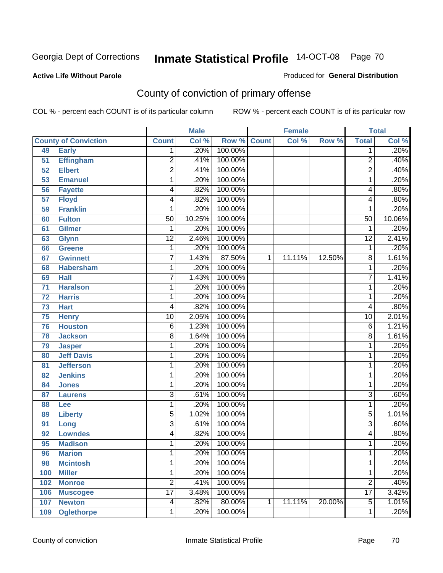## **Active Life Without Parole**

### Produced for **General Distribution**

# County of conviction of primary offense

|                 |                             |                 | <b>Male</b> |         |              | <b>Female</b> |        | <b>Total</b>    |        |
|-----------------|-----------------------------|-----------------|-------------|---------|--------------|---------------|--------|-----------------|--------|
|                 | <b>County of Conviction</b> | <b>Count</b>    | Col %       | Row %   | <b>Count</b> | Col %         | Row %  | <b>Total</b>    | Col %  |
| 49              | <b>Early</b>                | 1               | .20%        | 100.00% |              |               |        | 1               | .20%   |
| 51              | <b>Effingham</b>            | $\overline{2}$  | .41%        | 100.00% |              |               |        | $\overline{2}$  | .40%   |
| 52              | <b>Elbert</b>               | $\overline{2}$  | .41%        | 100.00% |              |               |        | $\overline{2}$  | .40%   |
| 53              | <b>Emanuel</b>              | 1               | .20%        | 100.00% |              |               |        | $\mathbf{1}$    | .20%   |
| 56              | <b>Fayette</b>              | 4               | .82%        | 100.00% |              |               |        | 4               | .80%   |
| $\overline{57}$ | <b>Floyd</b>                | 4               | .82%        | 100.00% |              |               |        | 4               | .80%   |
| 59              | <b>Franklin</b>             | 1               | .20%        | 100.00% |              |               |        | 1               | .20%   |
| 60              | <b>Fulton</b>               | $\overline{50}$ | 10.25%      | 100.00% |              |               |        | $\overline{50}$ | 10.06% |
| 61              | <b>Gilmer</b>               | 1               | .20%        | 100.00% |              |               |        | 1               | .20%   |
| 63              | <b>Glynn</b>                | $\overline{12}$ | 2.46%       | 100.00% |              |               |        | $\overline{12}$ | 2.41%  |
| 66              | <b>Greene</b>               | 1               | .20%        | 100.00% |              |               |        | 1               | .20%   |
| 67              | <b>Gwinnett</b>             | $\overline{7}$  | 1.43%       | 87.50%  | 1            | 11.11%        | 12.50% | 8               | 1.61%  |
| 68              | <b>Habersham</b>            | 1               | .20%        | 100.00% |              |               |        | $\mathbf 1$     | .20%   |
| 69              | <b>Hall</b>                 | $\overline{7}$  | 1.43%       | 100.00% |              |               |        | $\overline{7}$  | 1.41%  |
| $\overline{71}$ | <b>Haralson</b>             | 1               | .20%        | 100.00% |              |               |        | 1               | .20%   |
| 72              | <b>Harris</b>               | 1               | .20%        | 100.00% |              |               |        | 1               | .20%   |
| 73              | <b>Hart</b>                 | 4               | .82%        | 100.00% |              |               |        | 4               | .80%   |
| 75              | <b>Henry</b>                | $\overline{10}$ | 2.05%       | 100.00% |              |               |        | $\overline{10}$ | 2.01%  |
| 76              | <b>Houston</b>              | $\overline{6}$  | 1.23%       | 100.00% |              |               |        | 6               | 1.21%  |
| 78              | <b>Jackson</b>              | 8               | 1.64%       | 100.00% |              |               |        | $\overline{8}$  | 1.61%  |
| 79              | <b>Jasper</b>               | 1               | .20%        | 100.00% |              |               |        | 1               | .20%   |
| 80              | <b>Jeff Davis</b>           | 1               | .20%        | 100.00% |              |               |        | 1               | .20%   |
| 81              | <b>Jefferson</b>            | 1               | .20%        | 100.00% |              |               |        | 1               | .20%   |
| 82              | <b>Jenkins</b>              | 1               | .20%        | 100.00% |              |               |        | 1               | .20%   |
| 84              | <b>Jones</b>                | 1               | .20%        | 100.00% |              |               |        | 1               | .20%   |
| 87              | <b>Laurens</b>              | $\overline{3}$  | .61%        | 100.00% |              |               |        | $\overline{3}$  | .60%   |
| 88              | Lee                         | 1               | .20%        | 100.00% |              |               |        | $\mathbf{1}$    | .20%   |
| 89              | <b>Liberty</b>              | 5               | 1.02%       | 100.00% |              |               |        | $\overline{5}$  | 1.01%  |
| 91              | Long                        | 3               | .61%        | 100.00% |              |               |        | 3               | .60%   |
| 92              | <b>Lowndes</b>              | 4               | .82%        | 100.00% |              |               |        | 4               | .80%   |
| 95              | <b>Madison</b>              | 1               | .20%        | 100.00% |              |               |        | 1               | .20%   |
| 96              | <b>Marion</b>               | 1               | .20%        | 100.00% |              |               |        | 1               | .20%   |
| 98              | <b>Mcintosh</b>             | 1               | .20%        | 100.00% |              |               |        | 1               | .20%   |
| 100             | <b>Miller</b>               | 1               | .20%        | 100.00% |              |               |        | 1               | .20%   |
| 102             | <b>Monroe</b>               | $\overline{2}$  | .41%        | 100.00% |              |               |        | $\overline{2}$  | .40%   |
| 106             | <b>Muscogee</b>             | $\overline{17}$ | 3.48%       | 100.00% |              |               |        | $\overline{17}$ | 3.42%  |
| 107             | <b>Newton</b>               | 4               | .82%        | 80.00%  | 1            | 11.11%        | 20.00% | $\overline{5}$  | 1.01%  |
| 109             | <b>Oglethorpe</b>           | 1               | .20%        | 100.00% |              |               |        | 1               | .20%   |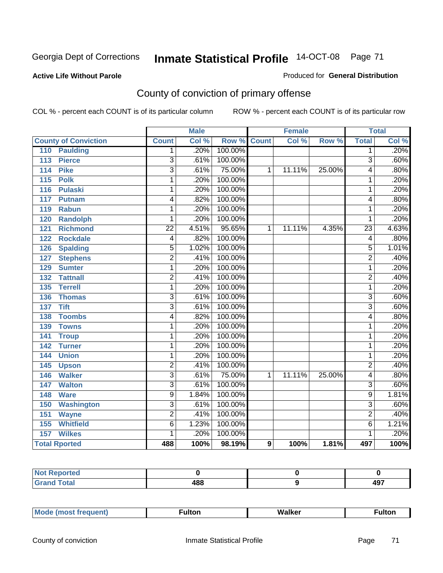## **Active Life Without Parole**

### Produced for **General Distribution**

# County of conviction of primary offense

|                                     |                           | <b>Male</b> |         | <b>Female</b>    |        | <b>Total</b> |                         |       |
|-------------------------------------|---------------------------|-------------|---------|------------------|--------|--------------|-------------------------|-------|
| <b>County of Conviction</b>         | <b>Count</b>              | Col %       | Row %   | <b>Count</b>     | Col %  | Row %        | <b>Total</b>            | Col % |
| 110<br><b>Paulding</b>              | 1                         | .20%        | 100.00% |                  |        |              | 1                       | .20%  |
| 113<br><b>Pierce</b>                | $\overline{3}$            | .61%        | 100.00% |                  |        |              | $\overline{3}$          | .60%  |
| <b>Pike</b><br>114                  | $\overline{3}$            | .61%        | 75.00%  | 1                | 11.11% | 25.00%       | 4                       | .80%  |
| <b>Polk</b><br>115                  | 1                         | .20%        | 100.00% |                  |        |              | 1                       | .20%  |
| 116<br><b>Pulaski</b>               | 1                         | .20%        | 100.00% |                  |        |              | 1                       | .20%  |
| 117<br><b>Putnam</b>                | 4                         | .82%        | 100.00% |                  |        |              | 4                       | .80%  |
| 119<br><b>Rabun</b>                 | 1                         | .20%        | 100.00% |                  |        |              | 1                       | .20%  |
| 120<br><b>Randolph</b>              | 1                         | .20%        | 100.00% |                  |        |              | 1                       | .20%  |
| $\overline{121}$<br><b>Richmond</b> | $\overline{22}$           | 4.51%       | 95.65%  | 1                | 11.11% | 4.35%        | $\overline{23}$         | 4.63% |
| 122<br><b>Rockdale</b>              | 4                         | .82%        | 100.00% |                  |        |              | 4                       | .80%  |
| <b>Spalding</b><br>126              | $\overline{5}$            | 1.02%       | 100.00% |                  |        |              | $\overline{5}$          | 1.01% |
| <b>Stephens</b><br>127              | $\overline{2}$            | .41%        | 100.00% |                  |        |              | $\overline{2}$          | .40%  |
| 129<br><b>Sumter</b>                | 1                         | .20%        | 100.00% |                  |        |              | 1                       | .20%  |
| <b>Tattnall</b><br>132              | $\overline{2}$            | .41%        | 100.00% |                  |        |              | $\overline{2}$          | .40%  |
| <b>Terrell</b><br>135               | 1                         | .20%        | 100.00% |                  |        |              | 1                       | .20%  |
| 136<br><b>Thomas</b>                | $\overline{3}$            | .61%        | 100.00% |                  |        |              | $\overline{3}$          | .60%  |
| <b>Tift</b><br>$\overline{137}$     | $\overline{3}$            | .61%        | 100.00% |                  |        |              | $\overline{\mathbf{3}}$ | .60%  |
| <b>Toombs</b><br>138                | 4                         | .82%        | 100.00% |                  |        |              | 4                       | .80%  |
| 139<br><b>Towns</b>                 | 1                         | .20%        | 100.00% |                  |        |              | 1                       | .20%  |
| 141<br><b>Troup</b>                 | 1                         | .20%        | 100.00% |                  |        |              | 1                       | .20%  |
| 142<br><b>Turner</b>                | 1                         | .20%        | 100.00% |                  |        |              | 1                       | .20%  |
| 144<br><b>Union</b>                 | 1                         | .20%        | 100.00% |                  |        |              | 1                       | .20%  |
| 145<br><b>Upson</b>                 | $\overline{2}$            | .41%        | 100.00% |                  |        |              | $\overline{2}$          | .40%  |
| <b>Walker</b><br>146                | $\overline{3}$            | .61%        | 75.00%  | 1                | 11.11% | 25.00%       | 4                       | .80%  |
| 147<br><b>Walton</b>                | $\overline{3}$            | .61%        | 100.00% |                  |        |              | 3                       | .60%  |
| 148<br><b>Ware</b>                  | 9                         | 1.84%       | 100.00% |                  |        |              | 9                       | 1.81% |
| <b>Washington</b><br>150            | $\overline{\overline{3}}$ | .61%        | 100.00% |                  |        |              | $\overline{3}$          | .60%  |
| $\overline{151}$<br><b>Wayne</b>    | $\overline{2}$            | .41%        | 100.00% |                  |        |              | $\overline{2}$          | .40%  |
| 155<br><b>Whitfield</b>             | $\overline{6}$            | 1.23%       | 100.00% |                  |        |              | $\overline{6}$          | 1.21% |
| <b>Wilkes</b><br>157                | 1                         | .20%        | 100.00% |                  |        |              | 1                       | .20%  |
| <b>Total Rported</b>                | 488                       | 100%        | 98.19%  | $\boldsymbol{9}$ | 100%   | 1.81%        | 497                     | 100%  |

| Reported<br>NOT F<br>. |     |          |
|------------------------|-----|----------|
| <b>Total</b><br>r va   | 488 | AQ<br>43 |

| _____ |  | Мe | τοη<br>ur. | <b>Walker</b> | ultor |
|-------|--|----|------------|---------------|-------|
|-------|--|----|------------|---------------|-------|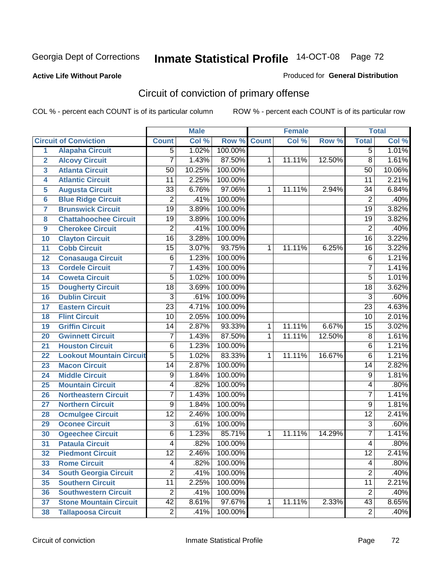## **Active Life Without Parole**

### Produced for **General Distribution**

# Circuit of conviction of primary offense

|                         |                                 |                 | <b>Male</b> |         |              | <b>Female</b> |        |                 | <b>Total</b> |
|-------------------------|---------------------------------|-----------------|-------------|---------|--------------|---------------|--------|-----------------|--------------|
|                         | <b>Circuit of Conviction</b>    | <b>Count</b>    | Col %       | Row %   | <b>Count</b> | Col %         | Row %  | <b>Total</b>    | Col %        |
| 1                       | <b>Alapaha Circuit</b>          | $\overline{5}$  | 1.02%       | 100.00% |              |               |        | 5               | 1.01%        |
| $\overline{2}$          | <b>Alcovy Circuit</b>           | 7               | 1.43%       | 87.50%  | 1            | 11.11%        | 12.50% | $\overline{8}$  | 1.61%        |
| $\overline{3}$          | <b>Atlanta Circuit</b>          | 50              | 10.25%      | 100.00% |              |               |        | 50              | 10.06%       |
| 4                       | <b>Atlantic Circuit</b>         | 11              | 2.25%       | 100.00% |              |               |        | 11              | 2.21%        |
| 5                       | <b>Augusta Circuit</b>          | $\overline{33}$ | 6.76%       | 97.06%  | 1            | 11.11%        | 2.94%  | 34              | 6.84%        |
| $6\phantom{a}$          | <b>Blue Ridge Circuit</b>       | $\overline{2}$  | .41%        | 100.00% |              |               |        | $\overline{2}$  | .40%         |
| $\overline{\mathbf{7}}$ | <b>Brunswick Circuit</b>        | $\overline{19}$ | 3.89%       | 100.00% |              |               |        | $\overline{19}$ | 3.82%        |
| 8                       | <b>Chattahoochee Circuit</b>    | $\overline{19}$ | 3.89%       | 100.00% |              |               |        | $\overline{19}$ | 3.82%        |
| 9                       | <b>Cherokee Circuit</b>         | $\overline{2}$  | .41%        | 100.00% |              |               |        | $\overline{2}$  | .40%         |
| 10                      | <b>Clayton Circuit</b>          | $\overline{16}$ | 3.28%       | 100.00% |              |               |        | $\overline{16}$ | 3.22%        |
| 11                      | <b>Cobb Circuit</b>             | $\overline{15}$ | 3.07%       | 93.75%  | 1            | 11.11%        | 6.25%  | 16              | 3.22%        |
| 12                      | <b>Conasauga Circuit</b>        | 6               | 1.23%       | 100.00% |              |               |        | $\overline{6}$  | 1.21%        |
| 13                      | <b>Cordele Circuit</b>          | 7               | 1.43%       | 100.00% |              |               |        | $\overline{7}$  | 1.41%        |
| 14                      | <b>Coweta Circuit</b>           | $\overline{5}$  | 1.02%       | 100.00% |              |               |        | $\overline{5}$  | 1.01%        |
| 15                      | <b>Dougherty Circuit</b>        | $\overline{18}$ | 3.69%       | 100.00% |              |               |        | $\overline{18}$ | 3.62%        |
| 16                      | <b>Dublin Circuit</b>           | $\overline{3}$  | .61%        | 100.00% |              |               |        | $\overline{3}$  | .60%         |
| 17                      | <b>Eastern Circuit</b>          | $\overline{23}$ | 4.71%       | 100.00% |              |               |        | $\overline{23}$ | 4.63%        |
| 18                      | <b>Flint Circuit</b>            | $\overline{10}$ | 2.05%       | 100.00% |              |               |        | 10              | 2.01%        |
| 19                      | <b>Griffin Circuit</b>          | 14              | 2.87%       | 93.33%  | $\mathbf{1}$ | 11.11%        | 6.67%  | $\overline{15}$ | 3.02%        |
| 20                      | <b>Gwinnett Circuit</b>         | 7               | 1.43%       | 87.50%  | 1            | 11.11%        | 12.50% | $\overline{8}$  | 1.61%        |
| 21                      | <b>Houston Circuit</b>          | 6               | 1.23%       | 100.00% |              |               |        | $\overline{6}$  | 1.21%        |
| 22                      | <b>Lookout Mountain Circuit</b> | $\overline{5}$  | 1.02%       | 83.33%  | 1            | 11.11%        | 16.67% | 6               | 1.21%        |
| 23                      | <b>Macon Circuit</b>            | $\overline{14}$ | 2.87%       | 100.00% |              |               |        | 14              | 2.82%        |
| 24                      | <b>Middle Circuit</b>           | $\overline{9}$  | 1.84%       | 100.00% |              |               |        | 9               | 1.81%        |
| 25                      | <b>Mountain Circuit</b>         | 4               | .82%        | 100.00% |              |               |        | 4               | .80%         |
| 26                      | <b>Northeastern Circuit</b>     | $\overline{7}$  | 1.43%       | 100.00% |              |               |        | $\overline{7}$  | 1.41%        |
| 27                      | <b>Northern Circuit</b>         | 9               | 1.84%       | 100.00% |              |               |        | 9               | 1.81%        |
| 28                      | <b>Ocmulgee Circuit</b>         | $\overline{12}$ | 2.46%       | 100.00% |              |               |        | $\overline{12}$ | 2.41%        |
| 29                      | <b>Oconee Circuit</b>           | $\overline{3}$  | .61%        | 100.00% |              |               |        | $\overline{3}$  | .60%         |
| 30                      | <b>Ogeechee Circuit</b>         | $\overline{6}$  | 1.23%       | 85.71%  | 1            | 11.11%        | 14.29% | $\overline{7}$  | 1.41%        |
| $\overline{31}$         | <b>Pataula Circuit</b>          | 4               | .82%        | 100.00% |              |               |        | 4               | .80%         |
| 32                      | <b>Piedmont Circuit</b>         | 12              | 2.46%       | 100.00% |              |               |        | 12              | 2.41%        |
| 33                      | <b>Rome Circuit</b>             | 4               | .82%        | 100.00% |              |               |        | 4               | .80%         |
| 34                      | <b>South Georgia Circuit</b>    | $\overline{2}$  | .41%        | 100.00% |              |               |        | $\overline{2}$  | .40%         |
| 35                      | <b>Southern Circuit</b>         | $\overline{11}$ | 2.25%       | 100.00% |              |               |        | $\overline{11}$ | 2.21%        |
| 36                      | <b>Southwestern Circuit</b>     | $\overline{2}$  | .41%        | 100.00% |              |               |        | $\overline{2}$  | .40%         |
| 37                      | <b>Stone Mountain Circuit</b>   | $\overline{42}$ | 8.61%       | 97.67%  | 1            | 11.11%        | 2.33%  | $\overline{43}$ | 8.65%        |
| 38                      | <b>Tallapoosa Circuit</b>       | $\overline{2}$  | .41%        | 100.00% |              |               |        | $\overline{2}$  | .40%         |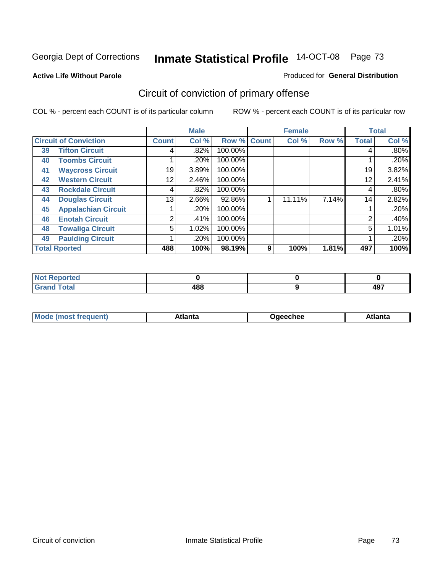**Active Life Without Parole** 

#### Produced for **General Distribution**

## Circuit of conviction of primary offense

|                      |                              | <b>Male</b>  |       | <b>Female</b> |              |        | <b>Total</b> |              |         |
|----------------------|------------------------------|--------------|-------|---------------|--------------|--------|--------------|--------------|---------|
|                      | <b>Circuit of Conviction</b> | <b>Count</b> | Col % | Row %         | <b>Count</b> | Col %  | Row %        | <b>Total</b> | Col %   |
| 39                   | <b>Tifton Circuit</b>        | 4            | .82%  | 100.00%       |              |        |              | 4            | $.80\%$ |
| 40                   | <b>Toombs Circuit</b>        |              | .20%  | 100.00%       |              |        |              |              | .20%    |
| 41                   | <b>Waycross Circuit</b>      | 19           | 3.89% | 100.00%       |              |        |              | 19           | 3.82%   |
| 42                   | <b>Western Circuit</b>       | 12           | 2.46% | 100.00%       |              |        |              | 12           | 2.41%   |
| 43                   | <b>Rockdale Circuit</b>      | 4            | .82%  | 100.00%       |              |        |              | 4            | .80%    |
| 44                   | <b>Douglas Circuit</b>       | 13           | 2.66% | 92.86%        |              | 11.11% | 7.14%        | 14           | 2.82%   |
| 45                   | <b>Appalachian Circuit</b>   |              | .20%  | 100.00%       |              |        |              |              | .20%    |
| 46                   | <b>Enotah Circuit</b>        | 2            | .41%  | 100.00%       |              |        |              | 2            | .40%    |
| 48                   | <b>Towaliga Circuit</b>      | 5            | 1.02% | 100.00%       |              |        |              | 5            | 1.01%   |
| 49                   | <b>Paulding Circuit</b>      |              | .20%  | 100.00%       |              |        |              |              | .20%    |
| <b>Total Rported</b> |                              | 488          | 100%  | 98.19%        | 9            | 100%   | 1.81%        | 497          | 100%    |

| -4 - -<br>тео |                    |           |
|---------------|--------------------|-----------|
| otal          | 4 O O<br>400<br>__ | 107<br>−. |

| <b>Mode</b> | лы | Jaeechee | <b>Atlant</b> a |
|-------------|----|----------|-----------------|
| nost tren   |    |          |                 |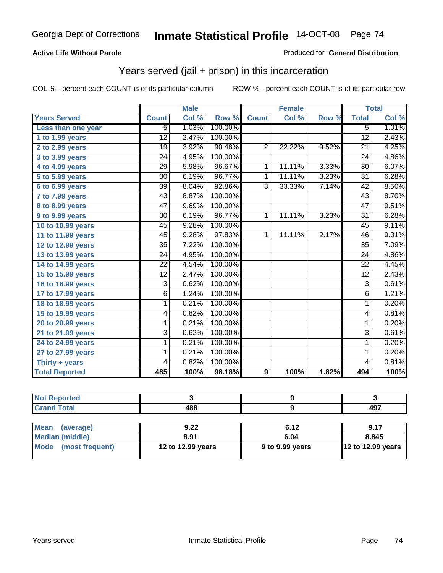### **Active Life Without Parole**

#### Produced for **General Distribution**

## Years served (jail + prison) in this incarceration

|                       |                 | <b>Male</b> |         |                | <b>Female</b> |       | <b>Total</b>    |       |
|-----------------------|-----------------|-------------|---------|----------------|---------------|-------|-----------------|-------|
| <b>Years Served</b>   | <b>Count</b>    | Col %       | Row %   | <b>Count</b>   | Col %         | Row % | <b>Total</b>    | Col % |
| Less than one year    | 5               | 1.03%       | 100.00% |                |               |       | $\overline{5}$  | 1.01% |
| 1 to 1.99 years       | 12              | 2.47%       | 100.00% |                |               |       | $\overline{12}$ | 2.43% |
| 2 to 2.99 years       | 19              | 3.92%       | 90.48%  | $\overline{2}$ | 22.22%        | 9.52% | 21              | 4.25% |
| 3 to 3.99 years       | $\overline{24}$ | 4.95%       | 100.00% |                |               |       | $\overline{24}$ | 4.86% |
| 4 to 4.99 years       | $\overline{29}$ | 5.98%       | 96.67%  | 1              | 11.11%        | 3.33% | $\overline{30}$ | 6.07% |
| 5 to 5.99 years       | 30              | 6.19%       | 96.77%  | $\mathbf{1}$   | 11.11%        | 3.23% | 31              | 6.28% |
| 6 to 6.99 years       | $\overline{39}$ | 8.04%       | 92.86%  | $\overline{3}$ | 33.33%        | 7.14% | $\overline{42}$ | 8.50% |
| 7 to 7.99 years       | 43              | 8.87%       | 100.00% |                |               |       | $\overline{43}$ | 8.70% |
| 8 to 8.99 years       | 47              | 9.69%       | 100.00% |                |               |       | 47              | 9.51% |
| 9 to 9.99 years       | $\overline{30}$ | 6.19%       | 96.77%  | $\mathbf{1}$   | 11.11%        | 3.23% | $\overline{31}$ | 6.28% |
| 10 to 10.99 years     | 45              | 9.28%       | 100.00% |                |               |       | 45              | 9.11% |
| 11 to 11.99 years     | 45              | 9.28%       | 97.83%  | 1              | 11.11%        | 2.17% | 46              | 9.31% |
| 12 to 12.99 years     | $\overline{35}$ | 7.22%       | 100.00% |                |               |       | $\overline{35}$ | 7.09% |
| 13 to 13.99 years     | $\overline{24}$ | 4.95%       | 100.00% |                |               |       | $\overline{24}$ | 4.86% |
| 14 to 14.99 years     | 22              | 4.54%       | 100.00% |                |               |       | 22              | 4.45% |
| 15 to 15.99 years     | $\overline{12}$ | 2.47%       | 100.00% |                |               |       | $\overline{12}$ | 2.43% |
| 16 to 16.99 years     | $\overline{3}$  | 0.62%       | 100.00% |                |               |       | $\overline{3}$  | 0.61% |
| 17 to 17.99 years     | $\overline{6}$  | 1.24%       | 100.00% |                |               |       | $\overline{6}$  | 1.21% |
| 18 to 18.99 years     | 1               | 0.21%       | 100.00% |                |               |       | $\mathbf{1}$    | 0.20% |
| 19 to 19.99 years     | 4               | 0.82%       | 100.00% |                |               |       | 4               | 0.81% |
| 20 to 20.99 years     | 1               | 0.21%       | 100.00% |                |               |       | $\mathbf{1}$    | 0.20% |
| 21 to 21.99 years     | 3               | 0.62%       | 100.00% |                |               |       | $\overline{3}$  | 0.61% |
| 24 to 24.99 years     | 1               | 0.21%       | 100.00% |                |               |       | 1               | 0.20% |
| 27 to 27.99 years     | 1               | 0.21%       | 100.00% |                |               |       | 1               | 0.20% |
| Thirty + years        | 4               | 0.82%       | 100.00% |                |               |       | $\overline{4}$  | 0.81% |
| <b>Total Reported</b> | 485             | 100%        | 98.18%  | 9              | 100%          | 1.82% | 494             | 100%  |

| <b>Not Reported</b>            |                   |                 |                   |
|--------------------------------|-------------------|-----------------|-------------------|
| <b>Grand Total</b>             | 488               |                 | 497               |
|                                |                   |                 |                   |
| <b>Mean</b><br>(average)       | 9.22              | 6.12            | 9.17              |
| <b>Median (middle)</b>         | 8.91              | 6.04            | 8.845             |
| <b>Mode</b><br>(most frequent) | 12 to 12.99 years | 9 to 9.99 years | 12 to 12.99 years |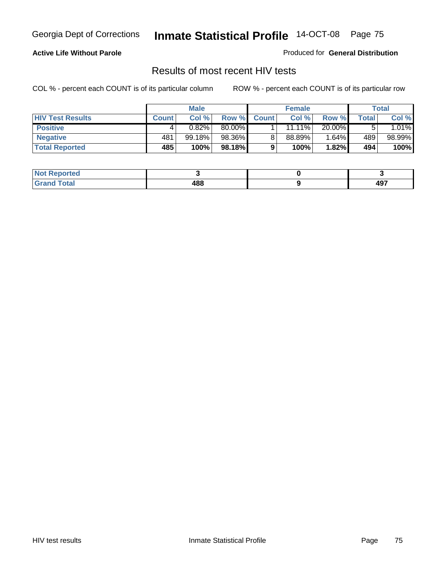### **Active Life Without Parole**

Produced for **General Distribution**

### Results of most recent HIV tests

|                         | <b>Male</b>  |        | <b>Female</b> |              |        | Total    |       |          |
|-------------------------|--------------|--------|---------------|--------------|--------|----------|-------|----------|
| <b>HIV Test Results</b> | <b>Count</b> | Col %  | Row %         | <b>Count</b> | Col %  | Row %    | Total | Col %    |
| <b>Positive</b>         |              | 0.82%  | 80.00%        |              | 11.11% | 20.00%   |       | $1.01\%$ |
| <b>Negative</b>         | 481          | 99.18% | 98.36%        |              | 88.89% | $1.64\%$ | 489   | 98.99%   |
| <b>Total Reported</b>   | 485          | 100%   | 98.18%        |              | 100%   | 1.82%    | 494   | 100%     |

| <b>Not Reported</b>          |     |            |
|------------------------------|-----|------------|
| <b>Fotal</b><br><b>Grove</b> | 488 | 107<br>791 |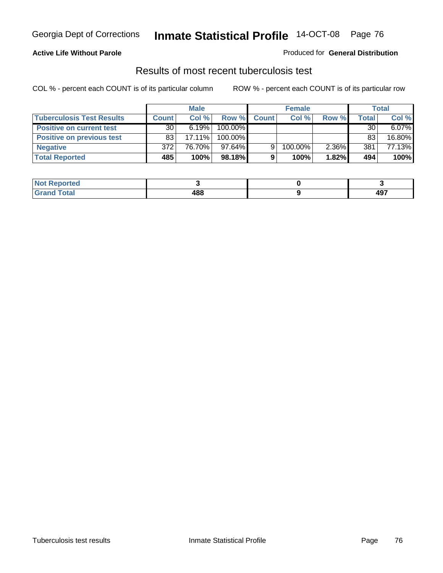### **Active Life Without Parole**

#### Produced for **General Distribution**

### Results of most recent tuberculosis test

|                                  | <b>Male</b>     |           | <b>Female</b> |              |         | Total |       |        |
|----------------------------------|-----------------|-----------|---------------|--------------|---------|-------|-------|--------|
| <b>Tuberculosis Test Results</b> | <b>Count</b>    | Col%      | Row %         | <b>Count</b> | Col%    | Row % | Total | Col %  |
| <b>Positive on current test</b>  | 30 <sup>1</sup> | 6.19%     | 100.00%       |              |         |       | 30    | 6.07%  |
| <b>Positive on previous test</b> | 83              | $17.11\%$ | 100.00%       |              |         |       | 83    | 16.80% |
| <b>Negative</b>                  | 372             | 76.70%    | $97.64\%$     | 9            | 100.00% | 2.36% | 381   | 77.13% |
| <b>Total Reported</b>            | 485             | 100%      | 98.18%        |              | 100%    | 1.82% | 494   | 100%   |

| <b>Not</b><br><b>Reported</b> |     |     |
|-------------------------------|-----|-----|
| <b>Total</b>                  | 488 | 497 |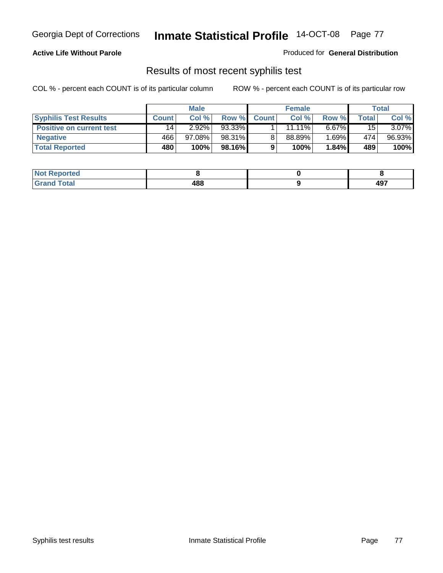### **Active Life Without Parole**

Produced for **General Distribution**

## Results of most recent syphilis test

|                                 | <b>Male</b>  |           | <b>Female</b> |              |           | Total      |       |          |
|---------------------------------|--------------|-----------|---------------|--------------|-----------|------------|-------|----------|
| <b>Syphilis Test Results</b>    | <b>Count</b> | Col %     | Row %         | <b>Count</b> | Col %     | Row %      | Total | Col %    |
| <b>Positive on current test</b> | 14           | 2.92%     | 93.33%        |              | $11.11\%$ | $6.67\%$   | 15    | $3.07\%$ |
| <b>Negative</b>                 | 466          | $97.08\%$ | 98.31%        |              | 88.89%    | $1.69\%$ i | 474   | 96.93%   |
| <b>Total Reported</b>           | 480          | 100%      | 98.16%        |              | 100%      | 1.84%      | 489   | 100%     |

| <b>Not Reported</b> |     |            |
|---------------------|-----|------------|
| <b>Grand Total</b>  | 488 | 107<br>-91 |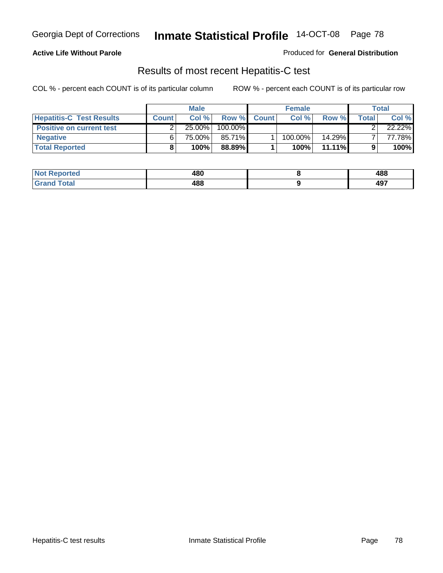### **Active Life Without Parole**

Produced for **General Distribution**

## Results of most recent Hepatitis-C test

|                                 | <b>Male</b>  |        | <b>Female</b> |              |         | Total     |       |        |
|---------------------------------|--------------|--------|---------------|--------------|---------|-----------|-------|--------|
| <b>Hepatitis-C Test Results</b> | <b>Count</b> | Col %  | Row %         | <b>Count</b> | Col %   | Row %     | Total | Col %  |
| <b>Positive on current test</b> |              | 25.00% | 100.00%       |              |         |           |       | 22.22% |
| <b>Negative</b>                 |              | 75.00% | 85.71%        |              | 100.00% | 14.29%    |       | 77.78% |
| <b>Total Reported</b>           |              | 100%   | 88.89%        |              | 100%    | $11.11\%$ |       | 100%   |

| <b>Not Reported</b> | 480 | 488 |
|---------------------|-----|-----|
| <b>Grand Total</b>  | 488 | 497 |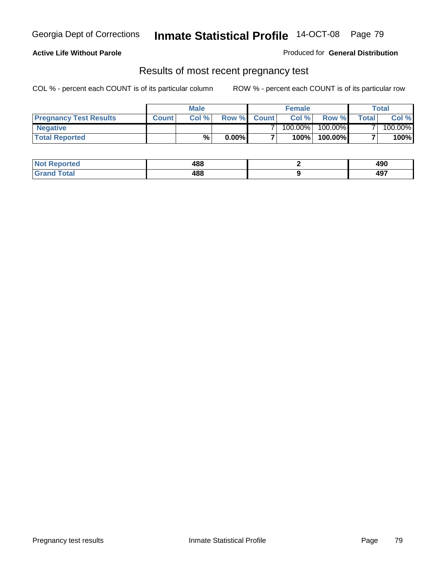### **Active Life Without Parole**

Produced for **General Distribution**

### Results of most recent pregnancy test

|                               | <b>Male</b>  |      |          | <b>Female</b>  |            |         | <b>Total</b>   |         |
|-------------------------------|--------------|------|----------|----------------|------------|---------|----------------|---------|
| <b>Pregnancy Test Results</b> | <b>Count</b> | Col% | Row %    | <b>Count</b> Ⅰ | Col %      | Row %   | <b>Total</b> I | Col %   |
| <b>Negative</b>               |              |      |          |                | $100.00\%$ | 100.00% |                | 100.00% |
| <b>Total Reported</b>         |              | %    | $0.00\%$ |                | 100%       | 100.00% |                | 100%    |

| <b>Not Reported</b> | 488 | ៱៱៱<br>49U |
|---------------------|-----|------------|
| <b>Grand Total</b>  | 488 | 107<br>731 |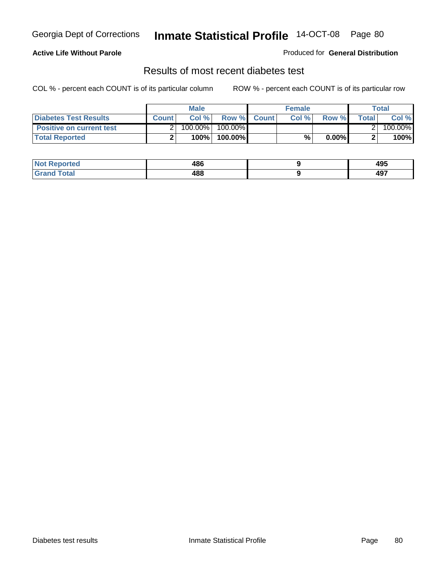### **Active Life Without Parole**

#### Produced for **General Distribution**

### Results of most recent diabetes test

|                                 | <b>Male</b>  |         |            | <b>Female</b> |      |          | Total        |         |
|---------------------------------|--------------|---------|------------|---------------|------|----------|--------------|---------|
| <b>Diabetes Test Results</b>    | <b>Count</b> | Col %   |            | Row % Count   | Col% | Row %    | <b>Total</b> | Col %   |
| <b>Positive on current test</b> |              | 100.00% | $100.00\%$ |               |      |          |              | 100.00% |
| <b>Total Reported</b>           |              | 100%    | 100.00%    |               | %    | $0.00\%$ |              | 100%    |

| <b>eported</b> | 486<br>__ | 495 |
|----------------|-----------|-----|
| <b>Total</b>   | 488       | 107 |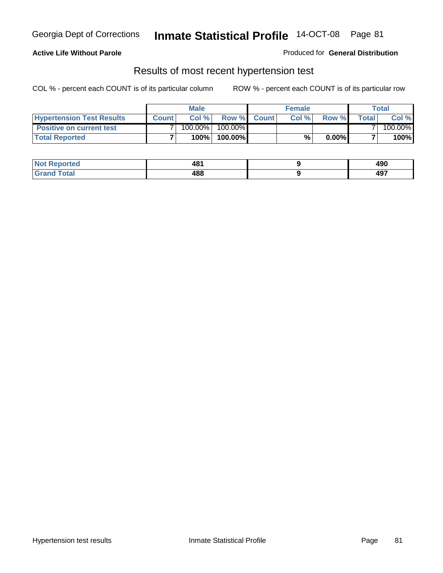### **Active Life Without Parole**

#### Produced for **General Distribution**

### Results of most recent hypertension test

|                                  | <b>Male</b>  |         |            | <b>Female</b> |      |          | Total  |         |
|----------------------------------|--------------|---------|------------|---------------|------|----------|--------|---------|
| <b>Hypertension Test Results</b> | <b>Count</b> | Col %   |            | Row % Count   | Col% | Row %    | Totall | Col %   |
| <b>Positive on current test</b>  |              | 100.00% | $100.00\%$ |               |      |          |        | 100.00% |
| <b>Total Reported</b>            |              | 100%    | 100.00%    |               | %    | $0.00\%$ |        | 100%    |

| ?eported     | 481<br>__ | ៱៱៱<br>49U |
|--------------|-----------|------------|
| <b>Total</b> | 488       | 107        |